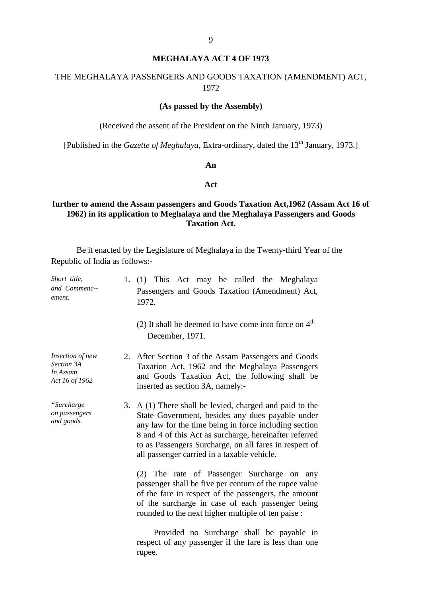# **MEGHALAYA ACT 4 OF 1973**

# THE MEGHALAYA PASSENGERS AND GOODS TAXATION (AMENDMENT) ACT, 1972

# **(As passed by the Assembly)**

(Received the assent of the President on the Ninth January, 1973)

[Published in the *Gazette of Meghalaya*, Extra-ordinary, dated the 13<sup>th</sup> January, 1973.]

#### **An**

# **Act**

# **further to amend the Assam passengers and Goods Taxation Act,1962 (Assam Act 16 of 1962) in its application to Meghalaya and the Meghalaya Passengers and Goods Taxation Act.**

Be it enacted by the Legislature of Meghalaya in the Twenty-third Year of the Republic of India as follows:-

| Short title,<br>and Commenc--<br>ement.                      | 1. $(1)$ T his A ct m ay b e cal led the M eghalaya<br>Passengers and Goods T axation (Amendment) A ct,<br>1972.                                                                                                                                                                                                                              |
|--------------------------------------------------------------|-----------------------------------------------------------------------------------------------------------------------------------------------------------------------------------------------------------------------------------------------------------------------------------------------------------------------------------------------|
|                                                              | (2) It shall be deemed to have come into force on $4th$<br>December, 1971.                                                                                                                                                                                                                                                                    |
| Insertion of new<br>Section 3A<br>In Assam<br>Act 16 of 1962 | 2. After Section 3 of the Assam Passengers and Goods<br>Taxation Act, 1962 and the Meghalaya P assengers<br>and G oods T axation A ct, t he f ollowing s hall be<br>inserted as section 3A, namely:-                                                                                                                                          |
| "Surcharge<br>on passengers<br>and goods.                    | 3. $A(1)$ There shall be levied, charged and paid to the<br>State G overnment, besides an y due s p ayable un der<br>any law for the time being in force including section<br>8 and 4 of this Act as surcharge, hereinafter referred<br>to as Passengers Surcharge, on all fares in respect of<br>all passenger carried in a taxable vehicle. |
|                                                              | $(2)$ T he r ate of P assenger S urcharge on a ny<br>passenger shall be five per centum of the rupee value<br>of the fare in respect of the passengers, the amount<br>of the s urcharge in case of each passenger be ing<br>rounded to the next higher multiple of ten paise :                                                                |
|                                                              | Provided no S urcharge s hall be pa yable i n<br>respect of any passenger if the fare is less than one<br>rupee.                                                                                                                                                                                                                              |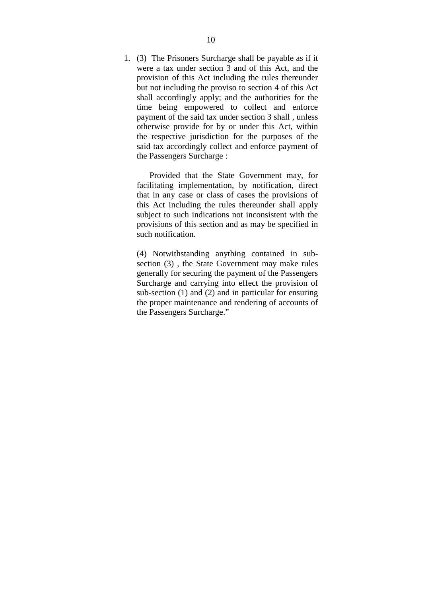1. (3) The Prisoners Surcharge shall be payable as if it were a tax under section 3 a nd of this Act, and the provision of this Act including the rules thereunder but not including the proviso to section 4 of this Act shall a ccordingly a pply; and the a uthorities for the time be ing e mpowered t o c ollect a nd e nforce payment of the said tax under section 3 shall , unless otherwise pr ovide f or b y or unde r t his A ct, w ithin the r espective j urisdiction f or t he pur poses of t he said tax accordingly collect and enforce payment of the Passengers Surcharge :

 Provided t hat t he S tate G overnment m ay, for facilitating impl ementation, by not ification, direct that in any case or class of c ases the provisions of this A ct inc luding th e r ules the reunder s hall a pply subject to such indications not inconsistent with the provisions of this section and as may be specified in such notification.

(4) N otwithstanding anything c ontained i n s ubsection (3), the S tate G overnment m ay m ake rules generally for securing the payment of the Passengers Surcharge and c arrying i nto effect t he p rovision of sub-section (1) and (2) and in particular for ensuring the proper maintenance and rendering of accounts of the Passengers Surcharge."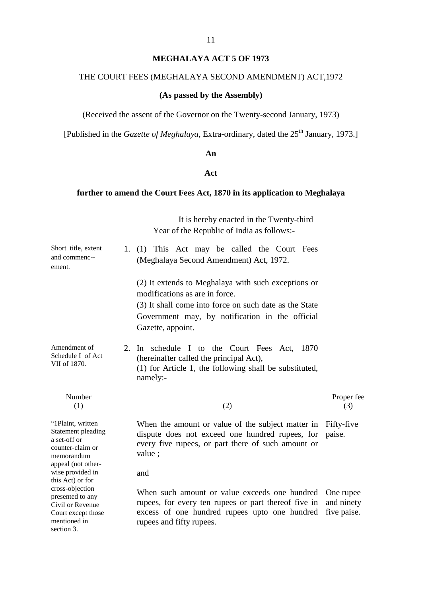# **MEGHALAYA ACT 5 OF 1973**

# THE COURT FEES (MEGHALAYA SECOND AMENDMENT) ACT,1972

# **(As passed by the Assembly)**

(Received the assent of the Governor on the Twenty-second January, 1973)

[Published in the *Gazette of Meghalaya*, Extra-ordinary, dated the 25<sup>th</sup> January, 1973.]

#### **An**

### **Act**

# **further to amend the Court Fees Act, 1870 in its application to Meghalaya**

|                                                                                                                                 |    | It is hereby enacted in the Twenty-third<br>Year of the Republic of India as follows:-                                                                                                                                       |                                        |
|---------------------------------------------------------------------------------------------------------------------------------|----|------------------------------------------------------------------------------------------------------------------------------------------------------------------------------------------------------------------------------|----------------------------------------|
| Short title, extent<br>and commenc--<br>ement.                                                                                  |    | 1. (1) T his A ct m ay b e called the C ourt F ees<br>(Meghalaya Second Amendment) Act, 1972.                                                                                                                                |                                        |
|                                                                                                                                 |    | (2) It extends to Meghalaya with such exceptions or<br>modifications as are in force.<br>(3) It shall come into force on such date as the State<br>Government m ay, b y notification i n t he of ficial<br>Gazette, appoint. |                                        |
| Amendment of<br>Schedule I of Act<br>VII of 1870.                                                                               | 2. | In schedule I to t he C ourt F ees A ct, $1870$<br>(hereinafter called the principal Act),<br>$(1)$ for Article 1, the following shall be substituted,<br>namely:-                                                           |                                        |
| Number<br>(1)                                                                                                                   |    | (2)                                                                                                                                                                                                                          | Proper fee<br>(3)                      |
| "1Plaint, written<br>Statement pleading<br>a set-off or<br>counter-claim or<br>memorandum<br>appeal (not other-                 |    | When the amount or value of the subject matter in<br>dispute doe s not e xceed one hundr ed r upees, f or<br>every five rupees, or part there of such amount or<br>value;                                                    | Fifty-five<br>paise.                   |
| wise provided in                                                                                                                |    | and                                                                                                                                                                                                                          |                                        |
| this Act) or for<br>cross-objection<br>presented to any<br>Civil or Revenue<br>Court except those<br>mentioned in<br>section 3. |    | When s uch a mount or va lue e xceeds one hund red<br>rupees, for every ten rupees or part thereof five in<br>excess of one hundr ed r upees upt o one hundr ed<br>rupees and fifty rupees.                                  | One rupee<br>and ninety<br>five paise. |

11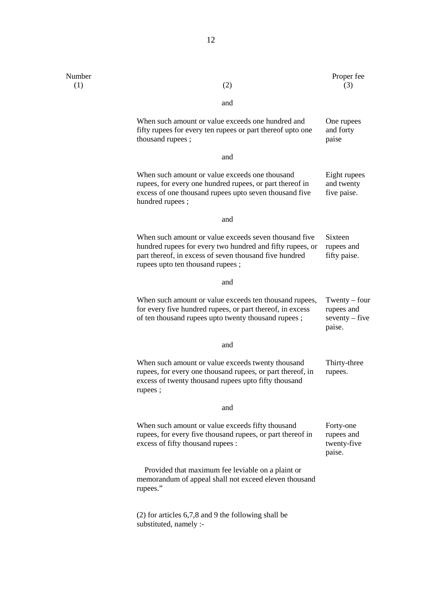| Number<br>(1) | (2)                                                                                                                                                                                                              | Proper fee<br>(3)                                           |
|---------------|------------------------------------------------------------------------------------------------------------------------------------------------------------------------------------------------------------------|-------------------------------------------------------------|
|               | and                                                                                                                                                                                                              |                                                             |
|               | When such amount or value exceeds one hundred and<br>fifty rupees for every ten rupees or part thereof upto one<br>thousand rupees;                                                                              | One rupees<br>and forty<br>paise                            |
|               | and                                                                                                                                                                                                              |                                                             |
|               | When such amount or value exceeds one thousand<br>rupees, for every one hundred rupees, or part thereof in<br>excess of one thousand rupees upto seven thousand five<br>hundred rupees;                          | Eight rupees<br>and twenty<br>five paise.                   |
|               | and                                                                                                                                                                                                              |                                                             |
|               | When such amount or value exceeds seven thousand five<br>hundred rupees for every two hundred and fifty rupees, or<br>part thereof, in excess of seven thousand five hundred<br>rupees upto ten thousand rupees; | Sixteen<br>rupees and<br>fifty paise.                       |
|               | and                                                                                                                                                                                                              |                                                             |
|               | When such amount or value exceeds ten thousand rupees,<br>for every five hundred rupees, or part thereof, in excess<br>of ten thousand rupees upto twenty thousand rupees;                                       | Twenty $-$ four<br>rupees and<br>$seventy - five$<br>paise. |
|               | and                                                                                                                                                                                                              |                                                             |
|               | When such amount or value exceeds twenty thousand<br>rupees, for every one thousand rupees, or part thereof, in<br>excess of twenty thousand rupees upto fifty thousand<br>rupees;                               | Thirty-three<br>rupees.                                     |
|               | and                                                                                                                                                                                                              |                                                             |
|               | When such amount or value exceeds fifty thousand<br>rupees, for every five thousand rupees, or part thereof in<br>excess of fifty thousand rupees :                                                              | Forty-one<br>rupees and<br>twenty-five<br>paise.            |
|               | Provided that maximum fee leviable on a plaint or<br>memorandum of appeal shall not exceed eleven thousand<br>rupees."                                                                                           |                                                             |
|               | $(2)$ for articles 6,7,8 and 9 the following shall be<br>substituted, namely :-                                                                                                                                  |                                                             |

12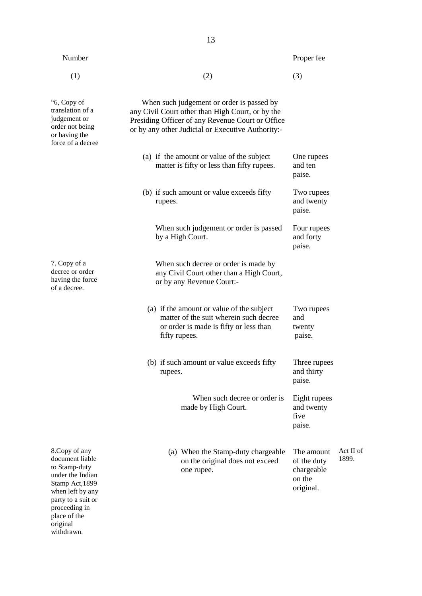| Number                                                                                                                                                               |                                                                                                                                                                                                        | Proper fee                                                     |                    |
|----------------------------------------------------------------------------------------------------------------------------------------------------------------------|--------------------------------------------------------------------------------------------------------------------------------------------------------------------------------------------------------|----------------------------------------------------------------|--------------------|
| (1)                                                                                                                                                                  | (2)                                                                                                                                                                                                    | (3)                                                            |                    |
| "6, Copy of<br>translation of a<br>judgement or<br>order not being<br>or having the<br>force of a decree                                                             | When such judgement or order is passed by<br>any Civil Court other than High Court, or by the<br>Presiding Officer of any Revenue Court or Office<br>or by any other Judicial or Executive Authority:- |                                                                |                    |
|                                                                                                                                                                      | (a) if the amount or value of the subject<br>matter is fifty or less than fifty rupees.                                                                                                                | One rupees<br>and ten<br>paise.                                |                    |
|                                                                                                                                                                      | (b) if such amount or value exceeds fifty<br>rupees.                                                                                                                                                   | Two rupees<br>and twenty<br>paise.                             |                    |
|                                                                                                                                                                      | When such judgement or order is passed<br>by a High Court.                                                                                                                                             | Four rupees<br>and forty<br>paise.                             |                    |
| 7. Copy of a<br>decree or order<br>having the force<br>of a decree.                                                                                                  | When such decree or order is made by<br>any Civil Court other than a High Court,<br>or by any Revenue Court:-                                                                                          |                                                                |                    |
|                                                                                                                                                                      | (a) if the amount or value of the subject<br>matter of the suit wherein such decree<br>or order is made is fifty or less than<br>fifty rupees.                                                         | Two rupees<br>and<br>twenty<br>paise.                          |                    |
|                                                                                                                                                                      | (b) if such amount or value exceeds fifty<br>rupees.                                                                                                                                                   | Three rupees<br>and thirty<br>paise.                           |                    |
|                                                                                                                                                                      | When such decree or order is<br>made by High Court.                                                                                                                                                    | Eight rupees<br>and twenty<br>five<br>paise.                   |                    |
| 8. Copy of any<br>document liable<br>to Stamp-duty<br>under the Indian<br>Stamp Act, 1899<br>when left by any<br>party to a suit or<br>proceeding in<br>place of the | (a) When the Stamp-duty chargeable<br>on the original does not exceed<br>one rupee.                                                                                                                    | The amount<br>of the duty<br>chargeable<br>on the<br>original. | Act II of<br>1899. |

original withdrawn. 13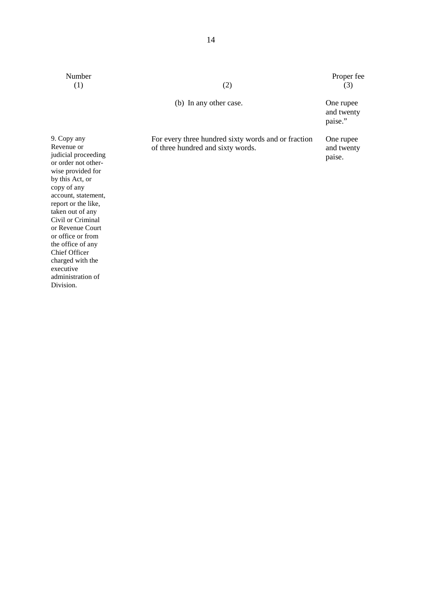Number Proper fee (1) (2) (3) (1)  $(2)$   $(3)$ 

(b) In any other case. One rupee

For every three hundred sixty words and or fraction of three hundred and sixty words.

and twenty paise."

One rupee and twenty paise.

9. Copy any Revenue or judicial proceeding or order not otherwise provided for by this Act, or copy of any account, statement, report or the like, taken out of any Civil or Criminal or Revenue Court or office or from the office of any Chief Officer charged with the executive administration of Division.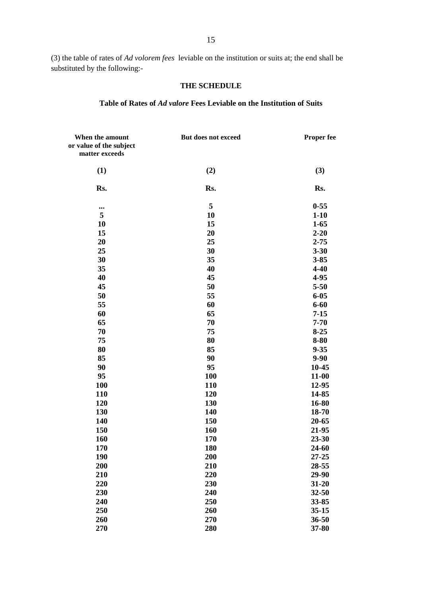(3) the table of rates of *Ad volorem fees* leviable on the institution or suits at; the end shall be substituted by the following:-

#### **THE SCHEDULE**

#### **Table of Rates of** *Ad valore* **Fees Leviable on the Institution of Suits**

| When the amount<br>or value of the subject<br>matter exceeds | But does not exceed | <b>Proper fee</b> |
|--------------------------------------------------------------|---------------------|-------------------|
|                                                              |                     |                   |
| (1)                                                          | (2)                 | (3)               |
| Rs.                                                          | Rs.                 | Rs.               |
| $\cdots$                                                     | 5                   | $0 - 55$          |
| 5                                                            | 10                  | $1 - 10$          |
| 10                                                           | 15                  | $1 - 65$          |
| 15                                                           | 20                  | $2 - 20$          |
| 20                                                           | 25                  | $2 - 75$          |
| 25                                                           | 30                  | $3 - 30$          |
| 30                                                           | 35                  | $3 - 85$          |
| 35                                                           | 40                  | $4 - 40$          |
| 40                                                           | 45                  | 4-95              |
| 45                                                           | 50                  | $5 - 50$          |
| 50                                                           | 55                  | $6 - 05$          |
| 55                                                           | 60                  | $6 - 60$          |
| 60                                                           | 65                  | $7 - 15$          |
| 65                                                           | 70                  | $7 - 70$          |
| 70                                                           | 75                  | $8 - 25$          |
| 75                                                           | 80                  | $8 - 80$          |
| 80                                                           | 85                  | $9 - 35$          |
| 85                                                           | 90                  | $9 - 90$          |
| 90                                                           | 95                  | 10-45             |
| 95                                                           | <b>100</b>          | $11 - 00$         |
| <b>100</b>                                                   | <b>110</b>          | 12-95             |
| 110                                                          | 120                 | 14-85             |
| 120                                                          | 130                 | 16-80             |
| 130                                                          | 140                 | 18-70             |
| 140                                                          | 150                 | 20-65             |
| 150                                                          | 160                 | 21-95             |
| 160                                                          | 170                 | 23-30             |
| 170                                                          | 180                 | 24-60             |
| <b>190</b>                                                   | 200                 | 27-25             |
| 200                                                          | 210                 | 28-55             |
| 210                                                          | 220                 | 29-90             |
| 220                                                          | 230                 | $31 - 20$         |
| 230                                                          | 240                 | 32-50             |
| 240                                                          | 250                 | 33-85             |
| 250                                                          | 260                 | $35 - 15$         |
| 260                                                          | 270                 | 36-50             |
| 270                                                          | 280                 | 37-80             |
|                                                              |                     |                   |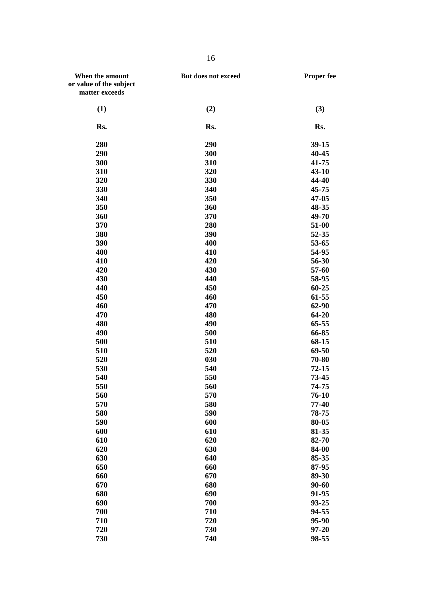| When the amount         | But does not exceed | Proper fee |
|-------------------------|---------------------|------------|
| or value of the subject |                     |            |
| matter exceeds          |                     |            |
|                         |                     |            |
| (1)                     | (2)                 | (3)        |
| Rs.                     | Rs.                 | Rs.        |
| 280                     | 290                 | $39-15$    |
| 290                     | 300                 | 40-45      |
| 300                     | 310                 | 41-75      |
| 310                     | 320                 | 43-10      |
| 320                     | 330                 | 44-40      |
| 330                     | 340                 | 45-75      |
| 340                     | 350                 | 47-05      |
| 350                     | 360                 | 48-35      |
| 360                     | 370                 | 49-70      |
| 370                     | 280                 | 51-00      |
| 380                     | 390                 | 52-35      |
| 390                     | 400                 | 53-65      |
| 400                     | 410                 | 54-95      |
| 410                     | 420                 | 56-30      |
| 420                     | 430                 | 57-60      |
| 430                     | 440                 | 58-95      |
| 440                     | 450                 | 60-25      |
| 450                     | 460                 | 61-55      |
| 460                     | 470                 | 62-90      |
| 470                     | 480                 | 64-20      |
| 480                     | 490                 | 65-55      |
| 490                     | 500                 | 66-85      |
| 500                     | 510                 | 68-15      |
| 510                     | 520                 | 69-50      |
| 520                     | 030                 | 70-80      |
| 530                     | 540                 | 72-15      |
| 540                     | 550                 | 73-45      |
| 550                     | 560                 | 74-75      |
| 560                     | 570                 | 76-10      |
| 570                     | 580                 | 77-40      |
| 580                     | 590                 | 78-75      |
| 590                     | 600                 | 80-05      |
| 600                     | 610                 | 81-35      |
| 610                     | 620                 | 82-70      |
| 620                     | 630                 | 84-00      |
| 630                     | 640                 | 85-35      |
| 650                     | 660                 | 87-95      |
| 660                     | 670                 | 89-30      |
| 670                     | 680                 | 90-60      |
| 680                     | 690                 | 91-95      |
| 690                     | 700                 | 93-25      |
| 700                     | 710                 | 94-55      |
| 710                     | 720                 | 95-90      |
| 720                     | 730                 | $97 - 20$  |
| 730                     | 740                 | 98-55      |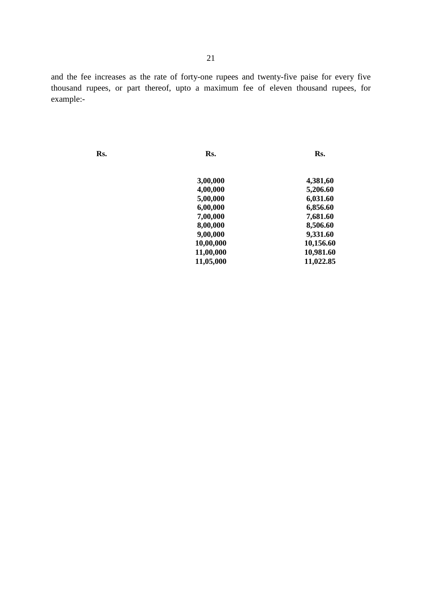and the fee increases as the rate of forty-one rupees and twenty-five paise for every five thousand r upees, or part t hereof, upt o a m aximum f ee of e leven t housand r upees, f or example:-

Rs.

Rs.

Rs.

| 3,00,000  | 4,381,60  |
|-----------|-----------|
| 4,00,000  | 5,206.60  |
| 5,00,000  | 6,031.60  |
| 6,00,000  | 6,856.60  |
| 7,00,000  | 7,681.60  |
| 8,00,000  | 8,506.60  |
| 9,00,000  | 9,331.60  |
| 10,00,000 | 10,156.60 |
| 11,00,000 | 10,981.60 |
| 11,05,000 | 11,022.85 |
|           |           |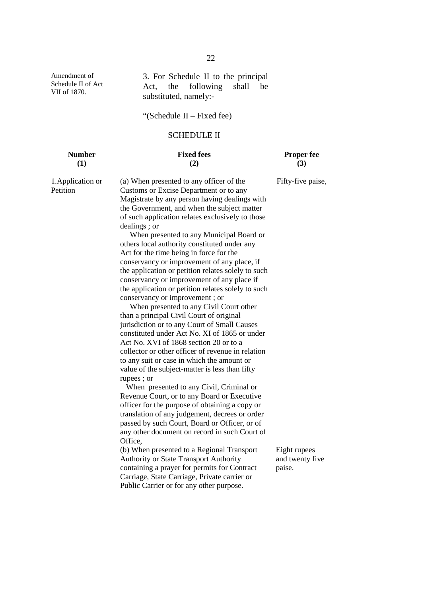3. F or Schedule II t o t he pr incipal Act, t he following s hall be substituted, namely:-

"(Schedule II – Fixed fee)

#### SCHEDULE II

**Number Fixed fees Proper fee**

# **(1) (2) (3)**

Fifty-five paise,

1.Application or Petition

Amendment of Schedule II of Act VII of 1870.

> (a) When presented to any officer of the Customs or Excise Department or to any Magistrate by any person having dealings with the Government, and when the subject matter of such application relates exclusively to those dealings ; or

 When presented to any Municipal Board or others local authority constituted under any Act for the time being in force for the conservancy or improvement of any place, if the application or petition relates solely to such conservancy or improvement of any place if the application or petition relates solely to such conservancy or improvement ; or

 When presented to any Civil Court other than a principal Civil Court of original jurisdiction or to any Court of Small Causes constituted under Act No. XI of 1865 or under Act No. XVI of 1868 section 20 or to a collector or other officer of revenue in relation to any suit or case in which the amount or value of the subject-matter is less than fifty rupees ; or

 When presented to any Civil, Criminal or Revenue Court, or to any Board or Executive officer for the purpose of obtaining a copy or translation of any judgement, decrees or order passed by such Court, Board or Officer, or of any other document on record in such Court of Office,

(b) When presented to a Regional Transport Authority or State Transport Authority containing a prayer for permits for Contract Carriage, State Carriage, Private carrier or Public Carrier or for any other purpose.

Eight rupees and twenty five paise.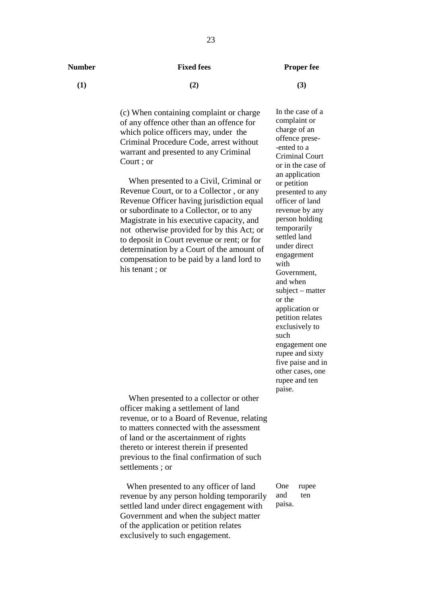#### **Number Fixed fees Proper fee**

**(1) (2) (3)**

(c) When containing complaint or charge of any offence other than an offence for which police officers may, under the Criminal Procedure Code, arrest without warrant and presented to any Criminal Court ; or

 When presented to a Civil, Criminal or Revenue Court, or to a Collector , or any Revenue Officer having jurisdiction equal or subordinate to a Collector, or to any Magistrate in his executive capacity, and not otherwise provided for by this Act; or to deposit in Court revenue or rent; or for determination by a Court of the amount of compensation to be paid by a land lord to his tenant ; or

In the case of a complaint or charge of an offence prese- -ented to a Criminal Court or in the case of an application or petition presented to any officer of land revenue by any person holding temporarily settled land under direct engagement with Government, and when subject – matter or the application or petition relates exclusively to such engagement one rupee and sixty five paise and in other cases, one rupee and ten paise.

 When presented to a collector or other officer making a settlement of land revenue, or to a Board of Revenue, relating to matters connected with the assessment of land or the ascertainment of rights thereto or interest therein if presented previous to the final confirmation of such settlements ; or

 When presented to any officer of land revenue by any person holding temporarily settled land under direct engagement with Government and when the subject matter of the application or petition relates exclusively to such engagement.

One rupee and ten paisa.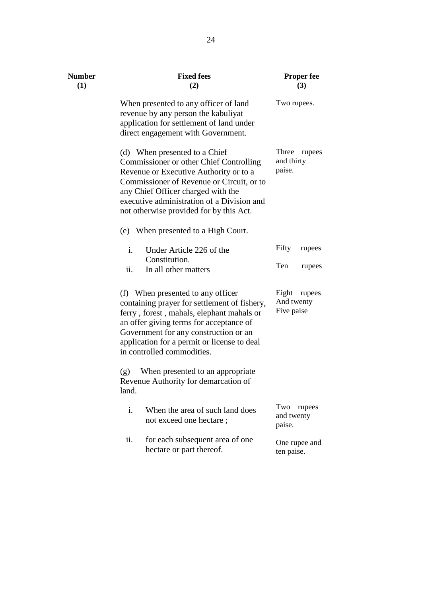| <b>Number</b><br>(1) | <b>Fixed fees</b><br>(2)                                                                                                                                                                                                                                                                        | <b>Proper fee</b><br>(3)                    |  |
|----------------------|-------------------------------------------------------------------------------------------------------------------------------------------------------------------------------------------------------------------------------------------------------------------------------------------------|---------------------------------------------|--|
|                      | When presented to any officer of land<br>revenue by any person the kabuliyat<br>application for settlement of land under<br>direct engagement with Government.                                                                                                                                  | Two rupees.                                 |  |
|                      | (d) When presented to a Chief<br>Commissioner or other Chief Controlling<br>Revenue or Executive Authority or to a<br>Commissioner of Revenue or Circuit, or to<br>any Chief Officer charged with the<br>executive administration of a Division and<br>not otherwise provided for by this Act.  | Three<br>rupees<br>and thirty<br>paise.     |  |
|                      | (e) When presented to a High Court.                                                                                                                                                                                                                                                             |                                             |  |
|                      | Under Article 226 of the<br>i.<br>Constitution.                                                                                                                                                                                                                                                 | Fifty<br>rupees                             |  |
|                      | ii.<br>In all other matters                                                                                                                                                                                                                                                                     | Ten<br>rupees                               |  |
|                      | (f) When presented to any officer<br>containing prayer for settlement of fishery,<br>ferry, forest, mahals, elephant mahals or<br>an offer giving terms for acceptance of<br>Government for any construction or an<br>application for a permit or license to deal<br>in controlled commodities. | Eight<br>rupees<br>And twenty<br>Five paise |  |
|                      | When presented to an appropriate<br>(g)<br>Revenue Authority for demarcation of<br>land.                                                                                                                                                                                                        |                                             |  |
|                      | $i$ .<br>When the area of such land does<br>not exceed one hectare;                                                                                                                                                                                                                             | Two<br>rupees<br>and twenty<br>paise.       |  |
|                      | ii.<br>for each subsequent area of one<br>hectare or part thereof.                                                                                                                                                                                                                              | One rupee and<br>ten paise.                 |  |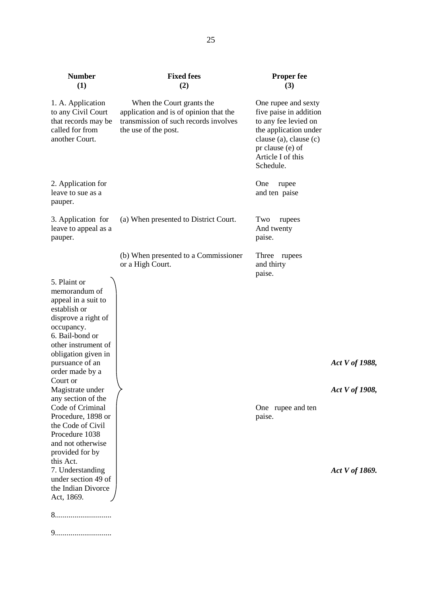| <b>Number</b><br>(1)                                                                                                                                                                                                                                                                                                                                                                            | <b>Fixed fees</b><br>(2)                                                                                                             | <b>Proper fee</b><br>(3)                                                                                                                                                       |                                  |
|-------------------------------------------------------------------------------------------------------------------------------------------------------------------------------------------------------------------------------------------------------------------------------------------------------------------------------------------------------------------------------------------------|--------------------------------------------------------------------------------------------------------------------------------------|--------------------------------------------------------------------------------------------------------------------------------------------------------------------------------|----------------------------------|
| 1. A. Application<br>to any Civil Court<br>that records may be<br>called for from<br>another Court.                                                                                                                                                                                                                                                                                             | When the Court grants the<br>application and is of opinion that the<br>transmission of such records involves<br>the use of the post. | One rupee and sexty<br>five paise in addition<br>to any fee levied on<br>the application under<br>clause (a), clause (c)<br>pr clause (e) of<br>Article I of this<br>Schedule. |                                  |
| 2. Application for<br>leave to sue as a<br>pauper.                                                                                                                                                                                                                                                                                                                                              |                                                                                                                                      | One<br>rupee<br>and ten paise                                                                                                                                                  |                                  |
| 3. Application for<br>leave to appeal as a<br>pauper.                                                                                                                                                                                                                                                                                                                                           | (a) When presented to District Court.                                                                                                | Two<br>rupees<br>And twenty<br>paise.                                                                                                                                          |                                  |
| 5. Plaint or<br>memorandum of<br>appeal in a suit to<br>establish or<br>disprove a right of<br>occupancy.<br>6. Bail-bond or<br>other instrument of<br>obligation given in<br>pursuance of an<br>order made by a<br>Court or<br>Magistrate under<br>any section of the<br>Code of Criminal<br>Procedure, 1898 or<br>the Code of Civil<br>Procedure 1038<br>and not otherwise<br>provided for by | (b) When presented to a Commissioner<br>or a High Court.                                                                             | Three rupees<br>and thirty<br>paise.<br>One rupee and ten<br>paise.                                                                                                            | Act V of 1988,<br>Act V of 1908, |
| this Act.<br>7. Understanding<br>under section 49 of<br>the Indian Divorce<br>Act, 1869.                                                                                                                                                                                                                                                                                                        |                                                                                                                                      |                                                                                                                                                                                | Act V of 1869.                   |
|                                                                                                                                                                                                                                                                                                                                                                                                 |                                                                                                                                      |                                                                                                                                                                                |                                  |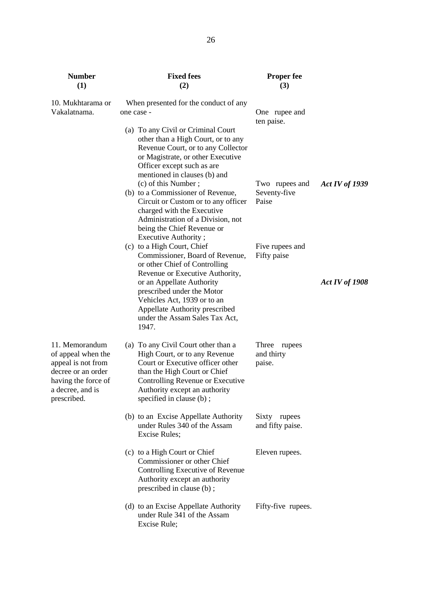| <b>Number</b><br>(1)                                                                                                                       | <b>Fixed fees</b><br>(2)                                                                                                                                                                                                                                                                                                         | <b>Proper fee</b><br>(3)                |                       |
|--------------------------------------------------------------------------------------------------------------------------------------------|----------------------------------------------------------------------------------------------------------------------------------------------------------------------------------------------------------------------------------------------------------------------------------------------------------------------------------|-----------------------------------------|-----------------------|
| 10. Mukhtarama or<br>Vakalatnama.                                                                                                          | When presented for the conduct of any<br>one case -<br>(a) To any Civil or Criminal Court<br>other than a High Court, or to any<br>Revenue Court, or to any Collector<br>or Magistrate, or other Executive                                                                                                                       | One rupee and<br>ten paise.             |                       |
|                                                                                                                                            | Officer except such as are<br>mentioned in clauses (b) and<br>(c) of this Number;<br>(b) to a Commissioner of Revenue,<br>Circuit or Custom or to any officer<br>charged with the Executive<br>Administration of a Division, not<br>being the Chief Revenue or                                                                   | Two rupees and<br>Seventy-five<br>Paise | <b>Act IV of 1939</b> |
|                                                                                                                                            | Executive Authority;<br>(c) to a High Court, Chief<br>Commissioner, Board of Revenue,<br>or other Chief of Controlling<br>Revenue or Executive Authority,<br>or an Appellate Authority<br>prescribed under the Motor<br>Vehicles Act, 1939 or to an<br>Appellate Authority prescribed<br>under the Assam Sales Tax Act,<br>1947. | Five rupees and<br>Fifty paise          | Act IV of 1908        |
| 11. Memorandum<br>of appeal when the<br>appeal is not from<br>decree or an order<br>having the force of<br>a decree, and is<br>prescribed. | (a) To any Civil Court other than a<br>High Court, or to any Revenue<br>Court or Executive officer other<br>than the High Court or Chief<br>Controlling Revenue or Executive<br>Authority except an authority<br>specified in clause $(b)$ ;                                                                                     | Three rupees<br>and thirty<br>paise.    |                       |
|                                                                                                                                            | (b) to an Excise Appellate Authority<br>under Rules 340 of the Assam<br>Excise Rules;                                                                                                                                                                                                                                            | Sixty rupees<br>and fifty paise.        |                       |
|                                                                                                                                            | (c) to a High Court or Chief<br>Commissioner or other Chief<br>Controlling Executive of Revenue<br>Authority except an authority<br>prescribed in clause (b);                                                                                                                                                                    | Eleven rupees.                          |                       |
|                                                                                                                                            | (d) to an Excise Appellate Authority<br>under Rule 341 of the Assam<br>Excise Rule;                                                                                                                                                                                                                                              | Fifty-five rupees.                      |                       |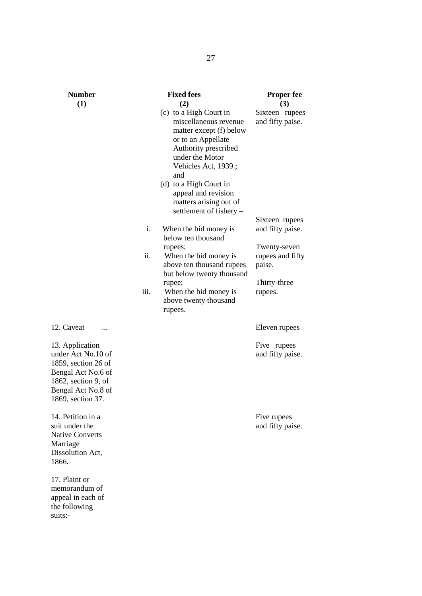| <b>Number</b>                                                                                                                                           |      | <b>Fixed fees</b>                                                                                                                                                                                                                                                               | <b>Proper fee</b>                          |
|---------------------------------------------------------------------------------------------------------------------------------------------------------|------|---------------------------------------------------------------------------------------------------------------------------------------------------------------------------------------------------------------------------------------------------------------------------------|--------------------------------------------|
| (1)                                                                                                                                                     |      | (2)                                                                                                                                                                                                                                                                             | (3)                                        |
|                                                                                                                                                         |      | (c) to a High Court in<br>miscellaneous revenue<br>matter except (f) below<br>or to an Appellate<br>Authority prescribed<br>under the Motor<br>Vehicles Act, 1939;<br>and<br>(d) to a High Court in<br>appeal and revision<br>matters arising out of<br>settlement of fishery - | Sixteen rupees<br>and fifty paise.         |
|                                                                                                                                                         | i.   | When the bid money is<br>below ten thousand                                                                                                                                                                                                                                     | Sixteen rupees<br>and fifty paise.         |
|                                                                                                                                                         | ii.  | rupees;<br>When the bid money is<br>above ten thousand rupees<br>but below twenty thousand                                                                                                                                                                                      | Twenty-seven<br>rupees and fifty<br>paise. |
|                                                                                                                                                         | 111. | rupee;<br>When the bid money is<br>above twenty thousand<br>rupees.                                                                                                                                                                                                             | Thirty-three<br>rupees.                    |
| 12. Caveat                                                                                                                                              |      |                                                                                                                                                                                                                                                                                 | Eleven rupees                              |
| 13. Application<br>under Act No.10 of<br>1859, section 26 of<br>Bengal Act No.6 of<br>$1862$ , section 9, of<br>Bengal Act No.8 of<br>1869, section 37. |      |                                                                                                                                                                                                                                                                                 | Five rupees<br>and fifty paise.            |
| 14. Petition in a<br>suit under the<br><b>Native Converts</b><br>Marriage<br>Dissolution Act,<br>1866.                                                  |      |                                                                                                                                                                                                                                                                                 | Five rupees<br>and fifty paise.            |
| 17. Plaint or<br>memorandum of<br>appeal in each of<br>the following<br>suits:-                                                                         |      |                                                                                                                                                                                                                                                                                 |                                            |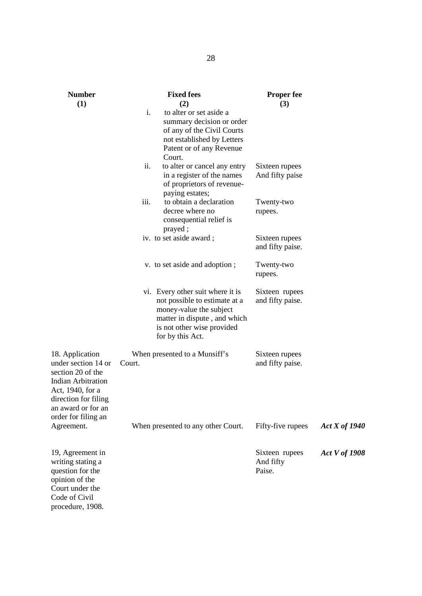| <b>Number</b>                                                                                                                                                              | <b>Fixed fees</b>                                                                                                                                                               | <b>Proper fee</b>                     |                      |
|----------------------------------------------------------------------------------------------------------------------------------------------------------------------------|---------------------------------------------------------------------------------------------------------------------------------------------------------------------------------|---------------------------------------|----------------------|
| (1)                                                                                                                                                                        | (2)<br>$\mathbf{i}$ .<br>to alter or set aside a<br>summary decision or order<br>of any of the Civil Courts<br>not established by Letters<br>Patent or of any Revenue<br>Court. | (3)                                   |                      |
|                                                                                                                                                                            | ii.<br>to alter or cancel any entry<br>in a register of the names<br>of proprietors of revenue-<br>paying estates;                                                              | Sixteen rupees<br>And fifty paise     |                      |
|                                                                                                                                                                            | $\dddot{\mathbf{m}}$ .<br>to obtain a declaration<br>decree where no<br>consequential relief is                                                                                 | Twenty-two<br>rupees.                 |                      |
|                                                                                                                                                                            | prayed;<br>iv. to set aside award;                                                                                                                                              | Sixteen rupees<br>and fifty paise.    |                      |
|                                                                                                                                                                            | v. to set aside and adoption;                                                                                                                                                   | Twenty-two<br>rupees.                 |                      |
|                                                                                                                                                                            | vi. Every other suit where it is<br>not possible to estimate at a<br>money-value the subject<br>matter in dispute, and which<br>is not other wise provided<br>for by this Act.  | Sixteen rupees<br>and fifty paise.    |                      |
| 18. Application<br>under section 14 or<br>section 20 of the<br>Indian Arbitration<br>Act, 1940, for a<br>direction for filing<br>an award or for an<br>order for filing an | When presented to a Munsiff's<br>Court.                                                                                                                                         | Sixteen rupees<br>and fifty paise.    |                      |
| Agreement.                                                                                                                                                                 | When presented to any other Court.                                                                                                                                              | Fifty-five rupees                     | <b>Act X of 1940</b> |
| 19, Agreement in<br>writing stating a<br>question for the<br>opinion of the<br>Court under the<br>Code of Civil<br>procedure, 1908.                                        |                                                                                                                                                                                 | Sixteen rupees<br>And fifty<br>Paise. | <b>Act V of 1908</b> |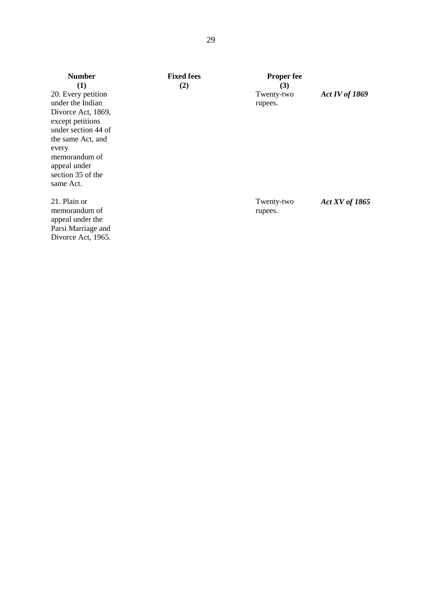| <b>Number</b>                                                                                                                                                  | <b>Fixed fees</b> | <b>Proper fee</b>     |                       |
|----------------------------------------------------------------------------------------------------------------------------------------------------------------|-------------------|-----------------------|-----------------------|
| (1)                                                                                                                                                            | (2)               | (3)                   |                       |
| 20. Every petition<br>under the Indian                                                                                                                         |                   | Twenty-two<br>rupees. | Act IV of $1869$      |
| Divorce Act, 1869,<br>except petitions<br>under section 44 of<br>the same Act, and<br>every<br>memorandum of<br>appeal under<br>section 35 of the<br>same Act. |                   |                       |                       |
| 21. Plain or<br>memorandum of<br>appeal under the<br>Parsi Marriage and<br>Divorce Act, 1965.                                                                  |                   | Twenty-two<br>rupees. | <b>Act XV</b> of 1865 |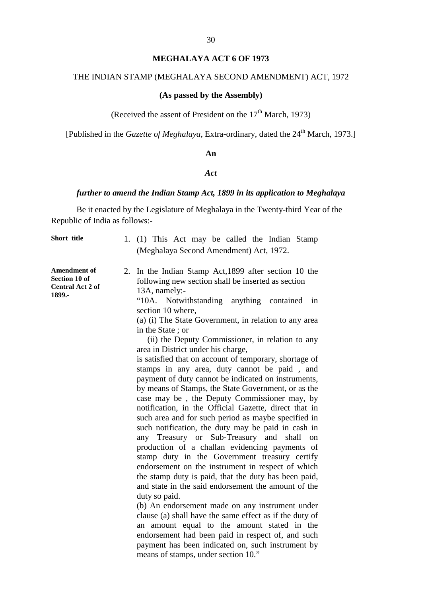# **MEGHALAYA ACT 6 OF 1973**

# THE INDIAN STAMP (MEGHALAYA SECOND AMENDMENT) ACT, 1972

#### **(As passed by the Assembly)**

(Received the assent of President on the  $17<sup>th</sup>$  March, 1973)

[Published in the *Gazette of Meghalaya*, Extra-ordinary, dated the 24<sup>th</sup> March, 1973.]

#### **An**

#### *Act*

### *further to amend the Indian Stamp Act, 1899 in its application to Meghalaya*

Be it enacted by the Legislature of Meghalaya in the Twenty-third Year of the Republic of India as follows:-

| Short title                                                        | 1. $(1)$ T his A ct ma y b e c alled the Indian S tamp<br>(Meghalaya Second Amendment) Act, 1972.                                                                                                                                                                                                                                                                                                                                                                                                                                                                                                                                                                                                                                                                                                                                                                                                                                                                                                                                                                                                                                                                                                                                                                                                                                                                                                                                                                                                                            |
|--------------------------------------------------------------------|------------------------------------------------------------------------------------------------------------------------------------------------------------------------------------------------------------------------------------------------------------------------------------------------------------------------------------------------------------------------------------------------------------------------------------------------------------------------------------------------------------------------------------------------------------------------------------------------------------------------------------------------------------------------------------------------------------------------------------------------------------------------------------------------------------------------------------------------------------------------------------------------------------------------------------------------------------------------------------------------------------------------------------------------------------------------------------------------------------------------------------------------------------------------------------------------------------------------------------------------------------------------------------------------------------------------------------------------------------------------------------------------------------------------------------------------------------------------------------------------------------------------------|
| <b>Amendment of</b><br>Section 10 of<br>Central Act 2 of<br>1899.- | 2. In the Indian Stamp A ct, 1899 a fter s ection 10 the<br>following new section shall be inserted as section<br>13A, namely:-<br>"10A. N otwithstanding a nything c ontained i n<br>section 10 where,<br>(a) (i) The State Government, in relation to any area<br>in the State; or<br>(ii) the Deputy Commissioner, in relation to any<br>area in District under his charge,<br>is satisfied that on account of temporary, shortage of<br>stamps i n a ny area, d uty c annot be p aid,<br>and<br>payment of duty cannot be indicated on instruments,<br>by means of Stamps, the State Government, or as the<br>case m ay be, t he D eputy C ommissioner m ay, b y<br>notification, in the O fficial G azette, direct that in<br>such area and for such period as maybe specified in<br>such not ification, the du ty m ay be paid in cash in<br>Treasury or S ub-Treasury and<br>shall on<br>any<br>production of a c hallan e videncing pa yments of<br>stamp dut y i n t he G overnment t reasury c ertify<br>endorsement on the instrument in respect of which<br>the stamp duty is paid, that the duty has been paid,<br>and state in the said endorsement the amount of the<br>duty so paid.<br>(b) An endorsement made on a ny instrument under<br>clause (a) shall have the same effect as if the duty of<br>an a mount equal t o t he a mount s tated i n the<br>endorsement had be en paid in respect of, and such<br>payment has be en indicated on, s uch instrument by<br>means of stamps, under section 10." |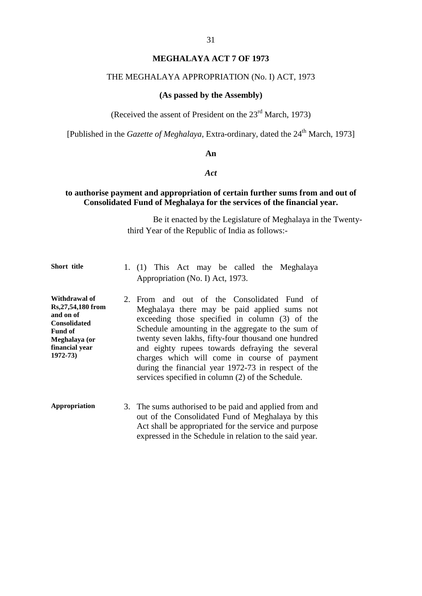### **MEGHALAYA ACT 7 OF 1973**

#### THE MEGHALAYA APPROPRIATION (No. I) ACT, 1973

#### **(As passed by the Assembly)**

(Received the assent of President on the  $23<sup>rd</sup>$  March, 1973)

[Published in the *Gazette of Meghalaya*, Extra-ordinary, dated the 24<sup>th</sup> March, 1973]

#### **An**

#### *Act*

#### **to authorise payment and appropriation of certain further sums from and out of Consolidated Fund of Meghalaya for the services of the financial year.**

Be it enacted by the Legislature of Meghalaya in the Twentythird Year of the Republic of India as follows:-

- Short title **1.** (1) T his A ct m ay b e cal led the M eghalaya Appropriation (No. I) Act, 1973.
- **Withdrawal of Rs,27,54,180 from and on of Consolidated Fund of Meghalaya (or financial year 1972-73)** 2. From a nd out of t he C onsolidated F und of Meghalaya t here m ay be pa id applied sums not exceeding t hose s pecified i n c olumn ( 3) of the Schedule amounting in t he a ggregate to the sum of twenty seven lakhs, fifty-four thousand one hundred and eighty r upees t owards de fraying t he s everal charges w hich will co me i n course of pa yment during the financial year 1972-73 in respect of the services specified in column (2) of the Schedule.
- **Appropriation** 3. The sums authorised to be paid and applied from and out of the Consolidated Fund of Meghalaya b y t his Act shall be appropriated for the service and purpose expressed in the Schedule in relation to the said year.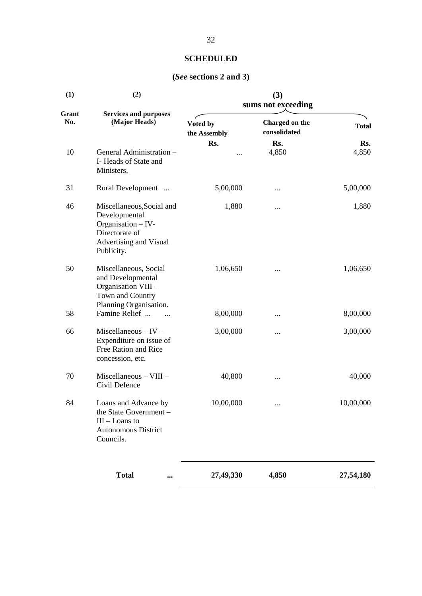# **SCHEDULED**

# **(***See* **sections 2 and 3)**

| (1)          | (2)                                                                                                                        | (3)                      |                                |              |  |
|--------------|----------------------------------------------------------------------------------------------------------------------------|--------------------------|--------------------------------|--------------|--|
|              |                                                                                                                            | sums not exceeding       |                                |              |  |
| Grant<br>No. | <b>Services and purposes</b><br>(Major Heads)                                                                              | Voted by<br>the Assembly | Charged on the<br>consolidated | <b>Total</b> |  |
|              |                                                                                                                            | Rs.                      | Rs.                            | Rs.          |  |
| 10           | General Administration -<br>I-Heads of State and<br>Ministers,                                                             |                          | 4,850                          | 4,850        |  |
| 31           | Rural Development                                                                                                          | 5,00,000                 |                                | 5,00,000     |  |
| 46           | Miscellaneous, Social and<br>Developmental<br>Organisation - IV-<br>Directorate of<br>Advertising and Visual<br>Publicity. | 1,880                    |                                | 1,880        |  |
| 50           | Miscellaneous, Social<br>and Developmental<br>Organisation VIII -<br>Town and Country                                      | 1,06,650                 |                                | 1,06,650     |  |
| 58           | Planning Organisation.<br>Famine Relief                                                                                    | 8,00,000                 |                                | 8,00,000     |  |
| 66           | $Miscellaneous - IV -$<br>Expenditure on issue of<br>Free Ration and Rice<br>concession, etc.                              | 3,00,000                 |                                | 3,00,000     |  |
| 70           | Miscellaneous - VIII -<br>Civil Defence                                                                                    | 40,800                   |                                | 40,000       |  |
| 84           | Loans and Advance by<br>the State Government -<br>$III$ – Loans to<br><b>Autonomous District</b><br>Councils.              | 10,00,000                |                                | 10,00,000    |  |
|              | <b>Total</b>                                                                                                               | 27,49,330                | 4,850                          | 27,54,180    |  |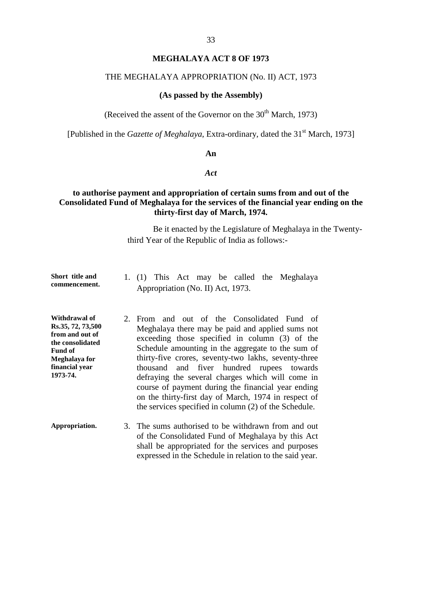### **MEGHALAYA ACT 8 OF 1973**

#### THE MEGHALAYA APPROPRIATION (No. II) ACT, 1973

#### **(As passed by the Assembly)**

(Received the assent of the Governor on the  $30<sup>th</sup>$  March, 1973)

[Published in the *Gazette of Meghalaya*, Extra-ordinary, dated the 31<sup>st</sup> March, 1973]

#### **An**

#### *Act*

### **to authorise payment and appropriation of certain sums from and out of the Consolidated Fund of Meghalaya for the services of the financial year ending on the thirty-first day of March, 1974.**

Be it enacted by the Legislature of Meghalaya in the Twentythird Year of the Republic of India as follows:-

| Short title and |  |                                   |  |  | 1. (1) T his A ct m ay b e called the M eghalaya |
|-----------------|--|-----------------------------------|--|--|--------------------------------------------------|
| commencement.   |  | Appropriation (No. II) Act, 1973. |  |  |                                                  |

**Withdrawal of Rs.35, 72, 73,500 from and out of the consolidated Fund of Meghalaya for financial year 1973-74.** 2. From a nd out of t he C onsolidated F und of Meghalaya there may be paid and applied sums not exceeding t hose s pecified i n c olumn ( 3) of the Schedule amounting in the a ggregate to the sum of thirty-five c rores, s eventy-two l akhs, s eventy-three thousand a nd fiver hundred r upees t owards defraying the s everal c harges w hich w ill c ome in course of p ayment during the financial year ending on t he t hirty-first da y of M arch, 1974 i n r espect of the services specified in column (2) of the Schedule.

**Appropriation.** 3. The sums authorised to be withdrawn from and out of the Consolidated Fund of Meghalaya by this Act shall be a ppropriated for the s ervices and purposes expressed in the Schedule in relation to the said year.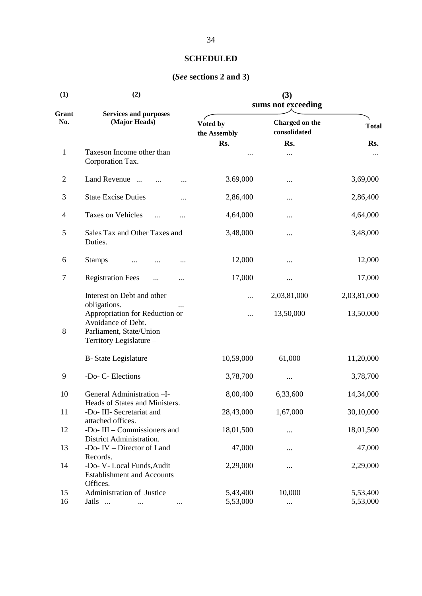| (1)              | (2)                                                                                                                        |                          | (3)<br>sums not exceeding      |              |
|------------------|----------------------------------------------------------------------------------------------------------------------------|--------------------------|--------------------------------|--------------|
| Grant<br>No.     | <b>Services and purposes</b><br>(Major Heads)                                                                              | Voted by<br>the Assembly | Charged on the<br>consolidated | <b>Total</b> |
|                  |                                                                                                                            | Rs.                      | Rs.                            | Rs.          |
| $\mathbf{1}$     | Taxeson Income other than<br>Corporation Tax.                                                                              |                          |                                |              |
| $\overline{2}$   | Land Revenue                                                                                                               | 3.69,000                 |                                | 3,69,000     |
| 3                | <b>State Excise Duties</b><br>                                                                                             | 2,86,400                 |                                | 2,86,400     |
| 4                | Taxes on Vehicles<br>.                                                                                                     | 4,64,000                 |                                | 4,64,000     |
| 5                | Sales Tax and Other Taxes and<br>Duties.                                                                                   | 3,48,000                 |                                | 3,48,000     |
| 6                | <b>Stamps</b>                                                                                                              | 12,000                   |                                | 12,000       |
| 7                | <b>Registration Fees</b>                                                                                                   | 17,000                   |                                | 17,000       |
|                  | Interest on Debt and other                                                                                                 |                          | 2,03,81,000                    | 2,03,81,000  |
| $8\,$            | obligations.<br>Appropriation for Reduction or<br>Avoidance of Debt.<br>Parliament, State/Union<br>Territory Legislature - |                          | 13,50,000                      | 13,50,000    |
|                  | <b>B-</b> State Legislature                                                                                                | 10,59,000                | 61,000                         | 11,20,000    |
| $\boldsymbol{9}$ | -Do- C- Elections                                                                                                          | 3,78,700                 | $\cdots$                       | 3,78,700     |
| 10               | General Administration-I-                                                                                                  | 8,00,400                 | 6,33,600                       | 14,34,000    |
| 11               | Heads of States and Ministers.<br>-Do- III- Secretariat and<br>attached offices.                                           | 28,43,000                | 1,67,000                       | 30,10,000    |
| 12               | -Do- III – Commissioners and                                                                                               | 18,01,500                |                                | 18,01,500    |
| 13               | District Administration.<br>-Do- IV – Director of Land                                                                     | 47,000                   |                                | 47,000       |
| 14               | Records.<br>-Do- V- Local Funds, Audit<br><b>Establishment and Accounts</b><br>Offices.                                    | 2,29,000                 |                                | 2,29,000     |
| 15               | Administration of Justice                                                                                                  | 5,43,400                 | 10,000                         | 5,53,400     |
| 16               | Jails                                                                                                                      | 5,53,000                 |                                | 5,53,000     |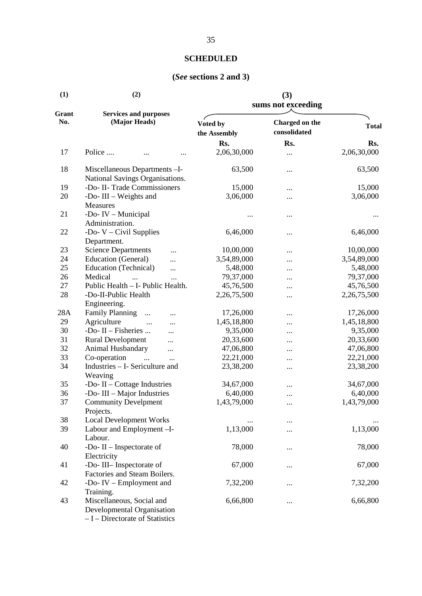| (1)          | (2)                                                                                        | (3)                      |                                |              |  |
|--------------|--------------------------------------------------------------------------------------------|--------------------------|--------------------------------|--------------|--|
|              |                                                                                            | sums not exceeding       |                                |              |  |
| Grant<br>No. | <b>Services and purposes</b><br>(Major Heads)                                              | Voted by<br>the Assembly | Charged on the<br>consolidated | <b>Total</b> |  |
|              |                                                                                            | Rs.                      | Rs.                            | Rs.          |  |
| 17           | Police                                                                                     | 2,06,30,000              | $\cdots$                       | 2,06,30,000  |  |
| 18           | Miscellaneous Departments-I-<br>National Savings Organisations.                            | 63,500                   |                                | 63,500       |  |
| 19           | -Do- II- Trade Commissioners                                                               | 15,000                   |                                | 15,000       |  |
| 20           | -Do-III $-$ Weights and                                                                    | 3,06,000                 |                                | 3,06,000     |  |
| 21           | Measures<br>-Do- IV - Municipal<br>Administration.                                         |                          |                                |              |  |
| 22           | -Do- $V - Civil$ Supplies                                                                  | 6,46,000                 |                                | 6,46,000     |  |
| 23           | Department.<br><b>Science Departments</b>                                                  | 10,00,000                |                                | 10,00,000    |  |
| 24           | <br>Education (General)                                                                    |                          |                                |              |  |
| 25           |                                                                                            | 3,54,89,000              |                                | 3,54,89,000  |  |
|              | Education (Technical)<br><br>Medical                                                       | 5,48,000                 |                                | 5,48,000     |  |
| 26           | $\dddotsc$                                                                                 | 79,37,000                |                                | 79,37,000    |  |
| 27           | Public Health - I- Public Health.                                                          | 45,76,500                |                                | 45,76,500    |  |
| 28           | -Do-II-Public Health<br>Engineering.                                                       | 2,26,75,500              |                                | 2,26,75,500  |  |
| 28A          | <b>Family Planning</b><br>$\cdots$                                                         | 17,26,000                |                                | 17,26,000    |  |
| 29           | Agriculture<br>                                                                            | 1,45,18,800              |                                | 1,45,18,800  |  |
| 30           | -Do- $II$ – Fisheries<br>                                                                  | 9,35,000                 |                                | 9,35,000     |  |
| 31           | Rural Development<br>                                                                      | 20,33,600                |                                | 20,33,600    |  |
| 32           | Animal Husbandary                                                                          | 47,06,800                |                                | 47,06,800    |  |
| 33           | $\cdots$<br>Co-operation<br>$\dddotsc$                                                     | 22,21,000                |                                | 22,21,000    |  |
| 34           | $\ddotsc$<br>Industries - I- Sericulture and                                               |                          |                                | 23,38,200    |  |
|              | Weaving                                                                                    | 23,38,200                | $\cdots$                       |              |  |
| 35           | -Do- $II$ – Cottage Industries                                                             | 34,67,000                |                                | 34,67,000    |  |
| 36           | -Do-III $-$ Major Industries                                                               | 6,40,000                 |                                | 6,40,000     |  |
| 37           | <b>Community Develpment</b>                                                                | 1,43,79,000              | $\cdots$                       | 1,43,79,000  |  |
|              | Projects.                                                                                  |                          |                                |              |  |
| 38           | Local Development Works                                                                    |                          |                                |              |  |
| 39           | Labour and Employment-I-                                                                   | 1,13,000                 |                                | 1,13,000     |  |
| 40           | Labour.<br>-Do-II – Inspectorate of                                                        | 78,000                   |                                | 78,000       |  |
|              | Electricity                                                                                |                          |                                |              |  |
| 41           | -Do-III- Inspectorate of                                                                   | 67,000                   |                                | 67,000       |  |
|              | Factories and Steam Boilers.                                                               |                          |                                |              |  |
| 42           | -Do- $IV$ – Employment and                                                                 | 7,32,200                 |                                | 7,32,200     |  |
|              | Training.                                                                                  |                          |                                |              |  |
| 43           | Miscellaneous, Social and<br>Developmental Organisation<br>- I - Directorate of Statistics | 6,66,800                 |                                | 6,66,800     |  |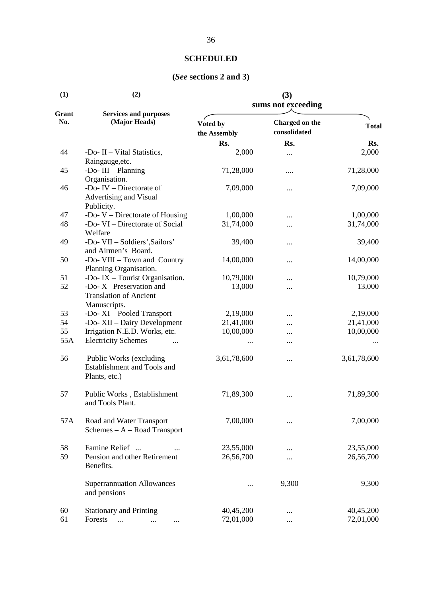| (1)          | (2)                                                        | (3)<br>sums not exceeding |                                |              |  |
|--------------|------------------------------------------------------------|---------------------------|--------------------------------|--------------|--|
| Grant<br>No. | <b>Services and purposes</b><br>(Major Heads)              | Voted by<br>the Assembly  | Charged on the<br>consolidated | <b>Total</b> |  |
|              |                                                            | Rs.                       | Rs.                            | Rs.          |  |
| 44           | -Do- II – Vital Statistics,                                | 2,000                     |                                | 2,000        |  |
|              | Raingauge, etc.                                            |                           |                                |              |  |
| 45           | -Do-III $-$ Planning                                       | 71,28,000                 |                                | 71,28,000    |  |
|              | Organisation.                                              |                           |                                |              |  |
| 46           | -Do- IV $-$ Directorate of                                 | 7,09,000                  |                                | 7,09,000     |  |
|              | Advertising and Visual<br>Publicity.                       |                           |                                |              |  |
| 47           | -Do- $V$ – Directorate of Housing                          | 1,00,000                  |                                | 1,00,000     |  |
| 48           | -Do- VI – Directorate of Social                            | 31,74,000                 |                                | 31,74,000    |  |
|              | Welfare                                                    |                           |                                |              |  |
| 49           | -Do- VII - Soldiers', Sailors'                             | 39,400                    |                                | 39,400       |  |
|              | and Airmen's Board.                                        |                           |                                |              |  |
| 50           | -Do- VIII - Town and Country                               | 14,00,000                 |                                | 14,00,000    |  |
|              | Planning Organisation.                                     |                           |                                |              |  |
| 51           | -Do- IX $-$ Tourist Organisation.                          | 10,79,000                 |                                | 10,79,000    |  |
| 52           | -Do- X- Preservation and                                   | 13,000                    | .                              | 13,000       |  |
|              | <b>Translation of Ancient</b>                              |                           |                                |              |  |
|              | Manuscripts.                                               |                           |                                |              |  |
| 53           | -Do-XI - Pooled Transport                                  | 2,19,000                  | $\cdot \cdot \cdot$            | 2,19,000     |  |
| 54           | -Do- XII - Dairy Development                               | 21,41,000                 |                                | 21,41,000    |  |
| 55           | Irrigation N.E.D. Works, etc.                              | 10,00,000                 |                                | 10,00,000    |  |
| 55A          | <b>Electricity Schemes</b>                                 |                           |                                |              |  |
| 56           | Public Works (excluding<br>Establishment and Tools and     | 3,61,78,600               | .                              | 3,61,78,600  |  |
|              | Plants, etc.)                                              |                           |                                |              |  |
| 57           | Public Works, Establishment<br>and Tools Plant.            | 71,89,300                 |                                | 71,89,300    |  |
| 57A          | Road and Water Transport<br>Schemes $- A - Road Transport$ | 7,00,000                  |                                | 7,00,000     |  |
| 58           | Famine Relief                                              | 23,55,000                 |                                | 23,55,000    |  |
| 59           | Pension and other Retirement                               | 26,56,700                 |                                | 26,56,700    |  |
|              | Benefits.                                                  |                           |                                |              |  |
|              | <b>Superrannuation Allowances</b><br>and pensions          |                           | 9,300                          | 9,300        |  |
| 60           | <b>Stationary and Printing</b>                             | 40,45,200                 |                                | 40,45,200    |  |
| 61           | Forests<br>$\cdots$<br>$\cdots$                            | 72,01,000                 |                                | 72,01,000    |  |
|              |                                                            |                           |                                |              |  |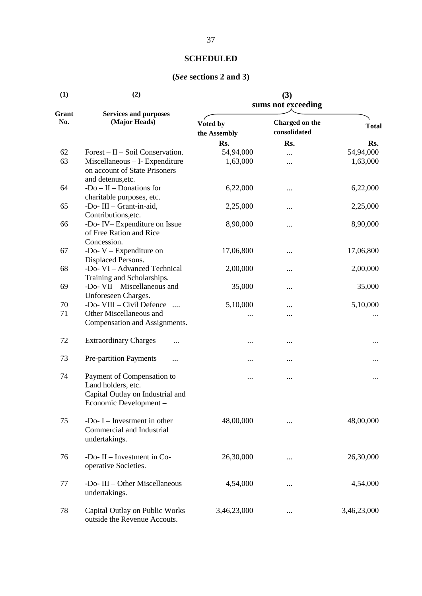| (1)          | (2)                                                                                                           | (3)<br>sums not exceeding |                                |              |  |
|--------------|---------------------------------------------------------------------------------------------------------------|---------------------------|--------------------------------|--------------|--|
| Grant<br>No. | <b>Services and purposes</b><br>(Major Heads)                                                                 | Voted by<br>the Assembly  | Charged on the<br>consolidated | <b>Total</b> |  |
|              |                                                                                                               | Rs.                       | Rs.                            | Rs.          |  |
| 62           | $Forest - II - Soil Conservation.$                                                                            | 54,94,000                 |                                | 54,94,000    |  |
| 63           | Miscellaneous - I- Expenditure<br>on account of State Prisoners<br>and detenus, etc.                          | 1,63,000                  |                                | 1,63,000     |  |
| 64           | $-Do - II - Donations for$<br>charitable purposes, etc.                                                       | 6,22,000                  |                                | 6,22,000     |  |
| 65           | -Do-III - Grant-in-aid,<br>Contributions, etc.                                                                | 2,25,000                  |                                | 2,25,000     |  |
| 66           | -Do- IV-Expenditure on Issue<br>of Free Ration and Rice<br>Concession.                                        | 8,90,000                  |                                | 8,90,000     |  |
| 67           | -Do- $V -$ Expenditure on<br>Displaced Persons.                                                               | 17,06,800                 |                                | 17,06,800    |  |
| 68           | -Do- VI - Advanced Technical<br>Training and Scholarships.                                                    | 2,00,000                  | .                              | 2,00,000     |  |
| 69           | -Do- VII - Miscellaneous and<br>Unforeseen Charges.                                                           | 35,000                    |                                | 35,000       |  |
| 70           | -Do- VIII – Civil Defence                                                                                     | 5,10,000                  |                                | 5,10,000     |  |
| 71           | Other Miscellaneous and<br>Compensation and Assignments.                                                      |                           |                                |              |  |
| 72           | <b>Extraordinary Charges</b><br>$\ddotsc$                                                                     |                           |                                |              |  |
| 73           | <b>Pre-partition Payments</b><br>$\cdots$                                                                     |                           |                                |              |  |
| 74           | Payment of Compensation to<br>Land holders, etc.<br>Capital Outlay on Industrial and<br>Economic Development- |                           |                                |              |  |
| 75           | -Do- $I$ – Investment in other<br>Commercial and Industrial<br>undertakings.                                  | 48,00,000                 |                                | 48,00,000    |  |
| 76           | -Do- $II$ – Investment in Co-<br>operative Societies.                                                         | 26,30,000                 |                                | 26,30,000    |  |
| 77           | -Do- III - Other Miscellaneous<br>undertakings.                                                               | 4,54,000                  |                                | 4,54,000     |  |
| 78           | Capital Outlay on Public Works<br>outside the Revenue Accouts.                                                | 3,46,23,000               |                                | 3,46,23,000  |  |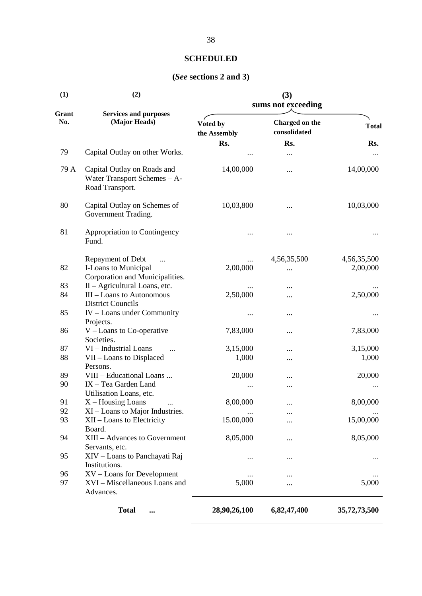| (1)          | (2)                                                                                      | (3)<br>sums not exceeding |                                |                         |  |
|--------------|------------------------------------------------------------------------------------------|---------------------------|--------------------------------|-------------------------|--|
| Grant<br>No. | <b>Services and purposes</b><br>(Major Heads)                                            | Voted by<br>the Assembly  | Charged on the<br>consolidated | <b>Total</b>            |  |
| 79           | Capital Outlay on other Works.                                                           | Rs.<br>                   | Rs.<br>$\cdots$                | Rs.<br>$\cdots$         |  |
| 79 A         | Capital Outlay on Roads and<br>Water Transport Schemes - A-<br>Road Transport.           | 14,00,000                 |                                | 14,00,000               |  |
| 80           | Capital Outlay on Schemes of<br>Government Trading.                                      | 10,03,800                 |                                | 10,03,000               |  |
| 81           | Appropriation to Contingency<br>Fund.                                                    |                           |                                |                         |  |
| 82           | Repayment of Debt<br>$\cdots$<br>I-Loans to Municipal<br>Corporation and Municipalities. | 2,00,000                  | 4,56,35,500<br>                | 4,56,35,500<br>2,00,000 |  |
| 83           | II - Agricultural Loans, etc.                                                            |                           |                                |                         |  |
| 84           | III - Loans to Autonomous<br><b>District Councils</b>                                    | 2,50,000                  |                                | 2,50,000                |  |
| 85           | IV - Loans under Community<br>Projects.                                                  |                           |                                |                         |  |
| 86           | $V$ – Loans to Co-operative<br>Societies.                                                | 7,83,000                  |                                | 7,83,000                |  |
| 87           | VI - Industrial Loans                                                                    | 3,15,000                  |                                | 3,15,000                |  |
| 88           | VII - Loans to Displaced                                                                 | 1,000                     |                                | 1,000                   |  |
|              | Persons.                                                                                 |                           |                                |                         |  |
| 89           | VIII - Educational Loans                                                                 | 20,000                    |                                | 20,000                  |  |
| 90           | IX - Tea Garden Land                                                                     |                           |                                |                         |  |
|              | Utilisation Loans, etc.                                                                  |                           |                                |                         |  |
| 91           | $X$ – Housing Loans<br>$\cdots$                                                          | 8,00,000                  |                                | 8,00,000                |  |
| 92           | XI – Loans to Major Industries.                                                          |                           |                                |                         |  |
| 93           | XII - Loans to Electricity<br>Board.                                                     | 15.00,000                 |                                | 15,00,000               |  |
| 94           | XIII - Advances to Government<br>Servants, etc.                                          | 8,05,000                  |                                | 8,05,000                |  |
| 95           | XIV - Loans to Panchayati Raj<br>Institutions.                                           |                           |                                |                         |  |
| 96           | XV - Loans for Development                                                               |                           |                                |                         |  |
| 97           | XVI - Miscellaneous Loans and<br>Advances.                                               | 5,000                     |                                | 5,000                   |  |
|              | <b>Total</b><br>$\cdots$                                                                 | 28,90,26,100              | 6,82,47,400                    | 35,72,73,500            |  |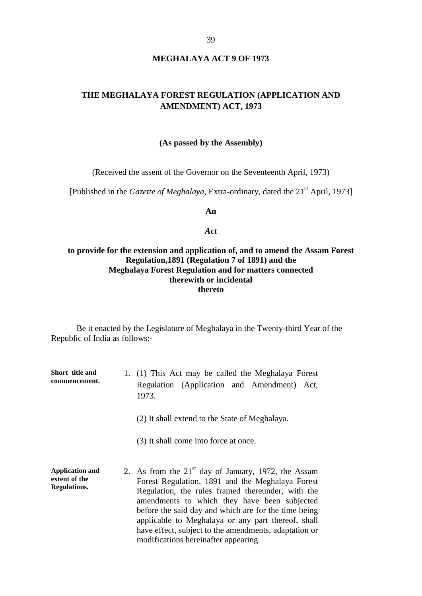### **MEGHALAYA ACT 9 OF 1973**

## **THE MEGHALAYA FOREST REGULATION (APPLICATION AND AMENDMENT) ACT, 1973**

#### **(As passed by the Assembly)**

(Received the assent of the Governor on the Seventeenth April, 1973)

[Published in the *Gazette of Meghalaya*, Extra-ordinary, dated the 21<sup>st</sup> April, 1973]

**An** 

#### *Act*

## **to provide for the extension and application of, and to amend the Assam Forest Regulation,1891 (Regulation 7 of 1891) and the Meghalaya Forest Regulation and for matters connected therewith or incidental thereto**

Be it enacted by the Legislature of Meghalaya in the Twenty-third Year of the Republic of India as follows:-

**Short title and commencement.** 1. (1) T his A ct ma y be called the M eghalaya Forest Regulation ( Application a nd A mendment) Act, 1973.

(2) It shall extend to the State of Meghalaya.

(3) It shall come into force at once.

**Application and extent of the Regulations.** 2. As from the  $21<sup>st</sup>$  day of J anuary, 1972, the A ssam Forest R egulation, 1891 a nd t he M eghalaya Forest Regulation, t he r ules f ramed t hereunder, w ith t he amendments t o w hich t hey ha ve be en s ubjected before the said day and which are for the time being applicable t o Meghalaya or any pa rt t hereof, shall have effect, subject to the amendments, adaptation or modifications hereinafter appearing.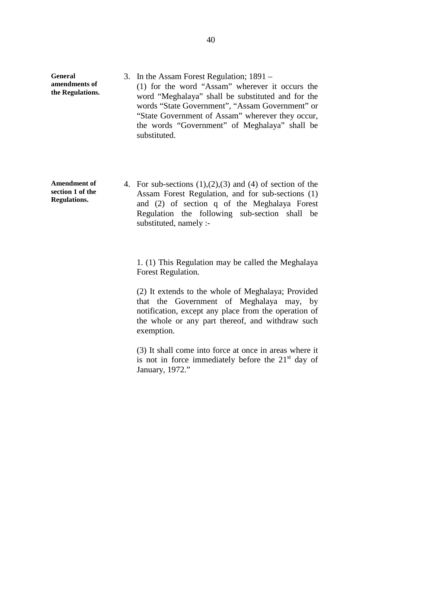- **General amendments of the Regulations.** 3. In the Assam Forest Regulation; 1891 – (1) f or t he w ord "Assam" w herever i t oc curs t he word "Meghalaya" s hall be s ubstituted and f or the words "State Government", "Assam Government" or "State Government of Assam" wherever they occur, the w ords " Government" of M eghalaya" s hall be substituted.
- **Amendment of section 1 of the Regulations.** 4. For sub-sections  $(1),(2),(3)$  and  $(4)$  of section of the Assam F orest R egulation, a nd f or s ub-sections (1) and ( 2) of s ection q of t he M eghalaya Forest Regulation t he f ollowing s ub-section s hall be substituted, namely :-

1. (1) This Regulation may be called the Meghalaya Forest Regulation.

(2) It extends to the whole of Meghalaya; Provided that t he G overnment of M eghalaya m ay, b y notification, except any place from the operation of the w hole or a ny part t hereof, and w ithdraw s uch exemption.

(3) It shall come into force at once in areas where it is not in f orce i mmediately be fore the 21 $\mathrm{^{st}}$  day of January, 1972."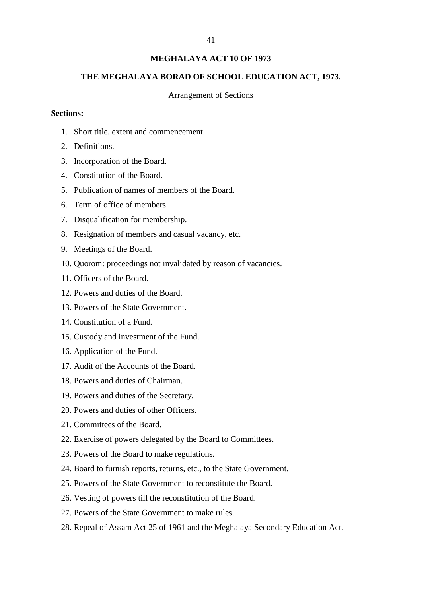## **MEGHALAYA ACT 10 OF 1973**

## **THE MEGHALAYA BORAD OF SCHOOL EDUCATION ACT, 1973.**

#### Arrangement of Sections

### **Sections:**

- 1. Short title, extent and commencement.
- 2. Definitions.
- 3. Incorporation of the Board.
- 4. Constitution of the Board.
- 5. Publication of names of members of the Board.
- 6. Term of office of members.
- 7. Disqualification for membership.
- 8. Resignation of members and casual vacancy, etc.
- 9. Meetings of the Board.
- 10. Quorom: proceedings not invalidated by reason of vacancies.
- 11. Officers of the Board.
- 12. Powers and duties of the Board.
- 13. Powers of the State Government.
- 14. Constitution of a Fund.
- 15. Custody and investment of the Fund.
- 16. Application of the Fund.
- 17. Audit of the Accounts of the Board.
- 18. Powers and duties of Chairman.
- 19. Powers and duties of the Secretary.
- 20. Powers and duties of other Officers.
- 21. Committees of the Board.
- 22. Exercise of powers delegated by the Board to Committees.
- 23. Powers of the Board to make regulations.
- 24. Board to furnish reports, returns, etc., to the State Government.
- 25. Powers of the State Government to reconstitute the Board.
- 26. Vesting of powers till the reconstitution of the Board.
- 27. Powers of the State Government to make rules.
- 28. Repeal of Assam Act 25 of 1961 and the Meghalaya Secondary Education Act.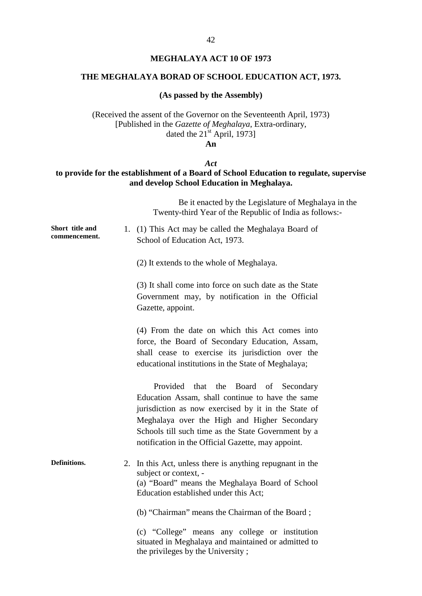## **MEGHALAYA ACT 10 OF 1973**

### **THE MEGHALAYA BORAD OF SCHOOL EDUCATION ACT, 1973.**

### **(As passed by the Assembly)**

(Received the assent of the Governor on the Seventeenth April, 1973) [Published in the *Gazette of Meghalaya*, Extra-ordinary, dated the  $21<sup>st</sup>$  April, 1973]

**An** 

## *Act*

## **to provide for the establishment of a Board of School Education to regulate, supervise and develop School Education in Meghalaya.**

|                                  | Be it enacted by the Legislature of Meghalaya in the<br>Twenty-third Year of the Republic of India as follows:-                                                                                                                                                                                                       |
|----------------------------------|-----------------------------------------------------------------------------------------------------------------------------------------------------------------------------------------------------------------------------------------------------------------------------------------------------------------------|
| Short title and<br>commencement. | 1. (1) This Act may be called the Meghalaya Board of<br>School of Education Act, 1973.                                                                                                                                                                                                                                |
|                                  | (2) It extends to the whole of Meghalaya.                                                                                                                                                                                                                                                                             |
|                                  | (3) It shall come into force on such date as the State<br>Government m ay, b y notification i n t he Official<br>Gazette, appoint.                                                                                                                                                                                    |
|                                  | $(4)$ F rom t he da te on which t his A ct c omes i nto<br>force, the Board of S econdary E ducation, A ssam,<br>exercise its jur isdiction over the<br>shall c ease to<br>educational institutions in the State of Meghalaya;                                                                                        |
|                                  | Provided t hat t he B oard of S econdary<br>Education Assam, shall continue to have the same<br>jurisdiction as now exercised by it in the S tate of<br>Meghalaya ove r t he H igh and Higher S econdary<br>Schools till such time as the State Government by a<br>notification in the Official Gazette, may appoint. |
| Definitions.                     | 2. In this Act, unless there is anything repugnant in the<br>subject or context, -<br>(a) "Board" means the Meghalaya Board of School<br>Education established under this Act;                                                                                                                                        |
|                                  | (b) "Chairman" means the Chairman of the Board;                                                                                                                                                                                                                                                                       |
|                                  | (c) " College" me ans any college or ins titution<br>situated in Meghalaya and maintained or admitted to<br>the privileges by the University;                                                                                                                                                                         |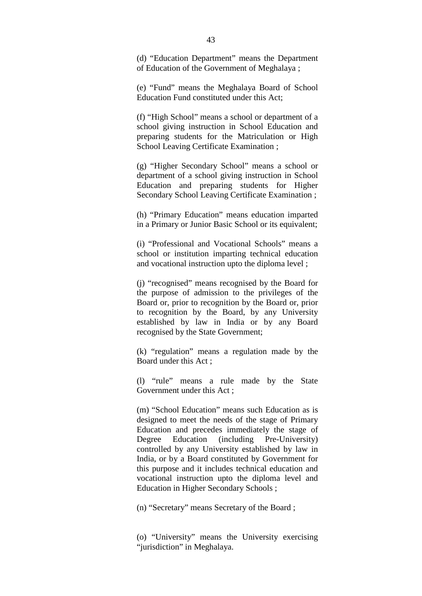(d) "E ducation Department" m eans t he D epartment of Education of the Government of Meghalaya ;

(e) " Fund" m eans t he Meghalaya Board of S chool Education Fund constituted under this Act;

(f) "High School" means a school or department of a school g iving i nstruction i n S chool E ducation a nd preparing s tudents f or the M atriculation or H igh School Leaving Certificate Examination ;

(g) "H igher S econdary School" m eans a s chool or department of a school giving instruction in School Education a nd pr eparing s tudents for H igher Secondary School Leaving Certificate Examination ;

(h) " Primary E ducation" m eans e ducation i mparted in a Primary or Junior Basic School or its equivalent;

(i) " Professional a nd V ocational S chools" m eans a school or i nstitution i mparting t echnical e ducation and vocational instruction upto the diploma level ;

(j) "recognised" means recognised by the Board for the pur pose of a dmission t o t he pr ivileges of t he Board or, prior to recognition by the Board or, prior to r ecognition b y t he Board, b y any U niversity established by l aw i n India o r b y any Board recognised by the State Government;

(k) "r egulation" m eans a r egulation made b y t he Board under this Act ;

(l) "r ule" m eans a r ule m ade b y t he S tate Government under this Act ;

(m) "School Education" means such Education as is designed to meet the needs of the stage of Primary Education and precedes i mmediately the s tage of Degree E ducation ( including P re-University) controlled b y any U niversity e stablished b y l aw i n India, or by a Board constituted by Government for this purpose and it includes technical education and vocational i nstruction u pto t he di ploma l evel and Education in Higher Secondary Schools ;

(n) "Secretary" means Secretary of the Board ;

(o) "U niversity" m eans t he U niversity exercising "jurisdiction" in Meghalaya.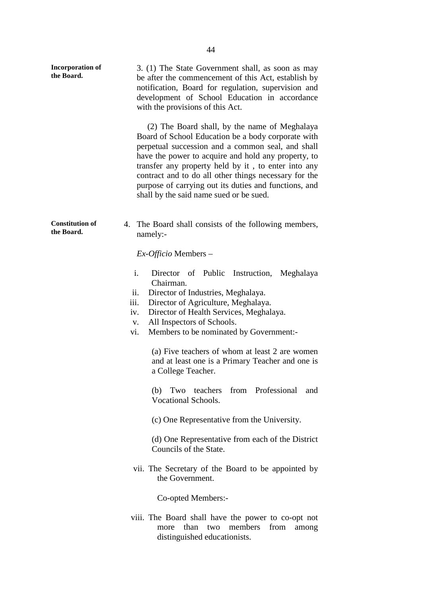| <b>Incorporation of</b><br>the Board. | 3. (1) The State Government shall, as soon as may<br>be after the commencement of this Act, establish by<br>notification, B oard f or r egulation, s upervision a nd<br>development of S chool E ducation i n a ccordance<br>with the provisions of this Act.<br>(2) The Board shall, by the name of Meghalaya<br>Board of School Education be a body corporate with<br>perpetual succession and a common seal, and shall<br>have the power to acquire and hold any property, to<br>transfer any property held by it, to enter into any<br>contract and to do all other things necessary for the<br>purpose of carrying out its duties and functions, and<br>shall by the said name sued or be sued. |
|---------------------------------------|------------------------------------------------------------------------------------------------------------------------------------------------------------------------------------------------------------------------------------------------------------------------------------------------------------------------------------------------------------------------------------------------------------------------------------------------------------------------------------------------------------------------------------------------------------------------------------------------------------------------------------------------------------------------------------------------------|
| <b>Constitution of</b><br>the Board.  | 4. The Board shall consists of the following members,<br>namely:-                                                                                                                                                                                                                                                                                                                                                                                                                                                                                                                                                                                                                                    |
|                                       | $Ex-Officio$ Members –                                                                                                                                                                                                                                                                                                                                                                                                                                                                                                                                                                                                                                                                               |
|                                       | i.<br>Director o fP ublic Instruction, M eghalaya<br>Chairman.<br>Director of Industries, Meghalaya.<br>11.<br>Director of Agriculture, Meghalaya.<br>iii.<br>iv.<br>Director of Health Services, Meghalaya.<br>All Inspectors of Schools.<br>V.<br>Members to be nominated by Government:-<br>vi.                                                                                                                                                                                                                                                                                                                                                                                                   |
|                                       | (a) Five teachers of whom at least 2 are women<br>and at least one is a Primary Teacher and one is<br>a College Teacher.                                                                                                                                                                                                                                                                                                                                                                                                                                                                                                                                                                             |
|                                       | Two teachers f rom P rofessional and<br>(b)<br>Vocational Schools.                                                                                                                                                                                                                                                                                                                                                                                                                                                                                                                                                                                                                                   |
|                                       | (c) One Representative from the University.                                                                                                                                                                                                                                                                                                                                                                                                                                                                                                                                                                                                                                                          |
|                                       | (d) One Representative from each of the District<br>Councils of the State.                                                                                                                                                                                                                                                                                                                                                                                                                                                                                                                                                                                                                           |
|                                       | vii. The S ecretary of the Board to be appointed by<br>the Government.                                                                                                                                                                                                                                                                                                                                                                                                                                                                                                                                                                                                                               |
|                                       | Co-opted Members:-                                                                                                                                                                                                                                                                                                                                                                                                                                                                                                                                                                                                                                                                                   |
|                                       | viii. The B oard s hall ha ve t he pow er t o c o-opt not<br>more t han t wo m embers f rom a mong<br>distinguished educationists.                                                                                                                                                                                                                                                                                                                                                                                                                                                                                                                                                                   |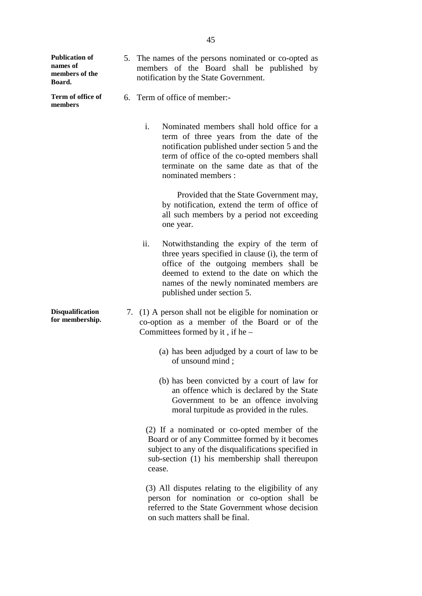| <b>Publication of</b><br>names of<br>members of the<br>Board. | 5. The names of the persons nominated or co-opted as<br>members of the B oard s hall be published by<br>notification by the State Government.                                                                                                                                  |
|---------------------------------------------------------------|--------------------------------------------------------------------------------------------------------------------------------------------------------------------------------------------------------------------------------------------------------------------------------|
| Term of office of<br>members                                  | 6. Term of office of member:-                                                                                                                                                                                                                                                  |
|                                                               | $\mathbf{i}$ .<br>Nominated members shall hold office for a<br>term of three years from the date of the<br>notification published under section 5 and the<br>term of office of the co-opted members shall<br>terminate on the s ame date as that of the<br>nominated members : |
|                                                               | Provided that the State Government may,<br>by not ification, extend the term of office of<br>all such members by a p eriod not exceeding<br>one year.                                                                                                                          |
|                                                               | ii.<br>Notwithstanding the e xpiry of the term of<br>three years specified in clause (i), the term of<br>office of t he out going m embers s hall be<br>deemed to extend to the date on w hich the<br>names of the newly nominated members are<br>published under section 5.   |
| <b>Disqualification</b><br>for membership.                    | 7. (1) A person shall not be eligible for nomination or<br>co-option a s a m ember of the B oard o r of the<br>Committees formed by it, if he $-$                                                                                                                              |
|                                                               | (a) has been adjudged by a court of law to be<br>of unsound mind;                                                                                                                                                                                                              |
|                                                               | (b) has been convicted by a court of law for<br>an offence which is declared by the State<br>Government t o be a n of fence i nvolving<br>moral turpitude as provided in the rules.                                                                                            |
|                                                               | $(2)$ If a nom inated or c o-opted m ember of the<br>Board or of any Committee formed by it becomes<br>subject to any of the disqualifications specified in<br>sub-section (1) his m embership s hall thereupon<br>cease.                                                      |
|                                                               | $(3)$ All disputes relating to the eligibility of any<br>person f or nom ination or c o-option s hall be<br>referred to the State Government whose decision<br>on such matters shall be final.                                                                                 |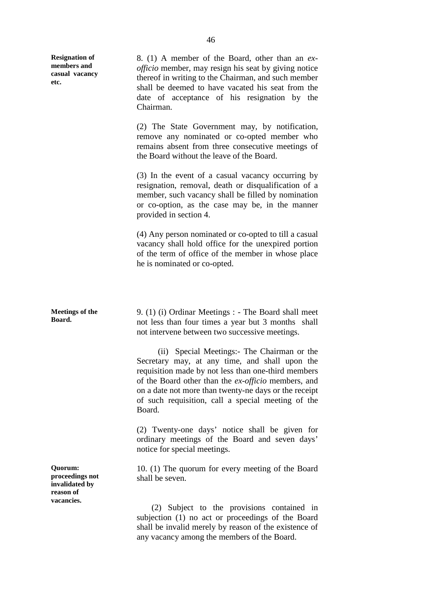| <b>Resignation of</b><br>members and<br>casual vacancy<br>etc.          | 8. (1) A m ember of the B oard, other than a n ex-<br><i>officio</i> member, may resign his seat by giving notice<br>thereof in writing to the Chairman, and such member<br>shall be deemed to have vacated his seat from the<br>date of ac ceptance of hi s r esignation by the<br>Chairman.                                                   |
|-------------------------------------------------------------------------|-------------------------------------------------------------------------------------------------------------------------------------------------------------------------------------------------------------------------------------------------------------------------------------------------------------------------------------------------|
|                                                                         | $(2)$ T he S tate G overnment m ay, b y not ification,<br>remove any nom inated or co-opted m ember who<br>remains abs ent from three consecutive meetings of<br>the Board without the leave of the Board.                                                                                                                                      |
|                                                                         | (3) In the e vent of a casual va cancy oc curring by<br>resignation, r emoval, death or di squalification of a<br>member, such vacancy shall be filled by nomination<br>or co-option, as the c ase m ay b e, i n the m anner<br>provided in section 4.                                                                                          |
|                                                                         | (4) Any person nominated or co-opted to till a casual<br>vacancy shall hold of fice for the une xpired portion<br>of the term of office of the member in whose place<br>he is nominated or co-opted.                                                                                                                                            |
|                                                                         |                                                                                                                                                                                                                                                                                                                                                 |
| <b>Meetings of the</b><br>Board.                                        | 9. (1) (i) Ordinar Meetings : - The Board shall meet<br>not less than four times a year but 3 months shall<br>not intervene between two successive meetings.                                                                                                                                                                                    |
|                                                                         |                                                                                                                                                                                                                                                                                                                                                 |
|                                                                         | (ii) Special Meetings: The Chairman or the<br>Secretary m ay, at a ny t ime, a nd s hall upon t he<br>requisition made by not less than one-third members<br>of the Board other than the ex-officio members, and<br>on a date not more than twenty-ne days or the receipt<br>of s uch requisition, c all a s pecial m eeting o f t he<br>Board. |
|                                                                         | $(2)$ T wenty-one da ys' notice s hall be given for<br>ordinary m eetings o f t he B oard and seven d ays'<br>notice for special meetings.                                                                                                                                                                                                      |
| Quorum:<br>proceedings not<br>invalidated by<br>reason of<br>vacancies. | 10. (1) The quorum for every meeting of the Board<br>shall be seven.                                                                                                                                                                                                                                                                            |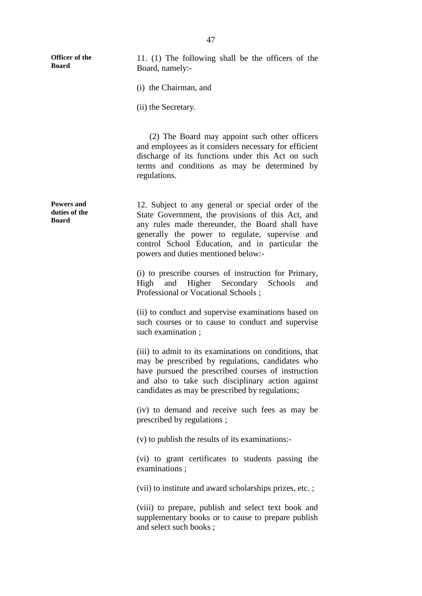| Officer of the<br><b>Board</b>                     | 11. $(1)$ T he f ollowing s hall be t he of ficers of t he<br>Board, namely:-                                                                                                                                                                                                                                           |
|----------------------------------------------------|-------------------------------------------------------------------------------------------------------------------------------------------------------------------------------------------------------------------------------------------------------------------------------------------------------------------------|
|                                                    | (i) the Chairman, and                                                                                                                                                                                                                                                                                                   |
|                                                    | (ii) the Secretary.                                                                                                                                                                                                                                                                                                     |
|                                                    | $(2)$ T he B oard m ay appoint s uch ot her of ficers<br>and employees as it considers necessary for efficient<br>discharge of i ts f unctions under this A ct on s uch<br>terms a nd c onditions a s m ay b e de termined by<br>regulations.                                                                           |
| <b>Powers and</b><br>duties of the<br><b>Board</b> | 12. Subject to any general or special or der of the<br>State G overnment, the pr ovisions of this A ct, and<br>any rules m ade t hereunder, t he Board s hall ha ve<br>generally t he pow er t o regulate, supervise and<br>control S chool E ducation, a nd i n pa rticular the<br>powers and duties mentioned below:- |
|                                                    | (i) to prescribe courses of instruction for P rimary,<br>High a nd Higher S econdary<br>Schools a<br>nd<br>Professional or Vocational Schools;                                                                                                                                                                          |
|                                                    | (ii) to conduct and supervise examinations based on<br>such courses or to cause to conduct and supervise<br>such examination;                                                                                                                                                                                           |
|                                                    | (iii) to admit to its examinations on conditions, that<br>may be pr escribed b y r egulations, c andidates w ho<br>have pur sued the pr escribed c ourses of i nstruction<br>and a lso t o t ake s uch disciplinary action a gainst<br>candidates as may be prescribed by regulations;                                  |
|                                                    | (iv) t o de mand a nd r eceive s uch f ees as m ay be<br>prescribed by regulations;                                                                                                                                                                                                                                     |
|                                                    | (v) to publish the results of its examinations:-                                                                                                                                                                                                                                                                        |
|                                                    | (vi) to grant c ertificates to students pa ssing t he<br>examinations;                                                                                                                                                                                                                                                  |
|                                                    | (vii) to institute and award scholarships prizes, etc.;                                                                                                                                                                                                                                                                 |
|                                                    | (viii) to pr epare, publ ish a nd s elect t ext book a nd<br>supplementary books or to cause to prepare publish<br>and select such books;                                                                                                                                                                               |
|                                                    |                                                                                                                                                                                                                                                                                                                         |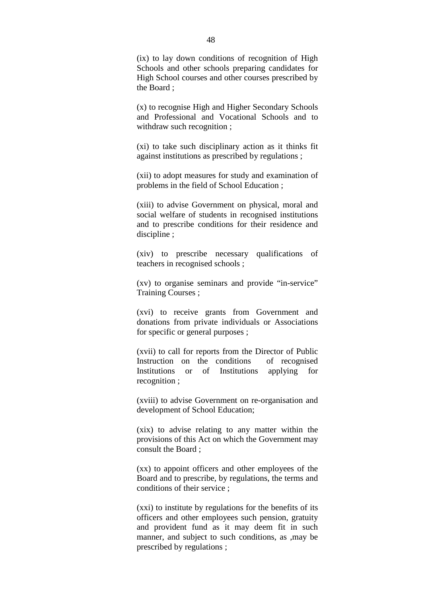$(ix)$  to l ay down c onditions of recognition of High Schools a nd ot her s chools pr eparing c andidates for High School courses and other courses prescribed by the Board ;

(x) to recognise High and Higher Secondary Schools and P rofessional a nd Vocational S chools a nd t o withdraw such recognition ;

(xi) to take s uch disciplinary action as it thi nks f it against institutions as prescribed by regulations ;

(xii) to adopt measures for study and examination of problems in the field of School Education ;

(xiii) to a dvise G overnment on ph ysical, m oral a nd social w elfare of s tudents in recognised institutions and t o pr escribe c onditions f or t heir r esidence a nd discipline ;

(xiv) to pr escribe ne cessary qualifications of teachers in recognised schools ;

(xv) t o or ganise s eminars a nd p rovide "in-service" Training Courses ;

(xvi) t o r eceive grants f rom G overnment and donations f rom pr ivate individuals or A ssociations for specific or general purposes ;

(xvii) to call for reports from the Director of Public Instruction on t he c onditions of r ecognised Institutions or of Institutions a pplying for recognition ;

(xviii) to advise Government on r e-organisation and development of School Education;

(xix) to advise r elating to any m atter within the provisions of this Act on which the Government may consult the Board ;

(xx) to appoint officers and other employees of the Board and to prescribe, by regulations, the terms and conditions of their service ;

(xxi) to institute by regulations for the benefits of its officers and other employees such pension, gratuity and pr ovident fund a s i t m ay deem f it i n s uch manner, and subject to such conditions, as , may be prescribed by regulations ;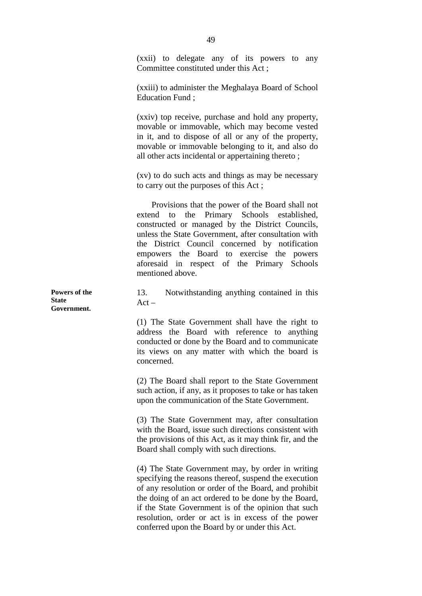(xxii) to delegate a ny of its pow ers to any Committee constituted under this Act ;

(xxiii) to administer the Meghalaya Board of School Education Fund ;

(xxiv) top receive, pu rchase and hold any property, movable or i mmovable, w hich m ay be come ve sted in it, and to di spose of all or any of the p roperty, movable or immovable belonging to it, and also do all other acts incidental or appertaining thereto ;

(xv) to do s uch acts and things as may be necessary to carry out the purposes of this Act ;

 Provisions that the power of the Board shall not extend t o t he P rimary S chools established, constructed or m anaged b y t he D istrict C ouncils, unless the State Government, after consultation with the D istrict C ouncil c oncerned b y not ification empowers t he B oard t o exercise t he pow ers aforesaid in respect of the P rimary S chools mentioned above.

13. N otwithstanding a nything contained in this  $Act -$ 

(1) T he S tate Government s hall ha ve t he r ight t o address t he B oard with reference t o anything conducted or done by the Board and to communicate its vi ews on any ma tter w ith which the boa rd is concerned.

(2) The Board shall report to the State Government such action, if any, as it proposes to take or has taken upon the communication of the State Government.

(3) T he S tate Government m ay, after c onsultation with the Board, issue such directions consistent with the provisions of this Act, as it may think fir, and the Board shall comply with such directions.

(4) The State Government may, by order in writing specifying the reasons thereof, suspend the execution of any resolution or order of the Board, and prohibit the doing of an act ordered to be done by the Board, if the State G overnment is of the opinion that such resolution, or der or act i s i n e xcess of t he po wer conferred upon the Board by or under this Act.

**Powers of the State Government.**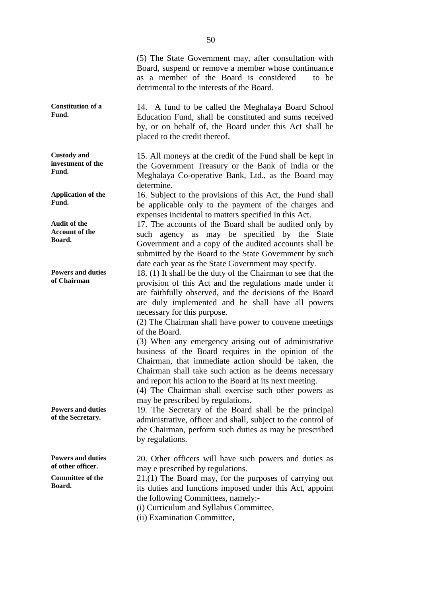|                                                                                    | $(5)$ T he S tate Government m ay, after consultation with<br>Board, suspend or remove a member whose continuance<br>as a m ember of the B oard i s c onsidered<br>t o be<br>detrimental to the interests of the Board.                                                                                                                                                                                                                                                                                                                           |
|------------------------------------------------------------------------------------|---------------------------------------------------------------------------------------------------------------------------------------------------------------------------------------------------------------------------------------------------------------------------------------------------------------------------------------------------------------------------------------------------------------------------------------------------------------------------------------------------------------------------------------------------|
| <b>Constitution of a</b><br>Fund.                                                  | 14. A fund to be called the Meghalaya Board School<br>Education Fund, shall be constituted and sums received<br>by, or on be half of, the B oard under this A ct shall be<br>placed to the credit thereof.                                                                                                                                                                                                                                                                                                                                        |
| <b>Custody</b> and<br>investment of the<br>Fund.                                   | 15. All moneys at the credit of the Fund shall be kept in<br>the G overnment T reasury or the Bank of India or the<br>Meghalaya C o-operative B ank, Ltd., a s the Board m ay<br>determine.                                                                                                                                                                                                                                                                                                                                                       |
| <b>Application of the</b><br>Fund.                                                 | 16. Subject to the provisions of this Act, the Fund shall<br>be a pplicable only to the payment of the charges and<br>expenses incidental to matters specified in this Act.                                                                                                                                                                                                                                                                                                                                                                       |
| <b>Audit of the</b><br><b>Account of the</b><br>Board.                             | 17. The accounts of the Board shall be audited only by<br>such agency as m ay be s pecified by t he S tate<br>Government and a copy of the audited accounts shall be<br>submitted by the Board to the State Government by such<br>date each year as the State Government may specify.                                                                                                                                                                                                                                                             |
| <b>Powers and duties</b><br>of Chairman                                            | 18. (1) It shall be the duty of the Chairman to see that the<br>provision of this A ct and the regulations made under it<br>are faithfully observed, and the de cisions of the Board<br>are dul y i mplemented a nd he s hall ha ve a ll pow ers<br>necessary for this purpose.<br>(2) The Chairman shall have power to convene meetings<br>of the Board.<br>(3) W hen a ny e mergency a rising out of a dministrative<br>business of the B oard r equires i n the opi nion of the<br>Chairman, t hat i mmediate a ction s hould b e t aken, t he |
|                                                                                    | Chairman shall take such action as he deems ne cessary<br>and report his action to the Board at its next meeting.<br>$(4)$ T he C hairman shall ex ercise s uch ot her po wers as<br>may be prescribed by regulations.                                                                                                                                                                                                                                                                                                                            |
| <b>Powers and duties</b><br>of the Secretary.                                      | 19. The S ecretary of the Board shall be the p rincipal<br>administrative, officer and shall, subject to the control of<br>the Chairman, perform such duties as may be prescribed<br>by regulations.                                                                                                                                                                                                                                                                                                                                              |
| <b>Powers and duties</b><br>of other officer.<br><b>Committee of the</b><br>Board. | 20. O ther o fficers will have such powers and duties as<br>may e prescribed by regulations.<br>$21.(1)$ The Board may, for the purposes of carrying out<br>its duties and functions imposed under this Act, appoint<br>the following Committees, namely:-<br>(i) Curriculum and Syllabus Committee,<br>(ii) Examination Committee,                                                                                                                                                                                                               |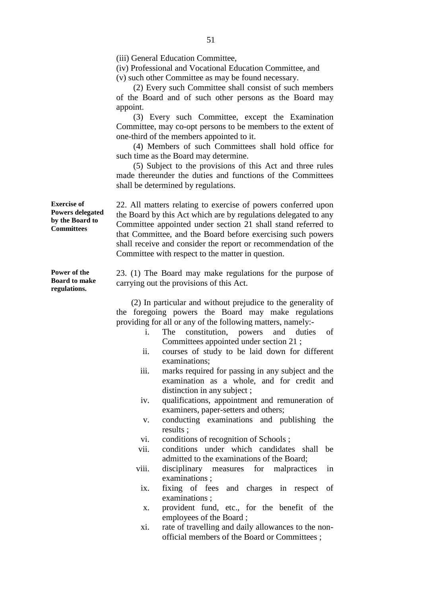(iii) General Education Committee,

(iv) Professional and Vocational Education Committee, and (v) such other Committee as may be found necessary.

 (2) Every such Committee shall consist of such members of t he B oard a nd of s uch ot her pe rsons as t he B oard m ay appoint.

 (3) E very s uch Committee, except the E xamination Committee, may co-opt persons to be members to the extent of one-third of the members appointed to it.

 (4) M embers of s uch C ommittees s hall hol d of fice for such time as the Board may determine.

 (5) S ubject t o t he pr ovisions of t his A ct a nd t hree r ules made t hereunder t he dut ies a nd f unctions of t he C ommittees shall be determined by regulations.

22. A ll m atters r elating to e xercise of pow ers c onferred upon the Board by this Act which are by regulations delegated to any Committee a ppointed un der s ection 21 s hall s tand r eferred t o that Committee, and the Board before exercising such powers shall receive and consider the report or recommendation of the Committee with respect to the matter in question.

23. ( 1) T he Board m ay m ake r egulations f or t he pur pose of carrying out the provisions of this Act.

 (2) In particular and without prejudice to the generality of the f oregoing po wers t he B oard m ay m ake r egulations providing for all or any of the following matters, namely:-

- i. The c onstitution, pow ers a nd dut ies o f Committees appointed under section 21 ;
- ii. courses of s tudy t o be l aid dow n f or di fferent examinations;
- iii. marks required for passing in any subject and the examination a s a w hole, a nd f or c redit a nd distinction in any subject ;
- iv. qualifications, a ppointment a nd r emuneration of examiners, paper-setters and others;
- v. conducting examinations a nd publ ishing t he results ;
- vi. conditions of recognition of Schools ;
- vii. conditions unde r w hich c andidates s hall be admitted to the examinations of the Board;
- viii. disciplinary m easures f or m alpractices i n examinations ;
	- ix. fixing of fees and charges i n respect of examinations ;
	- x. provident f und, e tc., f or t he be nefit of t he employees of the Board ;
	- xi. rate of travelling and daily allowances to the nonofficial members of the Board or Committees ;

**Exercise of Powers delegated by the Board to Committees**

**Power of the Board to make regulations.**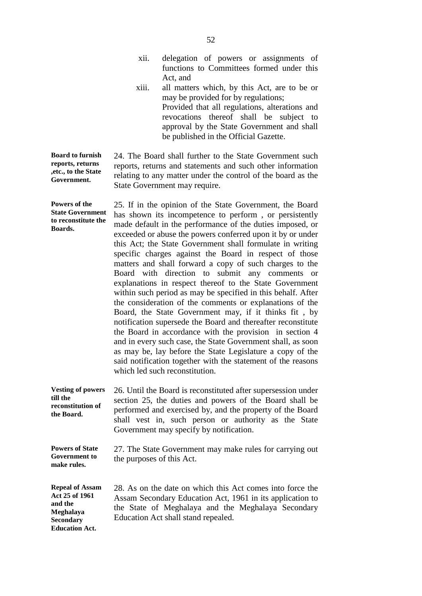|                                                                                                               | xii.                      | delegation of pow ers or a ssignments of<br>functions to C ommittees f ormed under this<br>Act, and                                                                                                                                                                                                                                                                                                                                                                                                                                                                                                                                                                                                                                                                                                                                                                                                                                                                                                                                                                                                                      |
|---------------------------------------------------------------------------------------------------------------|---------------------------|--------------------------------------------------------------------------------------------------------------------------------------------------------------------------------------------------------------------------------------------------------------------------------------------------------------------------------------------------------------------------------------------------------------------------------------------------------------------------------------------------------------------------------------------------------------------------------------------------------------------------------------------------------------------------------------------------------------------------------------------------------------------------------------------------------------------------------------------------------------------------------------------------------------------------------------------------------------------------------------------------------------------------------------------------------------------------------------------------------------------------|
|                                                                                                               | xiii.                     | all matters which, by this A ct, are to be or<br>may be provided for by regulations;<br>Provided that all regulations, alterations and<br>revocations thereof shall be subject to<br>approval by the State Government and shall<br>be published in the Official Gazette.                                                                                                                                                                                                                                                                                                                                                                                                                                                                                                                                                                                                                                                                                                                                                                                                                                                 |
| <b>Board to furnish</b><br>reports, returns<br>, etc., to the State<br>Government.                            |                           | 24. The Board shall further to the State Government such<br>reports, returns and statements and such other information<br>relating to any matter under the control of the board as the<br>State Government may require.                                                                                                                                                                                                                                                                                                                                                                                                                                                                                                                                                                                                                                                                                                                                                                                                                                                                                                  |
| Powers of the<br><b>State Government</b><br>to reconstitute the<br>Boards.                                    |                           | 25. If in the opinion of the State Government, the Board<br>has s hown i ts i ncompetence t o pe rform, or persistently<br>made default in the performance of the duties imposed, or<br>exceeded or abuse the powers conferred upon it by or under<br>this A ct; the State G overnment shall formulate in writing<br>specific ch arges a gainst t he B oard in respect of t hose<br>matters and shall forward a copy of such charges to the<br>Board w ith direction to<br>submit a ny comments or<br>explanations in respect thereof to the S tate Government<br>within such period as may be specified in this behalf. After<br>the consideration of the comments or explanations of the<br>Board, t he S tate G overnment m ay, i f i t t hinks f it, b y<br>notification supersede the Board and thereafter reconstitute<br>the B oard in a ccordance with the provision in section 4<br>and in every such case, the State Government shall, as soon<br>as may be, lay be fore the State Legislature a copy of the<br>said notification together with the statement of the reasons<br>which led such reconstitution. |
| <b>Vesting of powers</b><br>till the<br>reconstitution of<br>the Board.                                       |                           | 26. Until the Board is reconstituted after supersession under<br>section 25, t he dut ies a nd pow ers of the Board shall be<br>performed and exercised by, and the property of the Board<br>shall ve st i n, s uch pe rson or a uthority as t he S tate<br>Government may specify by notification.                                                                                                                                                                                                                                                                                                                                                                                                                                                                                                                                                                                                                                                                                                                                                                                                                      |
| <b>Powers of State</b><br><b>Government to</b><br>make rules.                                                 | the purposes of this Act. | 27. The State Government may make rules for carrying out                                                                                                                                                                                                                                                                                                                                                                                                                                                                                                                                                                                                                                                                                                                                                                                                                                                                                                                                                                                                                                                                 |
| <b>Repeal of Assam</b><br>Act 25 of 1961<br>and the<br>Meghalaya<br><b>Secondary</b><br><b>Education Act.</b> |                           | 28. As on the date on which this Act comes into force the<br>Assam Secondary Education Act, 1961 in its application to<br>the S tate of M eghalaya and the M eghalaya Secondary<br>Education Act shall stand repealed.                                                                                                                                                                                                                                                                                                                                                                                                                                                                                                                                                                                                                                                                                                                                                                                                                                                                                                   |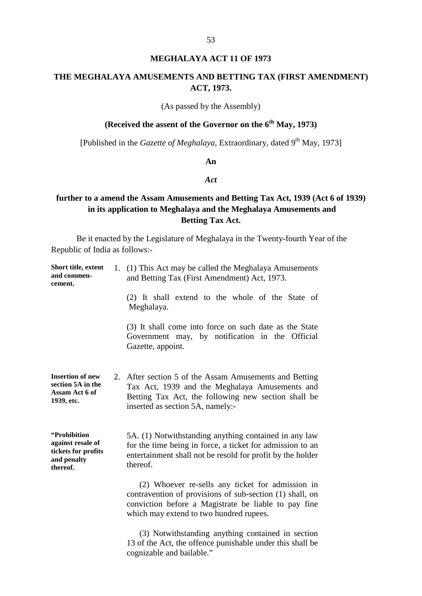## **MEGHALAYA ACT 11 OF 1973**

## **THE MEGHALAYA AMUSEMENTS AND BETTING TAX (FIRST AMENDMENT) ACT, 1973.**

(As passed by the Assembly)

## **(Received the assent of the Governor on the 6<sup>th</sup> May, 1973)**

[Published in the *Gazette of Meghalaya*, Extraordinary, dated 9<sup>th</sup> May, 1973]

## **An**

#### *Act*

## **further to a amend the Assam Amusements and Betting Tax Act, 1939 (Act 6 of 1939) in its application to Meghalaya and the Meghalaya Amusements and Betting Tax Act.**

| Short title, extent<br>and commen-<br>cement.                                       | 1. (1) This Act may be called the Meghalaya Amusements<br>and Betting Tax (First Amendment) Act, 1973.                                                                                                                    |
|-------------------------------------------------------------------------------------|---------------------------------------------------------------------------------------------------------------------------------------------------------------------------------------------------------------------------|
|                                                                                     | (2) It s hall extend to t he w hole of t he S tate of<br>Meghalaya.                                                                                                                                                       |
|                                                                                     | (3) It shall come into force on such date as the State<br>Government may, by not ification in the O fficial<br>Gazette, appoint.                                                                                          |
| <b>Insertion of new</b><br>section 5A in the<br>Assam Act 6 of<br>1939, etc.        | 2. After section 5 of the Assam Amusements and Betting<br>Tax A ct, 1939 a nd t he M eghalaya A musements a nd<br>Betting Tax A ct, the f ollowing new s ection shall be<br>inserted as section 5A, namely:-              |
| "Prohibition<br>against resale of<br>tickets for profits<br>and penalty<br>thereof. | 5A. (1) Notwithstanding anything contained in any law<br>for the time being in force, a ticket for admission to an<br>entertainment shall not be resold for profit by the holder<br>thereof.                              |
|                                                                                     | (2) W hoever re-sells a ny tic ket f or a dmission in<br>contravention of provisions of sub-section (1) shall, on<br>conviction be fore a M agistrate be 1 iable t o pa y fine<br>which may extend to two hundred rupees. |
|                                                                                     | (3) N otwithstanding anything contained in section<br>13 of the Act, the offence punishable under this shall be<br>cognizable and bailable."                                                                              |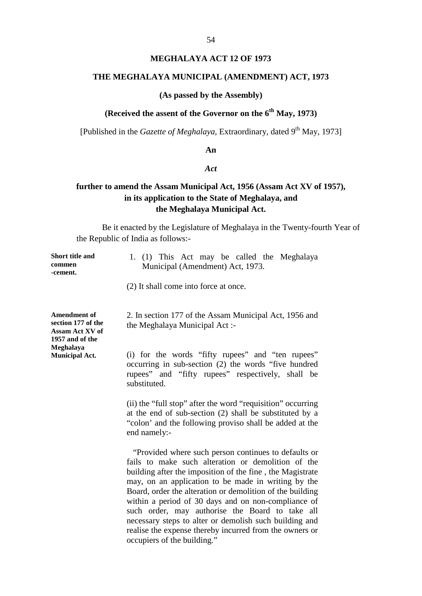# **MEGHALAYA ACT 12 OF 1973**

#### **THE MEGHALAYA MUNICIPAL (AMENDMENT) ACT, 1973**

### **(As passed by the Assembly)**

## (Received the assent of the Governor on the 6<sup>th</sup> May, 1973)

[Published in the *Gazette of Meghalaya*, Extraordinary, dated 9<sup>th</sup> May, 1973]

#### **An**

#### *Act*

## **further to amend the Assam Municipal Act, 1956 (Assam Act XV of 1957), in its application to the State of Meghalaya, and the Meghalaya Municipal Act.**

| <b>Short title and</b><br>commen<br>-cement.                                    | 1. (1) T his A ct m ay b e cal led the M eghalaya<br>Municipal (Amendment) Act, 1973.                                                                                                                                                                                                                                                                                                                                                                                                                                                                                      |
|---------------------------------------------------------------------------------|----------------------------------------------------------------------------------------------------------------------------------------------------------------------------------------------------------------------------------------------------------------------------------------------------------------------------------------------------------------------------------------------------------------------------------------------------------------------------------------------------------------------------------------------------------------------------|
|                                                                                 | (2) It shall come into force at once.                                                                                                                                                                                                                                                                                                                                                                                                                                                                                                                                      |
| <b>Amendment of</b><br>section 177 of the<br>Assam Act XV of<br>1957 and of the | 2. In section 177 of the Assam Municipal Act, 1956 and<br>the Meghalaya Municipal Act:-                                                                                                                                                                                                                                                                                                                                                                                                                                                                                    |
| Meghalaya<br><b>Municipal Act.</b>                                              | (i) f or t he w ords " fifty rupees" a nd " ten r upees"<br>occurring in s ub-section (2) the w ords "five hu ndred<br>rupees" and "fifty r upees" r espectively, shall be<br>substituted.                                                                                                                                                                                                                                                                                                                                                                                 |
|                                                                                 | (ii) the "full stop" after the word "requisition" occurring<br>at the end of $sub-section(2)$ shall be substituted by a<br>"colon' and the following proviso shall be added at the<br>end namely:-                                                                                                                                                                                                                                                                                                                                                                         |
|                                                                                 | "Provided where such person continues to defaults or<br>fails t o m ake s uch a Iteration or de molition of t he<br>building after the imposition of the fine, the Magistrate<br>may, on a n a pplication to be m ade in w riting by the<br>Board, order the alteration or demolition of the building<br>within a period of 30 days and on non-compliance of<br>such or der, m ay authorise t he B oard t o t ake a ll<br>necessary steps to alter or demolish such building and<br>realise the expense thereby incurred from the owners or<br>occupiers of the building." |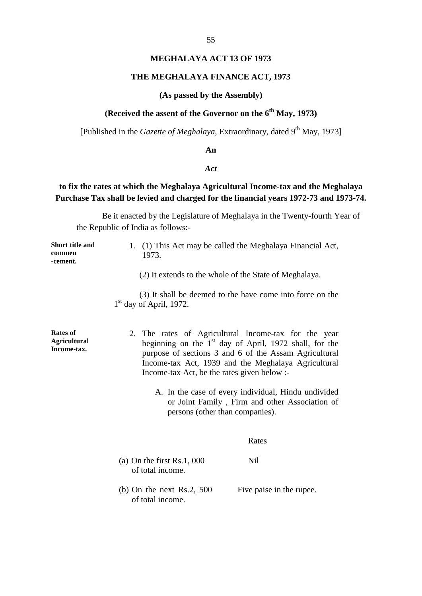### **MEGHALAYA ACT 13 OF 1973**

#### **THE MEGHALAYA FINANCE ACT, 1973**

#### **(As passed by the Assembly)**

## **(Received the assent of the Governor on the 6<sup>th</sup> May, 1973)**

[Published in the *Gazette of Meghalaya*, Extraordinary, dated 9<sup>th</sup> May, 1973]

#### **An**

#### *Act*

## **to fix the rates at which the Meghalaya Agricultural Income-tax and the Meghalaya Purchase Tax shall be levied and charged for the financial years 1972-73 and 1973-74.**

| <b>Short title and</b><br>commen<br>-cement.   | 1973.                                            | 1. (1) This Act may be called the Meghalaya Financial Act,                                                                                                                                                                                               |
|------------------------------------------------|--------------------------------------------------|----------------------------------------------------------------------------------------------------------------------------------------------------------------------------------------------------------------------------------------------------------|
|                                                |                                                  | (2) It extends to the whole of the State of Meghalaya.                                                                                                                                                                                                   |
|                                                | $1st$ day of April, 1972.                        | (3) It shall be deemed to the have come into force on the                                                                                                                                                                                                |
| Rates of<br><b>Agricultural</b><br>Income-tax. | Income-tax Act, be the rates given below :-      | 2. The r ates of A gricultural Income-tax f or t he year<br>beginning on t he 1 <sup>st</sup> day of A pril, 1972 s hall, for the<br>purpose of sections 3 a nd 6 of the Assam A gricultural<br>Income-tax A ct, 1939 a nd t he M eghalaya A gricultural |
|                                                |                                                  | A. In the case of every individual, Hindu undivided<br>or Joint Family, Firm and other Association of<br>persons (other than companies).                                                                                                                 |
|                                                |                                                  | Rates                                                                                                                                                                                                                                                    |
|                                                | (a) On the first $Rs.1,000$<br>of total income.  | Nil                                                                                                                                                                                                                                                      |
|                                                | (b) On the next R s.2, $500$<br>of total income. | Five paise in the rupee.                                                                                                                                                                                                                                 |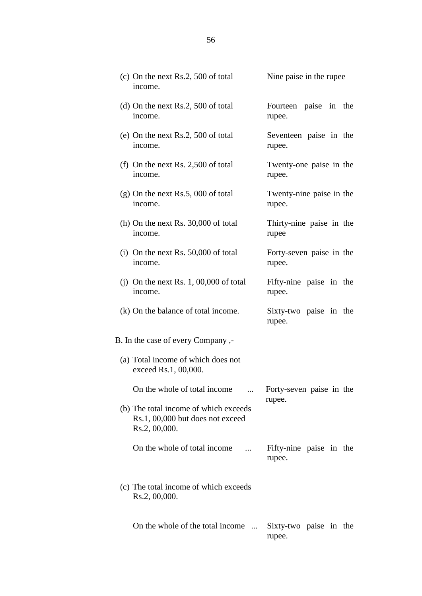| (c) On the next Rs.2, 500 of total<br>income.                                              | Nine paise in the rupee             |
|--------------------------------------------------------------------------------------------|-------------------------------------|
| (d) On the next Rs.2, 500 of total                                                         | Fourteen paise i n the              |
| income.                                                                                    | rupee.                              |
| (e) On the next Rs.2, 500 of total                                                         | Seventeen paise i n the             |
| income.                                                                                    | rupee.                              |
| (f) On the next Rs. $2,500$ of total                                                       | Twenty-one p aise in the            |
| income.                                                                                    | rupee.                              |
| $(g)$ On the next Rs.5, 000 of total                                                       | Twenty-nine paise in the            |
| income.                                                                                    | rupee.                              |
| (h) On the next Rs. 30,000 of total                                                        | Thirty-nine pa ise i n t he         |
| income.                                                                                    | rupee                               |
| (i) On the next Rs. $50,000$ of total                                                      | Forty-seven paise in the            |
| income.                                                                                    | rupee.                              |
| (j) On the next Rs. $1,00,000$ of total                                                    | Fifty-nine paise i n t he           |
| income.                                                                                    | rupee.                              |
| $(k)$ On the balance of total income.                                                      | Sixty-two pa ise i n t he<br>rupee. |
| B. In the case of every Company,-                                                          |                                     |
| (a) Total income of which does not<br>exceed Rs.1, 00,000.                                 |                                     |
| On the whole of total income                                                               | Forty-seven paise in the<br>rupee.  |
| (b) The total income of which exceeds<br>Rs.1, 00,000 but does not exceed<br>Rs.2, 00,000. |                                     |
| On the whole of total income                                                               | Fifty-nine pa ise i n t he          |
| $\cdots$                                                                                   | rupee.                              |
| (c) The total income of which exceeds<br>Rs.2, 00,000.                                     |                                     |
| On the whole of the total income                                                           | Sixty-two pa ise i n t he<br>rupee. |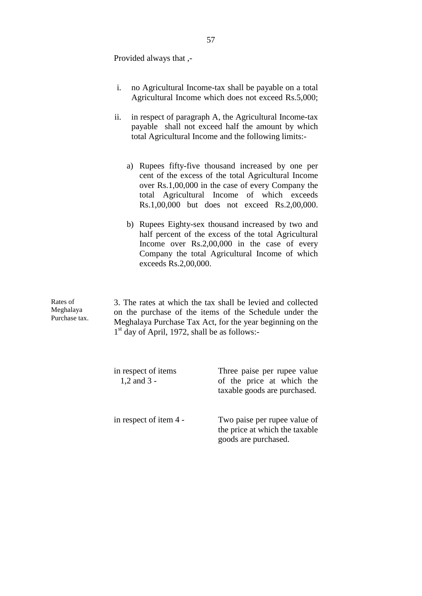Provided always that ,-

- i. no Agricultural Income-tax shall be payable on a total Agricultural Income which does not exceed Rs.5,000;
- ii. in respect of paragraph A, the Agricultural Income-tax payable s hall not e xceed half t he a mount b y w hich total Agricultural Income and the following limits:
	- a) Rupees f ifty-five t housand i ncreased b y one per cent of the ex cess of the total Agricultural Income over Rs.1,00,000 in the case of every Company the total A gricultural Income of w hich exceeds Rs.1,00,000 but doe s not e xceed R s.2,00,000.
	- b) Rupees E ighty-sex t housand i ncreased b y t wo and half pe rcent of the ex cess of the total A gricultural Income ov er R  $s.2,00,000$  i n t he c ase o f e very Company t he t otal A gricultural Income of w hich exceeds Rs.2,00,000.

Rates of Meghalaya Purchase tax.

3. The rates at which the tax shall be levied and collected on t he pur chase of t he items of t he S chedule unde r t he Meghalaya Purchase Tax Act, for the year beginning on the 1<sup>st</sup> day of April, 1972, shall be as follows:-

| in respect of items<br>$1,2$ and $3 -$ | Three pa ise p er r upee v alue<br>of the price a twhich the<br>taxable goods are purchased. |
|----------------------------------------|----------------------------------------------------------------------------------------------|
| in respect of item 4 -                 | Two paise per rupee value of<br>the price at which the taxable<br>goods are purchased.       |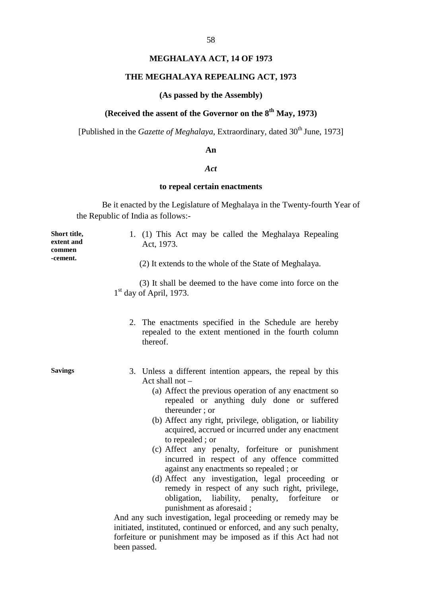### **MEGHALAYA ACT, 14 OF 1973**

#### **THE MEGHALAYA REPEALING ACT, 1973**

#### **(As passed by the Assembly)**

## **(Received the assent of the Governor on the 8<sup>th</sup> May, 1973)**

[Published in the *Gazette of Meghalaya*, Extraordinary, dated 30<sup>th</sup> June, 1973]

#### **An**

#### *Act*

#### **to repeal certain enactments**

Be it enacted by the Legislature of Meghalaya in the Twenty-fourth Year of the Republic of India as follows:-

**Short title, extent and commen -cement.** 1. (1) T his A ct m ay b e c alled the M eghalaya Repealing Act, 1973. (2) It extends to the whole of the State of Meghalaya. (3) It shall be deemed to the have come into force on t he  $1<sup>st</sup>$  day of April, 1973. 2. The ena ctments s pecified in the S chedule ar e he reby repealed t o t he e xtent m entioned i n the f ourth c olumn thereof. **Savings** 3. Unless a di fferent i ntention a ppears, t he r epeal b y t his Act shall not – (a) Affect the previous operation of any enactment so repealed or a nything duly done or s uffered thereunder ; or (b) Affect any right, privilege, obligation, or liability acquired, accrued or incurred under any enactment to repealed ; or (c) Affect a ny p enalty, f orfeiture or puni shment incurred i n respect of a ny of fence c ommitted against any enactments so repealed ; or (d) Affect a ny inv estigation, legal proceeding or remedy in r espect o f a ny s uch right, pr ivilege, obligation, liability, penalty, f orfeiture o r punishment as aforesaid ; And any such investigation, legal proceeding or remedy may be initiated, instituted, continued or enforced, and any such penalty,

forfeiture or punishment may b e imposed as if this Act had not

been passed.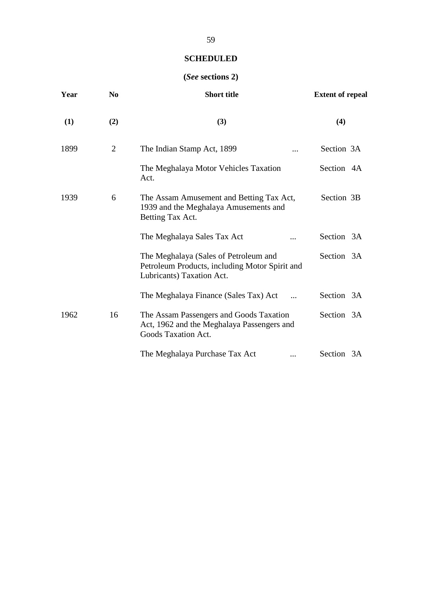# **(***See* **sections 2)**

| Year | N <sub>0</sub> | <b>Short title</b>                                                                                                   | <b>Extent of repeal</b> |
|------|----------------|----------------------------------------------------------------------------------------------------------------------|-------------------------|
| (1)  | (2)            | (3)                                                                                                                  | (4)                     |
| 1899 | $\overline{2}$ | The Indian Stamp Act, 1899                                                                                           | Section 3A              |
|      |                | The Meghalaya Motor Vehicles Taxation<br>Act.                                                                        | Section 4A              |
| 1939 | 6              | The Assam Amusement and Betting Tax Act,<br>1939 and the Meghalaya Amusements and<br>Betting Tax Act.                | Section 3B              |
|      |                | The Meghalaya Sales Tax Act                                                                                          | Section 3A              |
|      |                | The Meghalaya (Sales of Petroleum and<br>Petroleum Products, including Motor Spirit and<br>Lubricants) Taxation Act. | Section 3A              |
|      |                | The Meghalaya Finance (Sales Tax) Act                                                                                | Section 3A              |
| 1962 | 16             | The Assam Passengers and Goods Taxation<br>Act, 1962 and the Meghalaya Passengers and<br>Goods Taxation Act.         | Section 3A              |
|      |                | The Meghalaya Purchase Tax Act<br>                                                                                   | Section 3A              |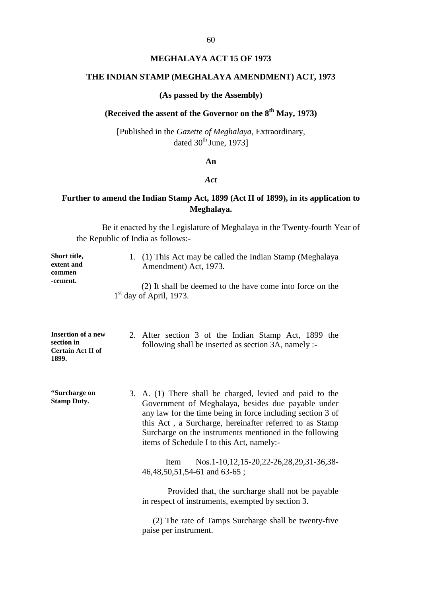### **MEGHALAYA ACT 15 OF 1973**

## **THE INDIAN STAMP (MEGHALAYA AMENDMENT) ACT, 1973**

### **(As passed by the Assembly)**

## (Received the assent of the Governor on the 8<sup>th</sup> May, 1973)

[Published in the *Gazette of Meghalaya*, Extraordinary, dated  $30^{\text{th}}$  June, 1973]

### **An**

#### *Act*

## **Further to amend the Indian Stamp Act, 1899 (Act II of 1899), in its application to Meghalaya.**

| Short title,<br>extent and<br>commen<br>-cement.                             | 1. (1) This Act may be called the Indian Stamp (Meghalaya<br>Amendment) Act, 1973.<br>(2) It shall be deemed to the have come into force on the<br>$1st$ day of April, 1973.                                                                                                                                                                                   |
|------------------------------------------------------------------------------|----------------------------------------------------------------------------------------------------------------------------------------------------------------------------------------------------------------------------------------------------------------------------------------------------------------------------------------------------------------|
| <b>Insertion of a new</b><br>section in<br><b>Certain Act II of</b><br>1899. | 2. After s ection 3 of the Indian S tamp A ct, 1 899 the<br>following shall be inserted as section 3A, namely :-                                                                                                                                                                                                                                               |
| "Surcharge on<br><b>Stamp Duty.</b>                                          | 3. A. (1) T here s hall be c harged, l evied a nd pa id t o t he<br>Government o f M eghalaya, b esides du e pa yable unde r<br>any law for the time being in force including section 3 of<br>this A ct, a Surcharge, hereinafter referred to as Stamp<br>Surcharge on the instruments mentioned in the following<br>items of Schedule I to this Act, namely:- |
|                                                                              | os.1-10,12,15-20,22-26,28,29,31-36,38-<br>Item N<br>46, 48, 50, 51, 54 - 61 and 63 - 65;                                                                                                                                                                                                                                                                       |
|                                                                              | Provided that, the surcharge shall not be payable<br>in respect of instruments, exempted by section 3.                                                                                                                                                                                                                                                         |
|                                                                              | (2) The rate of Tamps Surcharge shall be twenty-five<br>paise per instrument.                                                                                                                                                                                                                                                                                  |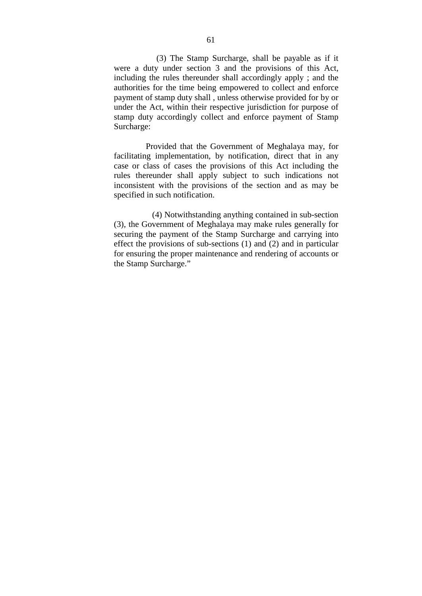(3) The S tamp S urcharge, s hall be payable as if it were a dut y und er s ection 3 a nd t he pr ovisions of t his A ct, including the rules thereunder shall accordingly apply; and the authorities for the time being empowered to collect and enforce payment of stamp duty shall , unless otherwise provided for by or under the Act, within their respective jurisdiction for purpose of stamp duty accordingly collect and enforce pa yment of S tamp Surcharge:

Provided that the Government of M eghalaya m ay, for facilitating impl ementation, by not ification, direct tha t in any case o r c lass o f c ases t he pr ovisions of t his A ct i ncluding t he rules t hereunder s hall apply s ubject t o s uch indications not inconsistent w ith t he pr ovisions of t he s ection a nd a s m ay be specified in such notification.

 (4) Notwithstanding anything contained in sub-section (3), the Government of Meghalaya may make rules generally for securing the pa yment o f the Stamp Surcharge and carrying into effect the provisions of sub-sections (1) and (2) and in particular for ensuring the proper maintenance and rendering of accounts or the Stamp Surcharge."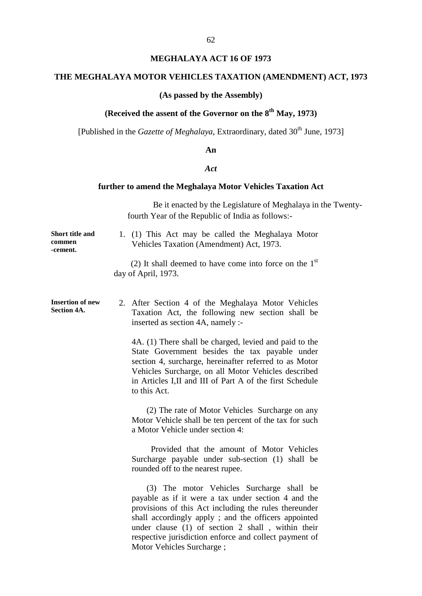## **MEGHALAYA ACT 16 OF 1973**

## **THE MEGHALAYA MOTOR VEHICLES TAXATION (AMENDMENT) ACT, 1973**

## **(As passed by the Assembly)**

## (Received the assent of the Governor on the 8<sup>th</sup> May, 1973)

[Published in the *Gazette of Meghalaya*, Extraordinary, dated 30<sup>th</sup> June, 1973]

#### **An**

#### *Act*

## **further to amend the Meghalaya Motor Vehicles Taxation Act**

|                                               | Be it enacted by the Legislature of Meghalaya in the Twenty-<br>fourth Year of the Republic of India as follows:-                                                                                                                                                                                                                                                            |
|-----------------------------------------------|------------------------------------------------------------------------------------------------------------------------------------------------------------------------------------------------------------------------------------------------------------------------------------------------------------------------------------------------------------------------------|
| Short title and<br>commen<br>-cement.         | 1. (1) T his A ct m ay be called the M eghalaya Motor<br>Vehicles Taxation (Amendment) Act, 1973.                                                                                                                                                                                                                                                                            |
|                                               | (2) It shall deemed to have come into force on the $1st$<br>day of April, 1973.                                                                                                                                                                                                                                                                                              |
| <b>Insertion of new</b><br><b>Section 4A.</b> | 2. After S ection 4 of the M eghalaya M otor V ehicles<br>Taxation Act, the f ollowing n ew s ection shall be<br>inserted as section 4A, namely :-                                                                                                                                                                                                                           |
|                                               | 4A. (1) There shall be charged, levied and paid to the<br>State G overnment besides t he t ax pa yable u nder<br>section 4, s urcharge, he reinafter referred to as Motor<br>Vehicles Surcharge, on all Motor Vehicles de scribed<br>in Articles I,II and III of Part A of the first Schedule<br>to this Act.                                                                |
|                                               | (2) The rate of Motor Vehicles Surcharge on any<br>Motor Vehicle shall be ten percent of the tax for such<br>a Motor Vehicle under section 4:                                                                                                                                                                                                                                |
|                                               | Provided t hat t he a mount of M otor V ehicles<br>Surcharge pa yable und er s ub-section (1) s hall be<br>rounded off to the nearest rupee.                                                                                                                                                                                                                                 |
|                                               | $(3)$ T he m otor Vehicles S urcharge s hall be<br>payable as if it were a tax under section 4 and the<br>provisions of this A ct including the rules thereunder<br>shall a ccordingly apply; and the of ficers a ppointed<br>under c lause $(1)$ of s ection 2 s hall, w ithin their<br>respective jurisdiction enforce and collect payment of<br>Motor Vehicles Surcharge; |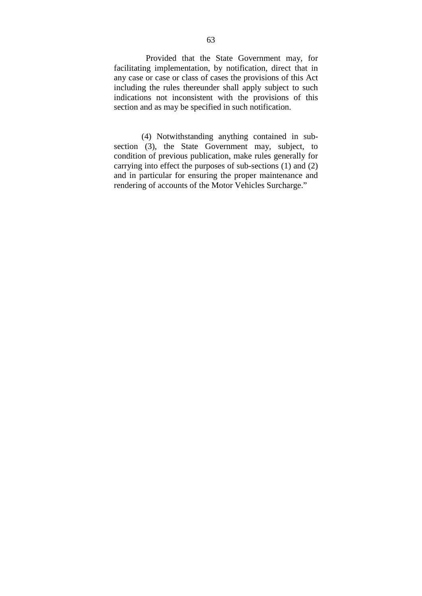Provided that the S tate G overnment may, for facilitating implementation, by notification, direct tha t in any case or case or class of cases the provisions of this Act including the rules thereunder shall apply subject to such indications not i nconsistent w ith t he pr ovisions of t his section and as may be specified in such notification.

 (4) N otwithstanding a nything c ontained i n s ubsection  $(3)$ , t he S tate G overnment m ay, s ubject, t o condition of previous publication, make rules generally for carrying into effect the purposes of sub-sections (1) and (2) and in particular for ensuring the proper maintenance and rendering of accounts of the Motor Vehicles Surcharge."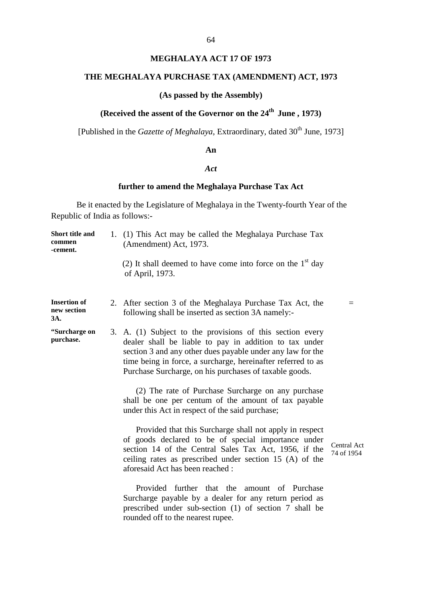## **MEGHALAYA ACT 17 OF 1973**

## **THE MEGHALAYA PURCHASE TAX (AMENDMENT) ACT, 1973**

### **(As passed by the Assembly)**

## **(Received the assent of the Governor on the 24<sup>th</sup> June, 1973)**

[Published in the *Gazette of Meghalaya*, Extraordinary, dated 30<sup>th</sup> June, 1973]

#### **An**

#### *Act*

## **further to amend the Meghalaya Purchase Tax Act**

| Short title and<br>commen<br>-cement.     | 1. (1) This Act may be called the Meghalaya Purchase Tax<br>(Amendment) Act, 1973.                                                                                                                                                                                                                                       |                           |
|-------------------------------------------|--------------------------------------------------------------------------------------------------------------------------------------------------------------------------------------------------------------------------------------------------------------------------------------------------------------------------|---------------------------|
|                                           | (2) It shall deemed to have come into force on the $1st$ day<br>of April, 1973.                                                                                                                                                                                                                                          |                           |
| <b>Insertion of</b><br>new section<br>3A. | 2. After section 3 of the Meghalaya Purchase T ax A ct, the<br>following shall be inserted as section 3A namely:-                                                                                                                                                                                                        | $=$                       |
| "Surcharge on<br>purchase.                | 3. A. (1) S ubject t o t he provisions of t his s ection e very<br>dealer shall be 1 iable t o pa y i n addition t o t ax unde r<br>section 3 and any other dues payable under any law for the<br>time being in force, a surcharge, hereinafter referred to as<br>Purchase Surcharge, on his purchases of taxable goods. |                           |
|                                           | (2) The rate of Purchase Surcharge on a ny purchase<br>shall be one per c entum of the amount of tax pa yable<br>under this Act in respect of the said purchase;                                                                                                                                                         |                           |
|                                           | Provided that this Surcharge shall not apply in respect<br>of goods d eclared t o be of s pecial i mportance und er<br>section 14 of the C entral S ales T ax A ct, 1956, i f the<br>ceiling r ates as pr escribed under s ection $15(A)$ of the<br>aforesaid Act has been reached:                                      | Central Act<br>74 of 1954 |
|                                           | Provided f urther t hat t he a mount of<br>Purchase<br>Surcharge p ayable b y a de aler f or an y r eturn period as<br>prescribed und er s ub-section (1) of s ection 7<br>shall be<br>rounded off to the nearest rupee.                                                                                                 |                           |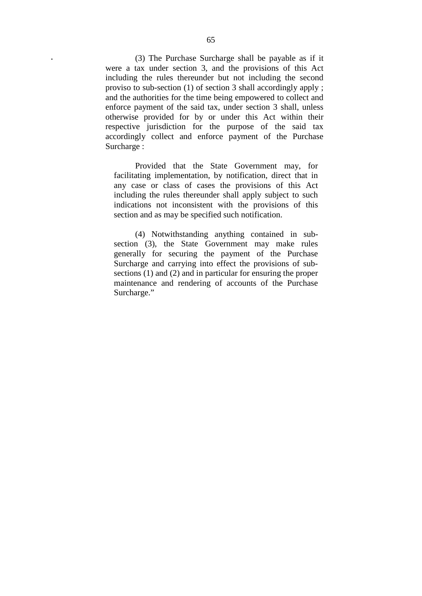**.** (3) T he P urchase S urcharge s hall be p ayable as i f i t were a t ax unde r s ection 3, a nd t he pr ovisions of t his A ct including t he rules t hereunder but not i ncluding t he s econd proviso to sub-section (1) of section 3 shall accordingly apply ; and the authorities for the time being empowered to collect and enforce pa yment of the said tax, under section 3 shall, unless otherwise pr ovided f or b y or unde r t his A ct w ithin t heir respective j urisdiction f or t he pur pose of t he s aid t ax accordingly col lect and enf orce p ayment of the P urchase Surcharge :

 Provided t hat t he S tate G overnment may, f or facilitating implementation, by notification, direct tha t in any case or cl ass o f c ases t he pr ovisions of t his A ct including the rules thereunder shall apply subject to such indications not i nconsistent with t he pr ovisions of t his section and as may be specified such notification.

 (4) N otwithstanding a nything c ontained i n s ubsection  $(3)$ , t he S tate G overnment m ay m ake r ules generally f or s ecuring the pa yment of t he P urchase Surcharge and ca rrying into e ffect t he pr ovisions of s ubsections (1) and (2) and in particular for ensuring the proper maintenance a nd r endering o f a ccounts o f t he P urchase Surcharge."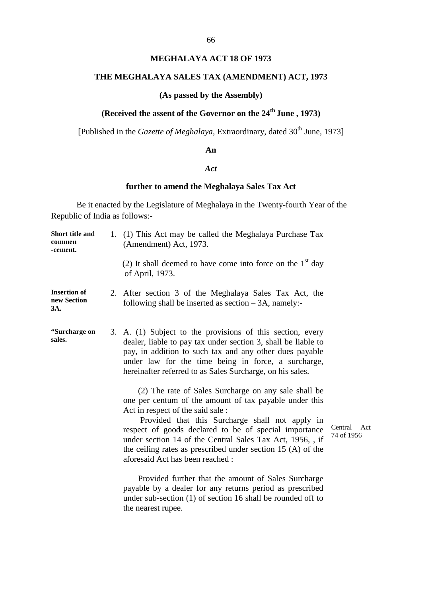### **MEGHALAYA ACT 18 OF 1973**

## **THE MEGHALAYA SALES TAX (AMENDMENT) ACT, 1973**

### **(As passed by the Assembly)**

## **(Received the assent of the Governor on the 24<sup>th</sup> June, 1973)**

[Published in the *Gazette of Meghalaya*, Extraordinary, dated 30<sup>th</sup> June, 1973]

#### **An**

### *Act*

## **further to amend the Meghalaya Sales Tax Act**

Be it enacted by the Legislature of Meghalaya in the Twenty-fourth Year of the Republic of India as follows:-

| Short title and<br>commen<br>-cement.     | 1. (1) This Act may be called the Meghalaya Purchase Tax<br>(Amendment) Act, 1973.                                                                                                                                                                                                                                                                                                                                                                         |
|-------------------------------------------|------------------------------------------------------------------------------------------------------------------------------------------------------------------------------------------------------------------------------------------------------------------------------------------------------------------------------------------------------------------------------------------------------------------------------------------------------------|
|                                           | (2) It shall deemed to have come into force on the $1st$ day<br>of April, 1973.                                                                                                                                                                                                                                                                                                                                                                            |
| <b>Insertion of</b><br>new Section<br>3A. | 2. After s ection 3 of t he M eghalaya S ales T ax A ct, the<br>following shall be inserted as section $-3A$ , namely:-                                                                                                                                                                                                                                                                                                                                    |
| "Surcharge on<br>sales.                   | 3. A. (1) Subject t o t he pr ovisions of t his s ection, e very<br>dealer, liable to pay tax under section 3, shall be liable to<br>pay, in a ddition to such tax and any other due s pa yable<br>under l aw f or t he t ime be ing i n force, a s urcharge,<br>hereinafter referred to as Sales Surcharge, on his sales.                                                                                                                                 |
|                                           | (2) The rate of Sales Surcharge on a ny sale shall be<br>one per centum of the amount of tax payable under this<br>Act in respect of the said sale :<br>Provided t hat t his S urcharge s hall not<br>apply i n<br>Ce<br>respect of goods de clared t o be of s pecial i mportance<br>74<br>under section 14 of the Central Sales Tax Act, 1956, , if<br>the ceiling rates as prescribed under section 15 $(A)$ of the<br>aforesaid Act has been reached : |
|                                           | Provided further that the a mount of Sales Surcharge<br>payable by a dealer for any returns period as prescribed<br>under sub-section (1) of section 16 shall be rounded off to<br>the nearest rupee.                                                                                                                                                                                                                                                      |

 $\text{mtral A} \quad \text{ct}$ of 1956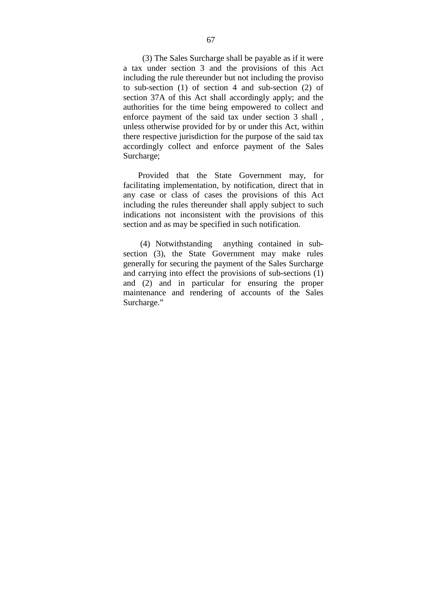(3) The Sales Surcharge shall be payable as if it were a t ax unde r s ection 3 and t he pr ovisions of t his A ct including the rule thereunder but not including the proviso to s ub-section  $(1)$  of s ection 4 a nd s ub-section  $(2)$  o f section 37A of this A ct shall a ccordingly a pply; and the authorities for the time being empowered to c ollect and enforce pa yment of t he s aid t ax unde r s ection 3 s hall , unless otherwise provided for by or under this Act, within there respective jurisdiction for the purpose of the said tax accordingly col lect and enf orce pa yment of t he S ales Surcharge;

 Provided t hat t he S tate G overnment m ay, f or facilitating impl ementation, by not ification, direct that in any c ase or c lass of c ases t he pr ovisions of this A ct including the rules thereunder shall apply subject to such indications not i nconsistent w ith t he pr ovisions of t his section and as may be specified in such notification.

 (4) N otwithstanding a nything c ontained i n s ubsection (3), t he S tate G overnment m ay m ake r ules generally for securing the payment of the Sales Surcharge and carrying into effect the provisions of sub-sections (1) and  $(2)$  a nd i n pa rticular for e nsuring t he pr oper maintenance a nd r endering of a ccounts of t he S ales Surcharge."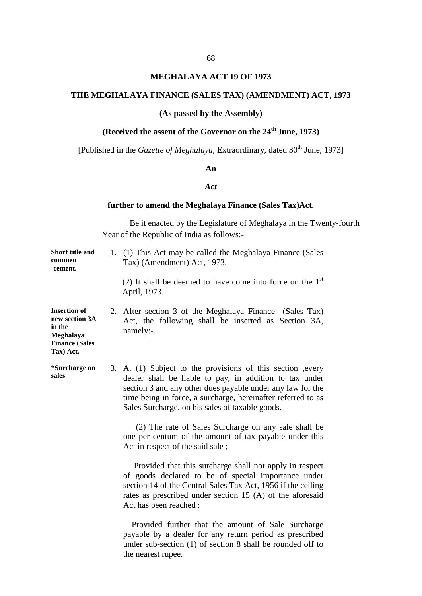### **MEGHALAYA ACT 19 OF 1973**

### **THE MEGHALAYA FINANCE (SALES TAX) (AMENDMENT) ACT, 1973**

## **(As passed by the Assembly)**

# (Received the assent of the Governor on the 24<sup>th</sup> June, 1973)

[Published in the *Gazette of Meghalaya*, Extraordinary, dated 30<sup>th</sup> June, 1973]

### **An**

### *Act*

## **further to amend the Meghalaya Finance (Sales Tax)Act.**

| Short title and<br>commen<br>-cement.                                                              | 1. (1) This Act may be called the Meghalaya Finance (Sales<br>Tax) (Amendment) Act, 1973.                                                                                                                                                                                                                              |
|----------------------------------------------------------------------------------------------------|------------------------------------------------------------------------------------------------------------------------------------------------------------------------------------------------------------------------------------------------------------------------------------------------------------------------|
|                                                                                                    | (2) It shall be deemed to have come into force on the $1st$<br>April, 1973.                                                                                                                                                                                                                                            |
| <b>Insertion of</b><br>new section 3A<br>in the<br>Meghalaya<br><b>Finance (Sales</b><br>Tax) Act. | 2. After section 3 of the M eghalaya Finance (Sales T ax)<br>Act, t he f ollowing s hall be i nserted a s S ection 3A,<br>namely:-                                                                                                                                                                                     |
| "Surcharge on<br>sales                                                                             | 3. A. (1) S ubject t o t he pr ovisions of t his s ection, e very<br>dealer s hall be 1 iable t o pa y, i n a ddition t o t ax unde r<br>section 3 and any other dues payable under any law for the<br>time being in force, a surcharge, hereinafter referred to as<br>Sales Surcharge, on his sales of taxable goods. |
|                                                                                                    | (2) The rate of Sales Surcharge on any sale shall be<br>one per centum of the amount of tax payable under this<br>Act in respect of the said sale;                                                                                                                                                                     |
|                                                                                                    | Provided that this surcharge shall not apply in respect<br>of goods d eclared to be of s pecial i mportance under<br>section 14 of the Central Sales Tax Act, 1956 if the ceiling<br>rates as prescribed under section 15 $(A)$ of the aforesaid<br>Act has been reached:                                              |
|                                                                                                    | Provided f urther t hat t he a mount of Sale S urcharge<br>payable by a dealer for an y return pe riod as p rescribed<br>under sub-section $(1)$ of section 8 shall be rounded off to<br>the nearest rupee.                                                                                                            |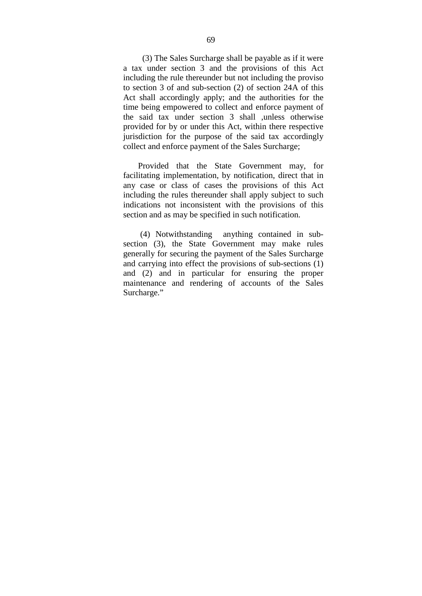(3) The Sales Surcharge shall be payable as if it were a t ax unde r s ection 3 and t he pr ovisions of t his A ct including the rule thereunder but not including the proviso to section 3 of and sub-section (2) of section 24A of this Act s hall accor dingly a pply; a nd t he a uthorities f or t he time being empowered to collect and enforce payment of the s aid t ax unde r s ection 3 s hall ,unl ess ot herwise provided for by or under this Act, within there respective jurisdiction f or t he pur pose of t he s aid t ax a ccordingly collect and enforce payment of the Sales Surcharge;

 Provided t hat t he S tate G overnment m ay, f or facilitating impl ementation, by not ification, direct that in any c ase or c lass of c ases t he pr ovisions of this A ct including the rules thereunder shall apply subject to such indications not i nconsistent w ith t he pr ovisions of t his section and as may be specified in such notification.

 (4) N otwithstanding a nything c ontained i n s ubsection  $(3)$ , t he S tate G overnment m ay m ake r ules generally for securing the payment of the Sales Surcharge and carrying into effect the provisions of sub-sections (1) and ( 2) a nd i n pa rticular f or e nsuring t he pr oper maintenance a nd r endering of a ccounts of t he S ales Surcharge."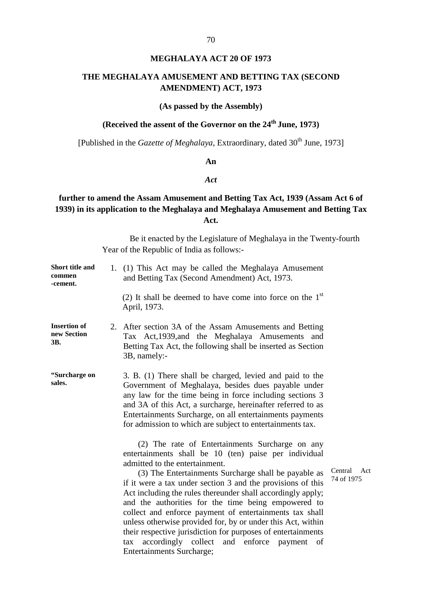# **MEGHALAYA ACT 20 OF 1973**

# **THE MEGHALAYA AMUSEMENT AND BETTING TAX (SECOND AMENDMENT) ACT, 1973**

# **(As passed by the Assembly)**

# **(Received the assent of the Governor on the 24<sup>th</sup> June, 1973)**

[Published in the *Gazette of Meghalaya*, Extraordinary, dated 30<sup>th</sup> June, 1973]

# **An**

#### *Act*

# **further to amend the Assam Amusement and Betting Tax Act, 1939 (Assam Act 6 of 1939) in its application to the Meghalaya and Meghalaya Amusement and Betting Tax Act.**

Be it enacted by the Legislature of Meghalaya in the Twenty-fourth Year of the Republic of India as follows:-

| Short title and<br>commen<br>-cement.     | 1. (1) This A ct may be called the Meghalaya A musement<br>and Betting Tax (Second Amendment) Act, 1973.                                                                                                                                                                                                                                                                                                                                                                                                                                                                                                                                                                                  |                        |  |  |
|-------------------------------------------|-------------------------------------------------------------------------------------------------------------------------------------------------------------------------------------------------------------------------------------------------------------------------------------------------------------------------------------------------------------------------------------------------------------------------------------------------------------------------------------------------------------------------------------------------------------------------------------------------------------------------------------------------------------------------------------------|------------------------|--|--|
|                                           | (2) It shall be deemed to have come into force on the $1st$<br>April, 1973.                                                                                                                                                                                                                                                                                                                                                                                                                                                                                                                                                                                                               |                        |  |  |
| <b>Insertion of</b><br>new Section<br>ЗΒ. | 2. After section 3A of the Assam Amusements and Betting<br>Tax A ct, 1939, and the M eghalaya Amusements and<br>Betting Tax Act, the following shall be inserted as Section<br>3B, namely:-                                                                                                                                                                                                                                                                                                                                                                                                                                                                                               |                        |  |  |
| "Surcharge on<br>sales.                   | 3. B. (1) There shall be charged, levied and paid to the<br>Government of M eghalaya, be sides due s pa yable unde r<br>any law for the time being in force including sections 3<br>and 3A of this Act, a surcharge, hereinafter referred to as<br>Entertainments Surcharge, on all entertainments payments<br>for admission to which are subject to entertainments tax.                                                                                                                                                                                                                                                                                                                  |                        |  |  |
|                                           | (2) T he r ate of Entertainments Surcharge on a ny<br>entertainments shall be $10$ (ten) pa ise pe r i ndividual<br>admitted to the entertainment.<br>(3) The Entertainments Surcharge shall be payable as<br>if it were a tax under section 3 and the provisions of this<br>Act including the rules thereunder shall accordingly apply;<br>and the authorities f or the time b eing empowered to<br>collect and enforce pa yment of ent ertainments tax s hall<br>unless otherwise provided for, by or under this Act, within<br>their respective jurisdiction for purposes of entertainments<br>tax a coordingly c ollect a nd e nforce pa yment of<br><b>Entertainments Surcharge;</b> | Cer<br>74 <sub>0</sub> |  |  |

ntral A ct of 1975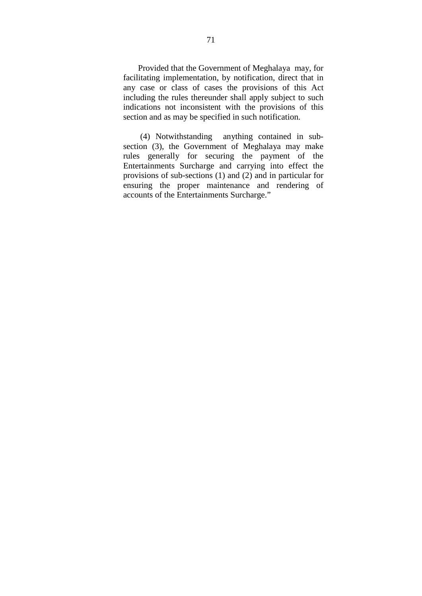Provided that the Government of Meghalaya may, for facilitating impl ementation, by not ification, direct that in any c ase or c lass of c ases t he pr ovisions of this A ct including the rules thereunder shall apply subject to such indications not i nconsistent w ith t he pr ovisions of t his section and as may be specified in such notification.

 (4) N otwithstanding a nything c ontained i n s ubsection ( 3), t he Government of M eghalaya may m ake rules generally for s ecuring t he pa yment of t he Entertainments Surcharge and carrying into effect t he provisions of sub-sections (1) and (2) and in particular for ensuring t he pr oper maintenance a nd r endering of accounts of the Entertainments Surcharge."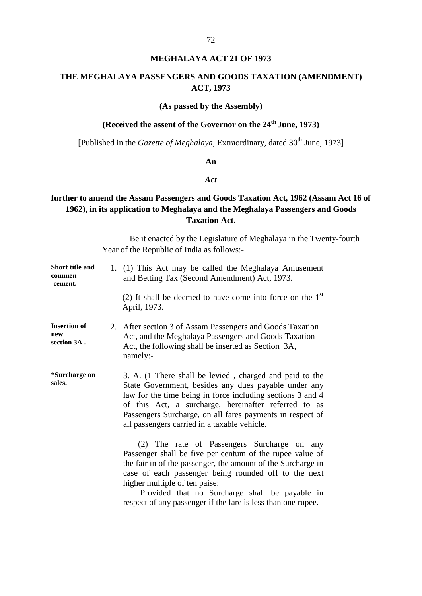# **MEGHALAYA ACT 21 OF 1973**

# **THE MEGHALAYA PASSENGERS AND GOODS TAXATION (AMENDMENT) ACT, 1973**

#### **(As passed by the Assembly)**

# **(Received the assent of the Governor on the 24<sup>th</sup> June, 1973)**

[Published in the *Gazette of Meghalaya*, Extraordinary, dated 30<sup>th</sup> June, 1973]

# **An**

#### *Act*

# **further to amend the Assam Passengers and Goods Taxation Act, 1962 (Assam Act 16 of 1962), in its application to Meghalaya and the Meghalaya Passengers and Goods Taxation Act.**

Be it enacted by the Legislature of Meghalaya in the Twenty-fourth Year of the Republic of India as follows:-

| <b>Short title and</b><br>commen<br>-cement. | 1. (1) This A ct may be called the Meghalaya A musement<br>and Betting Tax (Second Amendment) Act, 1973.                                                                                                                                                                                                                                                     |
|----------------------------------------------|--------------------------------------------------------------------------------------------------------------------------------------------------------------------------------------------------------------------------------------------------------------------------------------------------------------------------------------------------------------|
|                                              | (2) It shall be deemed to have come into force on the $1st$<br>April, 1973.                                                                                                                                                                                                                                                                                  |
| <b>Insertion of</b><br>new<br>section 3A.    | 2. After section 3 of Assam Passengers and Goods Taxation<br>Act, and the Meghalaya Passengers and Goods Taxation<br>Act, the following shall be inserted as Section 3A,<br>namely:-                                                                                                                                                                         |
| "Surcharge on<br>sales.                      | 3. A. (1 There shall be levied, c harged and paid to the<br>State G overnment, be sides a ny dues p ayable u nder any<br>law for the time being in force including sections 3 and 4<br>of this A ct, a s urcharge, he reinafter r eferred to as<br>Passengers Surcharge, on all fares payments in respect of<br>all passengers carried in a taxable vehicle. |
|                                              | $(2)$ T he ra te o f Passengers S urcharge on a ny<br>Passenger shall be five per centum of the rupee value of<br>the fair in of the passenger, the amount of the Surcharge in<br>case of e ach pa ssenger be ing r ounded of f t o t he ne xt<br>higher multiple of ten paise:                                                                              |

 Provided t hat no Surcharge s hall be pa yable i n respect of any passenger if the fare is less than one rupee.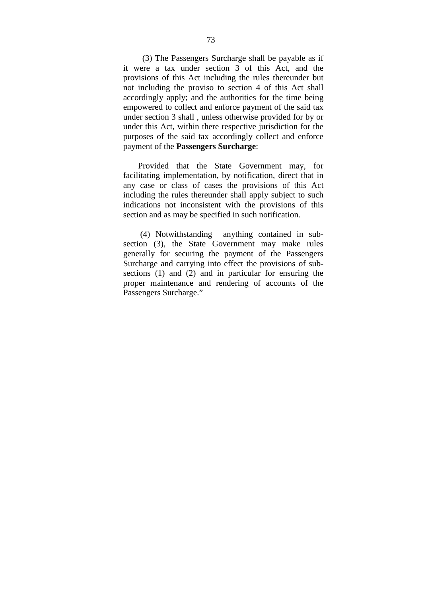(3) The Passengers Surcharge shall be payable as if it w ere a t ax unde r s ection 3 of t his A ct, and t he provisions of t his A ct including t he r ules t hereunder but not i ncluding t he pr oviso t o s ection 4 of thi s Act s hall accordingly a pply; and the authorities for the time being empowered to collect and enforce payment of the said tax under section 3 shall , unless otherwise provided for by or under this Act, within there respective jurisdiction for the purposes of t he s aid tax accor dingly col lect and e nforce payment of the **Passengers Surcharge**:

 Provided t hat t he S tate G overnment m ay, f or facilitating impl ementation, by not ification, direct that in any c ase or c lass of c ases t he pr ovisions of this A ct including the rules thereunder shall apply subject to such indications not i nconsistent w ith t he pr ovisions of t his section and as may be specified in such notification.

 (4) N otwithstanding a nything c ontained i n s ubsection  $(3)$ , t he S tate G overnment m ay m ake r ules generally f or s ecuring t he pa yment of t he Passengers Surcharge and carrying into effect the provisions of subsections  $(1)$  a nd  $(2)$  and i n pa rticular f or e nsuring t he proper m aintenance a nd r endering of a ccounts of t he Passengers Surcharge."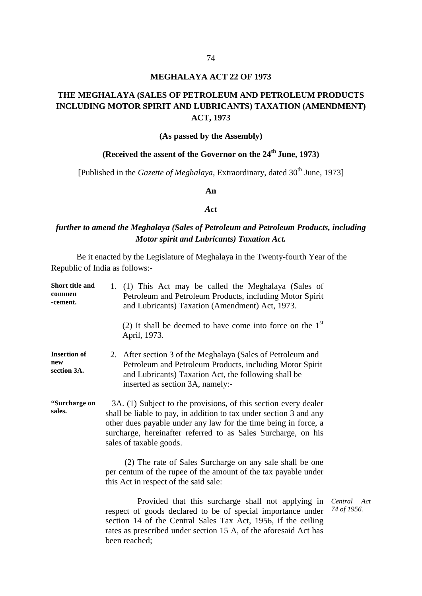### **MEGHALAYA ACT 22 OF 1973**

# **THE MEGHALAYA (SALES OF PETROLEUM AND PETROLEUM PRODUCTS INCLUDING MOTOR SPIRIT AND LUBRICANTS) TAXATION (AMENDMENT) ACT, 1973**

#### **(As passed by the Assembly)**

# **(Received the assent of the Governor on the 24<sup>th</sup> June, 1973)**

[Published in the *Gazette of Meghalaya*, Extraordinary, dated 30<sup>th</sup> June, 1973]

#### **An**

#### *Act*

# *further to amend the Meghalaya (Sales of Petroleum and Petroleum Products, including Motor spirit and Lubricants) Taxation Act.*

Be it enacted by the Legislature of Meghalaya in the Twenty-fourth Year of the Republic of India as follows:-

| Short title and<br>commen<br>-cement.     | 1. (1) T his A ct ma y be called the Meghalaya (Sales of<br>Petroleum and Petroleum Products, including Motor Spirit<br>and Lubricants) Taxation (Amendment) Act, 1973.                                                                                                                                |       |  |
|-------------------------------------------|--------------------------------------------------------------------------------------------------------------------------------------------------------------------------------------------------------------------------------------------------------------------------------------------------------|-------|--|
|                                           | (2) It shall be deemed to have come into force on the $1st$<br>April, 1973.                                                                                                                                                                                                                            |       |  |
| <b>Insertion of</b><br>new<br>section 3A. | 2. After section 3 of the Meghalaya (Sales of Petroleum and<br>Petroleum and Petroleum Products, including Motor Spirit<br>and Lubricants) Taxation Act, the following shall be<br>inserted as section 3A, namely:-                                                                                    |       |  |
| "Surcharge on<br>sales.                   | 3A. (1) Subject to the provisions, of this section every dealer<br>shall be liable to pay, in addition to tax under section 3 and any<br>other dues payable under any law for the time being in force, a<br>surcharge, hereinafter referred to as S ales S urcharge, on his<br>sales of taxable goods. |       |  |
|                                           | (2) The rate of Sales Surcharge on a ny sale shall be one<br>per centum of the rupee of the amount of the tax payable under<br>this Act in respect of the said sale:                                                                                                                                   |       |  |
|                                           | Provided t hat this s urcharge s hall not a pplying i n<br>request of $\cos \theta$ declared to be of special importance under $\frac{14}{4}$ of                                                                                                                                                       | Centr |  |

respect of goods declared to be of s pecial i mportance unde r *74 of 1956.*section 14 of the C entral S ales T ax A ct, 1956, if the c eiling rates as prescribed under section 15 A, of the aforesaid Act has been reached;

*Central Act*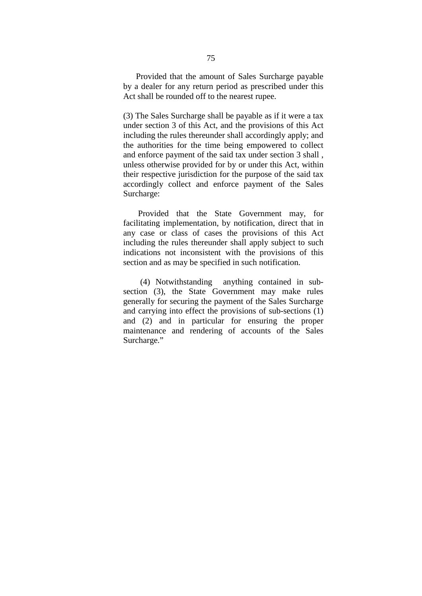Provided that the amount of Sales Surcharge pa yable by a dealer for any return period as prescribed under this Act shall be rounded off to the nearest rupee.

(3) The Sales Surcharge shall be payable as if it were a tax under section 3 of this Act, and the provisions of this Act including the rules thereunder shall accordingly apply; and the a uthorities f or th e time be ing e mpowered to collect and enforce payment of the said tax under section 3 shall , unless otherwise provided for by or under this Act, within their respective jurisdiction for the purpose of the said tax accordingly col lect and enf orce pa yment of t he Sales Surcharge:

Provided t hat t he S tate G overnment m ay, f or facilitating impl ementation, by not ification, direct that in any c ase or c lass of c ases t he pr ovisions of this A ct including the rules thereunder shall apply subject to such indications not i nconsistent w ith t he pr ovisions of t his section and as may be specified in such notification.

 (4) N otwithstanding a nything c ontained i n s ubsection ( 3), t he S tate G overnment m ay m ake r ules generally for securing the payment of the Sales Surcharge and carrying into effect the provisions of sub-sections (1) and ( 2) a nd i n pa rticular f or e nsuring t he pr oper maintenance a nd r endering of a ccounts of t he Sales Surcharge."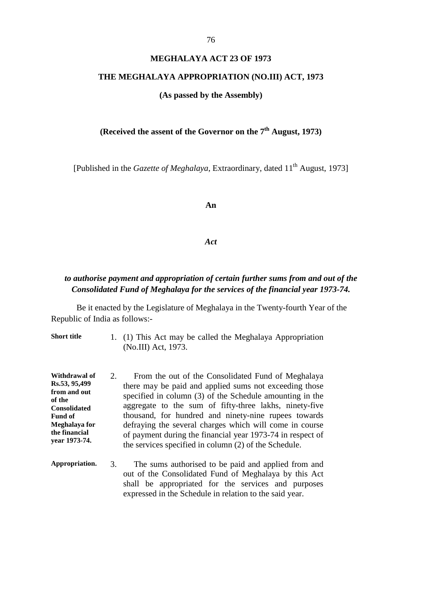#### **MEGHALAYA ACT 23 OF 1973**

#### **THE MEGHALAYA APPROPRIATION (NO.III) ACT, 1973**

#### **(As passed by the Assembly)**

# **(Received the assent of the Governor on the 7th August, 1973)**

[Published in the *Gazette of Meghalaya*, Extraordinary, dated 11<sup>th</sup> August, 1973]

**An** 

*Act*

# *to authorise payment and appropriation of certain further sums from and out of the Consolidated Fund of Meghalaya for the services of the financial year 1973-74.*

Be it enacted by the Legislature of Meghalaya in the Twenty-fourth Year of the Republic of India as follows:-

**Short title** 1. (1) This Act may be called the Meghalaya Appropriation (No.III) Act, 1973.

**Withdrawal of Rs.53, 95,499 from and out of the Consolidated Fund of Meghalaya for the financial year 1973-74.** 2. From the out of the Consolidated Fund of M eghalaya there may be paid and applied sums not exceeding those specified in column (3) of the Schedule amounting in the aggregate t o t he s um of f ifty-three l akhs, ni nety-five thousand, f or hundr ed and ni nety-nine rupees t owards defraying the several charges which will come in course of payment during the financial year 1973-74 in respect of the services specified in column (2) of the Schedule.

**Appropriation.** 3. The sums authorised to be paid and applied from and out of t he C onsolidated F und o f M eghalaya b y t his A ct shall be a ppropriated for t he s ervices a nd purposes expressed in the Schedule in relation to the said year.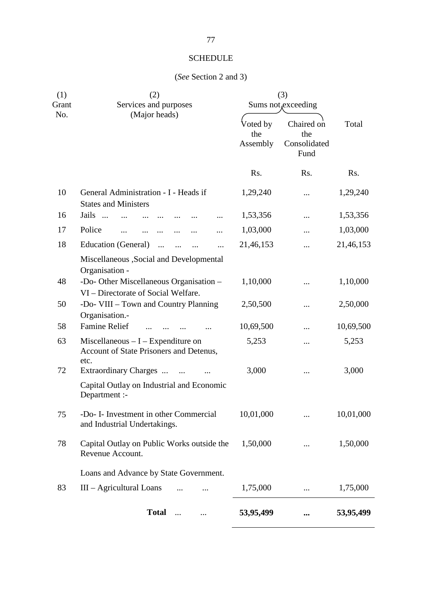# **SCHEDULE**

# (*See* Section 2 and 3)

| (1)<br>Grant | (2)<br>Services and purposes                                                           | (3)<br>Sums not, exceeding  |                                           |           |
|--------------|----------------------------------------------------------------------------------------|-----------------------------|-------------------------------------------|-----------|
| No.          | (Major heads)                                                                          | Voted by<br>the<br>Assembly | Chaired on<br>the<br>Consolidated<br>Fund | Total     |
|              |                                                                                        | Rs.                         | Rs.                                       | Rs.       |
| 10           | General Administration - I - Heads if<br><b>States and Ministers</b>                   | 1,29,240                    |                                           | 1,29,240  |
| 16           | Jails                                                                                  | 1,53,356                    |                                           | 1,53,356  |
| 17           | Police                                                                                 | 1,03,000                    |                                           | 1,03,000  |
| 18           | Education (General)<br>$\cdots$<br>$\ddotsc$<br><br>$\cdots$                           | 21,46,153                   |                                           | 21,46,153 |
|              | Miscellaneous , Social and Developmental<br>Organisation -                             |                             |                                           |           |
| 48           | -Do- Other Miscellaneous Organisation -<br>VI – Directorate of Social Welfare.         | 1,10,000                    |                                           | 1,10,000  |
| 50           | -Do- VIII - Town and Country Planning<br>Organisation.-                                | 2,50,500                    |                                           | 2,50,000  |
| 58           | <b>Famine Relief</b>                                                                   | 10,69,500                   |                                           | 10,69,500 |
| 63           | Miscellaneous $-I$ – Expenditure on<br>Account of State Prisoners and Detenus,<br>etc. | 5,253                       |                                           | 5,253     |
| 72           | Extraordinary Charges                                                                  | 3,000                       |                                           | 3,000     |
|              | Capital Outlay on Industrial and Economic<br>Department :-                             |                             |                                           |           |
| 75           | -Do- I- Investment in other Commercial<br>and Industrial Undertakings.                 | 10,01,000                   |                                           | 10,01,000 |
| 78           | Capital Outlay on Public Works outside the<br>Revenue Account.                         | 1,50,000                    |                                           | 1,50,000  |
|              | Loans and Advance by State Government.                                                 |                             |                                           |           |
| 83           | $III - Agricultural$ Loans                                                             | 1,75,000                    |                                           | 1,75,000  |
|              | <b>Total</b><br>$\ddotsc$<br>                                                          | 53,95,499                   |                                           | 53,95,499 |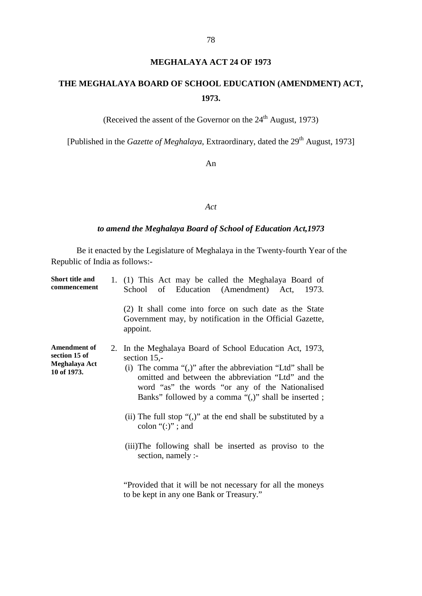# **MEGHALAYA ACT 24 OF 1973**

# **THE MEGHALAYA BOARD OF SCHOOL EDUCATION (AMENDMENT) ACT, 1973.**

(Received the assent of the Governor on the  $24<sup>th</sup>$  August, 1973)

[Published in the *Gazette of Meghalaya*, Extraordinary, dated the 29<sup>th</sup> August, 1973]

An

#### *Act*

# *to amend the Meghalaya Board of School of Education Act,1973*

Be it enacted by the Legislature of Meghalaya in the Twenty-fourth Year of the Republic of India as follows:-

| <b>Short title and</b><br>commencement                               | 1. (1) T his A ct ma y be called the Meghalaya Board of<br>School of E ducation (Amendment) Act, 1973.                                                                                                                                                                                                                                                                                                                                                                                                   |
|----------------------------------------------------------------------|----------------------------------------------------------------------------------------------------------------------------------------------------------------------------------------------------------------------------------------------------------------------------------------------------------------------------------------------------------------------------------------------------------------------------------------------------------------------------------------------------------|
|                                                                      | (2) It s hall come i nto force on such date as t he S tate<br>Government may, by no tification in the Official Gazette,<br>appoint.                                                                                                                                                                                                                                                                                                                                                                      |
| <b>Amendment of</b><br>section 15 of<br>Meghalaya Act<br>10 of 1973. | 2. In the Meghalaya Board of School Education Act, 1973,<br>section $15$ ,-<br>(i) The comma " $($ ,)" after the abbreviation "Ltd" shall be<br>omitted and between the abb reviation "Ltd" and the<br>word "as" t he w ords " or an y o f t he N ationalised<br>Banks" followed by a comma "(,)" shall be inserted;<br>(ii) The full stop " $($ ,)" at the end shall be substituted by a<br>colon " $(:)$ "; and<br>(iii)The f ollowing s hall be i nserted a s pr oviso t o t he<br>section, namely :- |
|                                                                      | "Provided that it will be not necessary for all the moneys"<br>to be kept in any one Bank or Treasury."                                                                                                                                                                                                                                                                                                                                                                                                  |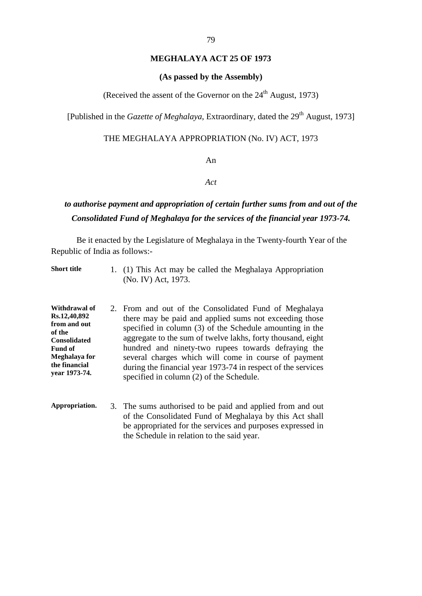# **MEGHALAYA ACT 25 OF 1973**

#### **(As passed by the Assembly)**

# (Received the assent of the Governor on the  $24<sup>th</sup>$  August, 1973)

[Published in the *Gazette of Meghalaya*, Extraordinary, dated the 29<sup>th</sup> August, 1973]

# THE MEGHALAYA APPROPRIATION (No. IV) ACT, 1973

### An

#### *Act*

# *to authorise payment and appropriation of certain further sums from and out of the Consolidated Fund of Meghalaya for the services of the financial year 1973-74.*

Be it enacted by the Legislature of Meghalaya in the Twenty-fourth Year of the Republic of India as follows:-

| <b>Short title</b>                                                                                                                                  | 1. (1) This Act may be called the Meghalaya Appropriation<br>(No. IV) Act, 1973.                                                                                                                                                                                                                                                                                                                                                                                                  |
|-----------------------------------------------------------------------------------------------------------------------------------------------------|-----------------------------------------------------------------------------------------------------------------------------------------------------------------------------------------------------------------------------------------------------------------------------------------------------------------------------------------------------------------------------------------------------------------------------------------------------------------------------------|
| Withdrawal of<br>Rs.12,40,892<br>from and out<br>of the<br><b>Consolidated</b><br><b>Fund of</b><br>Meghalaya for<br>the financial<br>year 1973-74. | 2. From a nd out of the C onsolidated F und of M eghalaya<br>there may be paid and applied sums not exceeding those<br>specified in column $(3)$ of the Schedule amounting in the<br>aggregate to the sum of twelve lakhs, forty thousand, eight<br>hundred a nd ni nety-two r upees t owards de fraying t he<br>several charges which will come in course of payment<br>during the financial year 1973-74 in respect of the services<br>specified in column (2) of the Schedule. |
| Appropriation.                                                                                                                                      | 3. The sums authorised to be paid and applied from and out<br>of the Consolidated Fund of Meghalaya by this Act shall<br>be appropriated for the services and purposes expressed in<br>the Schedule in relation to the said year.                                                                                                                                                                                                                                                 |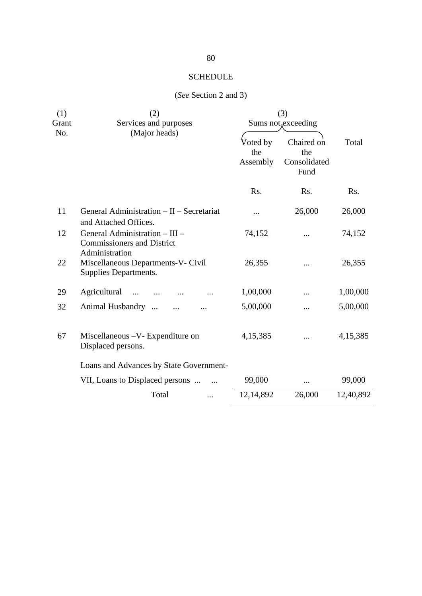# SCHEDULE

# (*See* Section 2 and 3)

| (1)<br>Grant<br>No. | (2)<br>Services and purposes<br>(Major heads)                                         | (3)<br>Sums not, exceeding  |                                           |           |
|---------------------|---------------------------------------------------------------------------------------|-----------------------------|-------------------------------------------|-----------|
|                     |                                                                                       | Voted by<br>the<br>Assembly | Chaired on<br>the<br>Consolidated<br>Fund | Total     |
|                     |                                                                                       | Rs.                         | Rs.                                       | Rs.       |
| 11                  | General Administration - II - Secretariat<br>and Attached Offices.                    | $\cdots$                    | 26,000                                    | 26,000    |
| 12                  | General Administration - III -<br><b>Commissioners and District</b><br>Administration | 74,152                      |                                           | 74,152    |
| 22                  | Miscellaneous Departments-V- Civil<br>Supplies Departments.                           | 26,355                      |                                           | 26,355    |
| 29                  | Agricultural<br>$\dddotsc$                                                            | 1,00,000                    |                                           | 1,00,000  |
| 32                  | Animal Husbandry<br>$\dddotsc$                                                        | 5,00,000                    |                                           | 5,00,000  |
| 67                  | Miscellaneous -V- Expenditure on<br>Displaced persons.                                | 4,15,385                    |                                           | 4,15,385  |
|                     | Loans and Advances by State Government-                                               |                             |                                           |           |
|                     | VII, Loans to Displaced persons                                                       | 99,000                      | $\cdots$                                  | 99,000    |
|                     | Total<br>                                                                             | 12,14,892                   | 26,000                                    | 12,40,892 |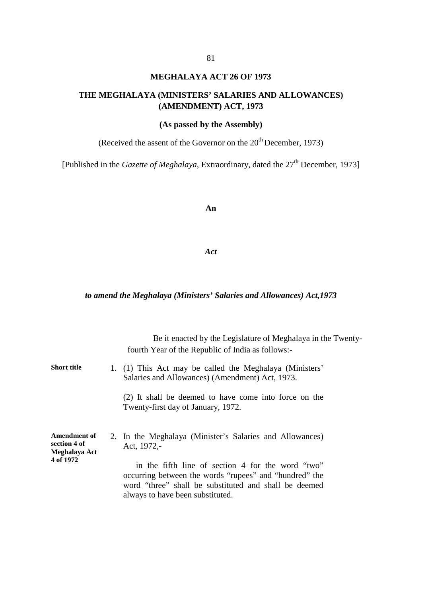# **MEGHALAYA ACT 26 OF 1973**

# **THE MEGHALAYA (MINISTERS' SALARIES AND ALLOWANCES) (AMENDMENT) ACT, 1973**

# **(As passed by the Assembly)**

(Received the assent of the Governor on the  $20<sup>th</sup>$  December, 1973)

[Published in the *Gazette of Meghalaya*, Extraordinary, dated the 27<sup>th</sup> December, 1973]

**An** 

#### *Act*

#### *to amend the Meghalaya (Ministers' Salaries and Allowances) Act,1973*

|                                                            | Be it enacted by the Legislature of Meghalaya in the Twenty-<br>fourth Year of the Republic of India as follows:-                                                                               |
|------------------------------------------------------------|-------------------------------------------------------------------------------------------------------------------------------------------------------------------------------------------------|
| <b>Short title</b>                                         | 1. (1) T his A ct ma y be c alled the Meghalaya (Ministers'<br>Salaries and Allowances) (Amendment) Act, 1973.                                                                                  |
|                                                            | (2) It s hall be deemed to have come into force on t he<br>Twenty-first day of January, 1972.                                                                                                   |
| Amendment of<br>section 4 of<br>Meghalaya Act<br>4 of 1972 | 2. In the M eghalaya (Minister's S alaries and Allowances)<br>Act, 1972,-<br>in t he f ifth 1 ine o f s ection 4 for t he w ord "two"<br>occurring between the words "rupees" and "hundred" the |
|                                                            | word "three" s hall be s ubstituted a nd s hall be de emed<br>always to have been substituted.                                                                                                  |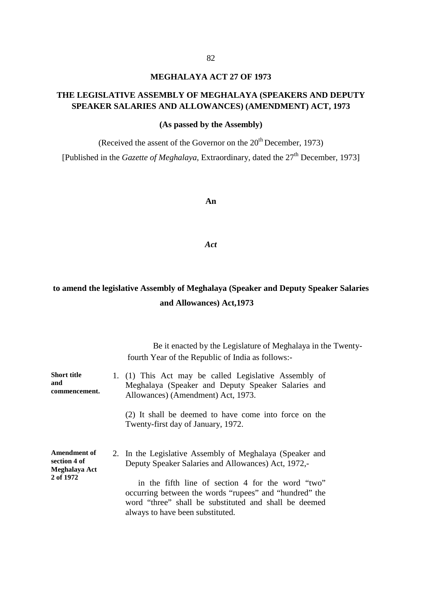# **MEGHALAYA ACT 27 OF 1973**

# **THE LEGISLATIVE ASSEMBLY OF MEGHALAYA (SPEAKERS AND DEPUTY SPEAKER SALARIES AND ALLOWANCES) (AMENDMENT) ACT, 1973**

#### **(As passed by the Assembly)**

(Received the assent of the Governor on the  $20<sup>th</sup>$  December, 1973)

[Published in the *Gazette of Meghalaya*, Extraordinary, dated the 27<sup>th</sup> December, 1973]

#### **An**

*Act*

# **to amend the legislative Assembly of Meghalaya (Speaker and Deputy Speaker Salaries and Allowances) Act,1973**

|                                                                   | Be it enacted by the Legislature of Meghalaya in the Twenty-<br>fourth Year of the Republic of India as follows:-                                                                                                                                                                                                                          |
|-------------------------------------------------------------------|--------------------------------------------------------------------------------------------------------------------------------------------------------------------------------------------------------------------------------------------------------------------------------------------------------------------------------------------|
| <b>Short title</b><br>and<br>commencement.                        | 1. (1) T his A ct ma y be called Legislative A ssembly of<br>Meghalaya (Speaker and Deputy S peaker S alaries and<br>Allowances) (Amendment) Act, 1973.                                                                                                                                                                                    |
|                                                                   | (2) It s hall be deemed to have come into force on the<br>Twenty-first day of January, 1972.                                                                                                                                                                                                                                               |
| <b>Amendment of</b><br>section 4 of<br>Meghalaya Act<br>2 of 1972 | 2. In the Legislative A ssembly of M eghalaya (Speaker and<br>Deputy Speaker Salaries and Allowances) Act, 1972,-<br>in t he f ifth l ine o f s ection 4 for t he w ord " two"<br>occurring between the words "rupees" and "hundred" the<br>word "three" s hall be s ubstituted a nd s hall be de emed<br>always to have been substituted. |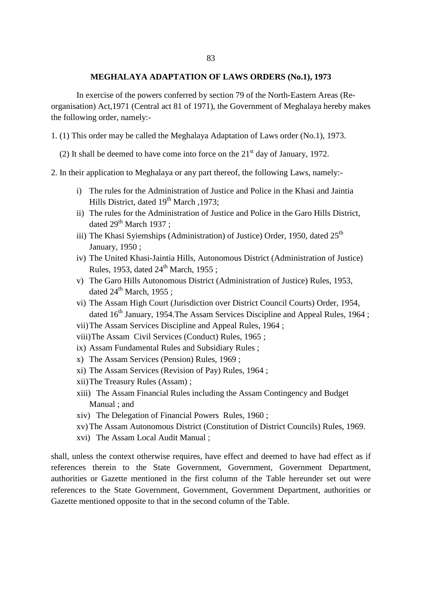#### **MEGHALAYA ADAPTATION OF LAWS ORDERS (No.1), 1973**

 In exercise of the powers conferred by section 79 of the North-Eastern Areas (Reorganisation) Act,1971 (Central act 81 of 1971), the Government of Meghalaya hereby makes the following order, namely:-

1. (1) This order may be called the Meghalaya Adaptation of Laws order (No.1), 1973.

(2) It shall be deemed to have come into force on the  $21<sup>st</sup>$  day of January, 1972.

- 2. In their application to Meghalaya or any part thereof, the following Laws, namely:
	- i) The rules for the Administration of Justice and Police in the Khasi and Jaintia Hills District, dated 19<sup>th</sup> March , 1973;
	- ii) The rules for the Administration of Justice and Police in the Garo Hills District, dated  $29^{th}$  March 1937 :
	- iii) The Khasi Syiemships (Administration) of Justice) Order, 1950, dated 25<sup>th</sup> January, 1950 ;
	- iv) The United Khasi-Jaintia Hills, Autonomous District (Administration of Justice) Rules, 1953, dated  $24^{\text{th}}$  March, 1955 :
	- v) The Garo Hills Autonomous District (Administration of Justice) Rules, 1953, dated  $24^{\text{th}}$  March, 1955 ;
	- vi) The Assam High Court (Jurisdiction over District Council Courts) Order, 1954, dated 16<sup>th</sup> January, 1954. The Assam Services Discipline and Appeal Rules, 1964;
	- vii)The Assam Services Discipline and Appeal Rules, 1964 ;
	- viii)The Assam Civil Services (Conduct) Rules, 1965 ;
	- ix) Assam Fundamental Rules and Subsidiary Rules ;
	- x) The Assam Services (Pension) Rules, 1969 ;
	- xi) The Assam Services (Revision of Pay) Rules, 1964 ;
	- xii)The Treasury Rules (Assam) ;
	- xiii) The Assam Financial Rules including the Assam Contingency and Budget Manual ; and
	- xiv) The Delegation of Financial Powers Rules, 1960 ;
	- xv) The Assam Autonomous District (Constitution of District Councils) Rules, 1969.
	- xvi) The Assam Local Audit Manual ;

shall, unless the context otherwise requires, have effect and deemed to have had effect as if references t herein t o the S tate G overnment, G overnment, Government D epartment, authorities or G azette me ntioned in the f irst c olumn of t he T able he reunder s et out w ere references t o t he S tate Government, G overnment, G overnment D epartment, a uthorities or Gazette mentioned opposite to that in the second column of the Table.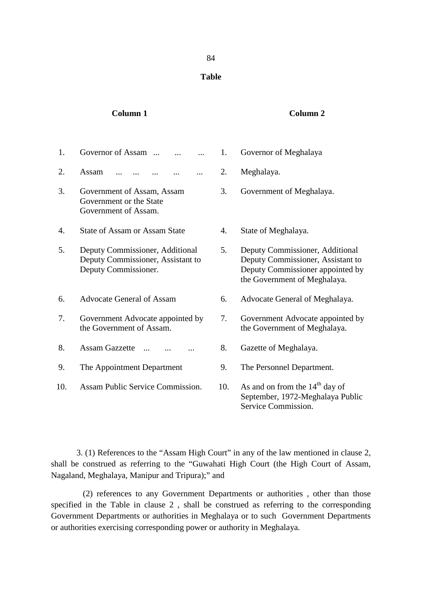#### **Table**

#### **Column 1 Column 2**

1. Governor of Assam ... ... ... 1. Governor of Meghalaya 2. Assam ... ... ... ... ... 2. Meghalaya. 3. Government of Assam, Assam Government or the State Government of Assam. 3. Government of Meghalaya. 4. State of Assam or Assam State 4. State of Meghalaya. 5. Deputy Commissioner, Additional Deputy Commissioner, Assistant to Deputy Commissioner. 5. Deputy Commissioner, Additional Deputy Commissioner, Assistant to Deputy Commissioner appointed by the Government of Meghalaya. 6. Advocate General of Assam 6. Advocate General of Meghalaya. 7. Government Advocate appointed by the Government of Assam. 7. Government Advocate appointed by the Government of Meghalaya. 8. Assam Gazzette ... ... ... 8. Gazette of Meghalaya. 9. The Appointment Department 9. The Personnel Department. 10. Assam Public Service Commission. 10. As and on from the 14<sup>th</sup> day of September, 1972-Meghalaya Public Service Commission.

3. (1) References to the "Assam High Court" in any of the law mentioned in clause 2, shall be c onstrued as r eferring t o t he "Guwahati H igh C ourt ( the High C ourt of A ssam, Nagaland, Meghalaya, Manipur and Tripura);" and

 (2) r eferences t o a ny Government D epartments or a uthorities , ot her than t hose specified in the Table in clause 2, shall be construed a s r eferring to the c orresponding Government Departments or authorities in Meghalaya or to such Government Departments or authorities exercising corresponding power or authority in Meghalaya.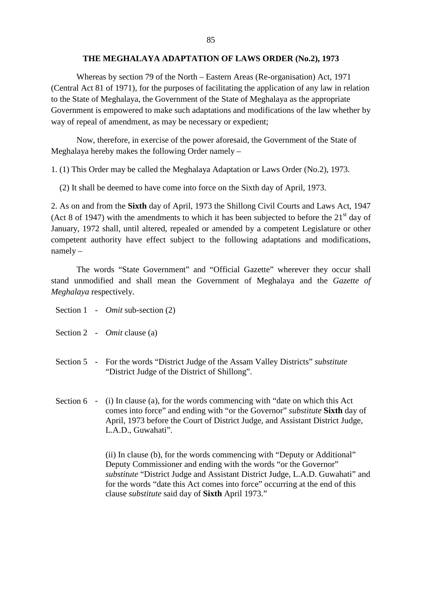#### **THE MEGHALAYA ADAPTATION OF LAWS ORDER (No.2), 1973**

 Whereas by section 79 of the North – Eastern Areas (Re-organisation) Act, 1971 (Central Act 81 of 1971), for the purposes of facilitating the application of any law in relation to the State of Meghalaya, the Government of the State of Meghalaya as the appropriate Government is empowered to make such adaptations and modifications of the law whether by way of repeal of amendment, as may be necessary or expedient;

 Now, therefore, in exercise of the power aforesaid, the Government of the State of Meghalaya hereby makes the following Order namely –

1. (1) This Order may be called the Meghalaya Adaptation or Laws Order (No.2), 1973.

(2) It shall be deemed to have come into force on the Sixth day of April, 1973.

2. As on and from the **Sixth** day of April, 1973 the Shillong Civil Courts and Laws Act, 1947 (Act 8 of 1947) with the amendments to which it has been subjected to before the  $21<sup>st</sup>$  day of January, 1972 s hall, until altered, repealed or amended by a competent Legislature or other competent a uthority ha ve e ffect s ubject t o t he f ollowing a daptations a nd m odifications, namely –

The w ords "S tate G overnment" and "Official Gazette" w herever t hey oc cur s hall stand unm odified a nd shall m ean t he G overnment of M eghalaya and t he *Gazette of Meghalaya* respectively.

- Section 1 *Omit* sub-section (2)
- Section 2 *Omit* clause (a)
- Section 5 For the words "District Judge of the Assam Valley Districts" *substitute* "District Judge of the District of Shillong".
- Section  $6 (i)$  In clause (a), for the words commencing with "date on which this Act comes into force" and ending with "or the Governor" *substitute* **Sixth** day of April, 1973 before the Court of District Judge, and Assistant District Judge, L.A.D., Guwahati".

(ii) In clause (b), for the words commencing with "Deputy or Additional" Deputy Commissioner and ending with the words "or the Governor" *substitute* "District Judge and Assistant District Judge, L.A.D. Guwahati" and for the words "date this Act comes into force" occurring at the end of this clause *substitute* said day of **Sixth** April 1973."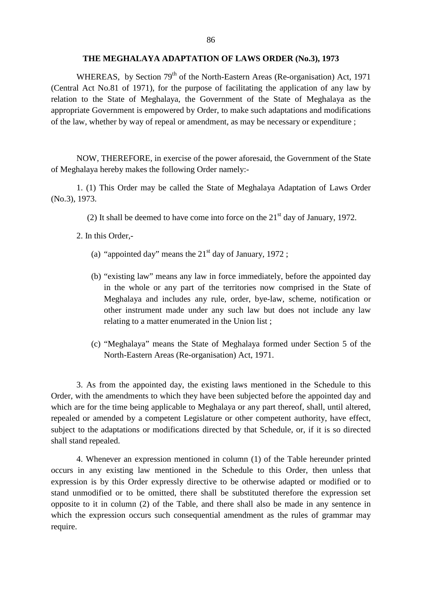#### **THE MEGHALAYA ADAPTATION OF LAWS ORDER (No.3), 1973**

WHEREAS, by Section  $79<sup>th</sup>$  of the North-Eastern Areas (Re-organisation) Act, 1971 (Central A ct N o.81 o f 1 971), for the purpose of facilitating the application of a ny law by relation to the S tate of M eghalaya, the G overnment of t he S tate of Meghalaya as t he appropriate Government is empowered by Order, to make such adaptations and modifications of the law, whether by way of repeal or amendment, as may be necessary or expenditure ;

NOW, THEREFORE, in exercise of the power aforesaid, the Government of the State of Meghalaya hereby makes the following Order namely:-

1. (1) T his O rder m ay b e cal led the S tate of M eghalaya A daptation of Laws O rder (No.3), 1973.

(2) It shall be deemed to have come into force on the  $21<sup>st</sup>$  day of January, 1972.

2. In this Order,-

- (a) "appointed day" means the  $21<sup>st</sup>$  day of January, 1972;
- (b) "existing law" means any law in force immediately, before the appointed day in t he w hole or a ny p art of t he t erritories no w c omprised i n t he S tate of Meghalaya and includes an y r ule, order, bye-law, scheme, notification or other i nstrument m ade under a ny s uch l aw but doe s not i nclude any l aw relating to a matter enumerated in the Union list ;
- (c) "Meghalaya" m eans t he S tate of M eghalaya f ormed under S ection 5 of t he North-Eastern Areas (Re-organisation) Act, 1971.

3. As from the appointed day, the existing laws m entioned in the S chedule to this Order, with the amendments to which they have been subjected before the appointed day and which are for the time being applicable to Meghalaya or any part thereof, shall, until altered, repealed or amended by a competent Legislature or other competent authority, have effect, subject to the adaptations or modifications directed by that Schedule, or, if it is so directed shall stand repealed.

4. Whenever an expression mentioned in column (1) of the Table hereunder printed occurs i n a ny existing l aw m entioned i n t he Schedule t o t his O rder, t hen unl ess t hat expression is by this O rder e xpressly di rective to be ot herwise a dapted or modified or to stand unm odified or t o be om itted, t here s hall be s ubstituted t herefore the e xpression s et opposite to it in column  $(2)$  of the T able, and there shall also be made in any sentence in which the expression oc curs s uch c onsequential a mendment a s the r ules of g rammar m ay require.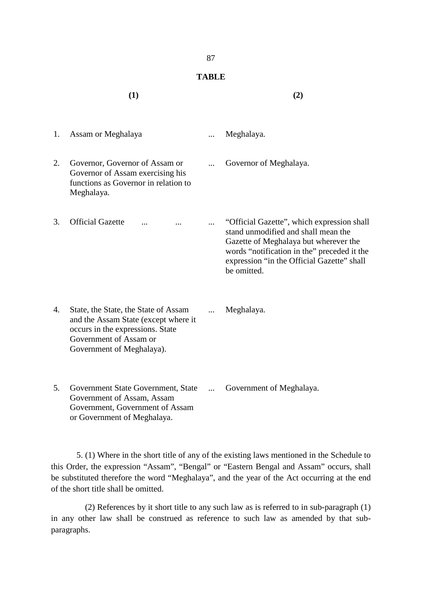# **TABLE**

|    | (1)                                                                                                                                                                     |            | (2)                                                                                                                                                                                                                                    |
|----|-------------------------------------------------------------------------------------------------------------------------------------------------------------------------|------------|----------------------------------------------------------------------------------------------------------------------------------------------------------------------------------------------------------------------------------------|
| 1. | Assam or Meghalaya                                                                                                                                                      |            | Meghalaya.                                                                                                                                                                                                                             |
| 2. | Governor, Governor of Assam or<br>Governor of Assam exercising his<br>functions as Governor in relation to<br>Meghalaya.                                                |            | Governor of Meghalaya.                                                                                                                                                                                                                 |
| 3. | <b>Official Gazette</b>                                                                                                                                                 |            | "Official Gazette", which expression shall<br>stand unmodified and shall mean the<br>Gazette of Meghalaya but wherever the<br>words "notification in the" preceded it the<br>expression "in the Official Gazette" shall<br>be omitted. |
| 4. | State, the State, the State of Assam<br>and the Assam State (except where it<br>occurs in the expressions. State<br>Government of Assam or<br>Government of Meghalaya). | .          | Meghalaya.                                                                                                                                                                                                                             |
| 5. | Government State Government, State<br>Government of Assam, Assam<br>Government, Government of Assam<br>or Government of Meghalaya.                                      | $\dddotsc$ | Government of Meghalaya.                                                                                                                                                                                                               |

5. (1) Where in the short title of any of the existing laws mentioned in the Schedule to this Order, the expression "Assam", "Bengal" or "Eastern Bengal and Assam" occurs, shall be substituted therefore the word "Meghalaya", and the year of the Act occurring at the end of the short title shall be omitted.

 (2) References by it short title to any such law as is referred to in sub-paragraph (1) in any ot her l aw s hall be cons trued as r eference t o such law as amended by t hat s ubparagraphs.

87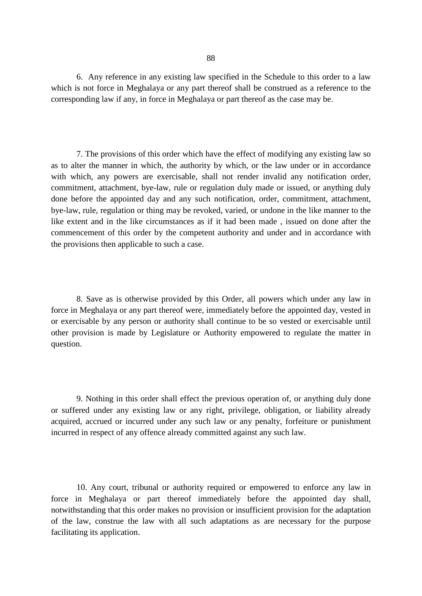6. Any reference in any existing law specified in the Schedule to this order to a law which is not force in Meghalaya or any part thereof shall be construed as a reference to the corresponding law if any, in force in Meghalaya or part thereof as the case may be.

7. The provisions of this order which have the effect of modifying any existing law so as to alter the manner in which, the authority by which, or the law under or in accordance with w hich, a ny powers a re e xercisable, s hall not r ender i nvalid a ny notification or der, commitment, attachment, bye-law, rule or regulation duly made or issued, or anything duly done be fore t he a ppointed da y a nd any s uch no tification, or der, c ommitment, a ttachment, bye-law, rule, regulation or thing may be revoked, varied, or undone in the like manner to the like extent and in the like circumstances as if it had be en made, i ssued on done after the commencement of this order by the competent authority and under and in accordance with the provisions then applicable to such a case.

8. S ave as is otherwise provided by this Order, all pow ers which under any law in force in Meghalaya or any part thereof were, immediately before the appointed day, vested in or exercisable by any person or authority shall continue to be so vested or exercisable until other pr ovision i s m ade b y Legislature or A uthority empowered t o regulate t he m atter i n question.

9. Nothing in this order shall effect the previous operation of, or anything duly done or s uffered unde r any existing l aw o r a ny right, pr ivilege, obl igation, o r l iability a lready acquired, a ccrued or incurred under any such law or any penalty, forfeiture or puni shment incurred in respect of any offence already committed against any such law.

10. A ny c ourt, t ribunal or a uthority r equired or e mpowered t o enforce any law i n force i n M eghalaya o r pa rt t hereof i mmediately before t he appointed da y s hall, notwithstanding that this order makes no provision or insufficient provision for the adaptation of t he l aw, c onstrue t he l aw w ith a ll s uch a daptations a s a re ne cessary f or t he pur pose facilitating its application.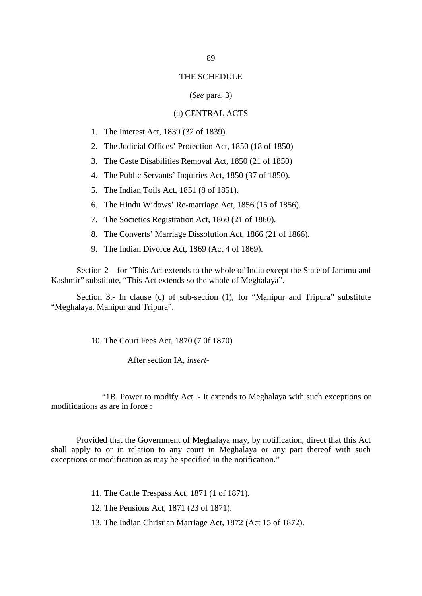#### THE SCHEDULE

#### (*See* para, 3)

# (a) CENTRAL ACTS

- 1. The Interest Act, 1839 (32 of 1839).
- 2. The Judicial Offices' Protection Act, 1850 (18 of 1850)
- 3. The Caste Disabilities Removal Act, 1850 (21 of 1850)
- 4. The Public Servants' Inquiries Act, 1850 (37 of 1850).
- 5. The Indian Toils Act, 1851 (8 of 1851).
- 6. The Hindu Widows' Re-marriage Act, 1856 (15 of 1856).
- 7. The Societies Registration Act, 1860 (21 of 1860).
- 8. The Converts' Marriage Dissolution Act, 1866 (21 of 1866).
- 9. The Indian Divorce Act, 1869 (Act 4 of 1869).

Section 2 – for "This Act extends to the whole of India except the State of Jammu and Kashmir" substitute, "This Act extends so the whole of Meghalaya".

Section 3. - In clause (c) of s ub-section (1), for "Manipur a nd T ripura" s ubstitute "Meghalaya, Manipur and Tripura".

10. The Court Fees Act, 1870 (7 0f 1870)

After section IA, *insert*-

 "1B. Power to modify Act. - It extends to Meghalaya with such exceptions or modifications as are in force :

Provided that the Government of Meghalaya may, by notification, direct that this Act shall a pply t o or i n r elation t o a ny court i n M eghalaya or any p art t hereof w ith s uch exceptions or modification as may be specified in the notification."

- 11. The Cattle Trespass Act, 1871 (1 of 1871).
- 12. The Pensions Act, 1871 (23 of 1871).
- 13. The Indian Christian Marriage Act, 1872 (Act 15 of 1872).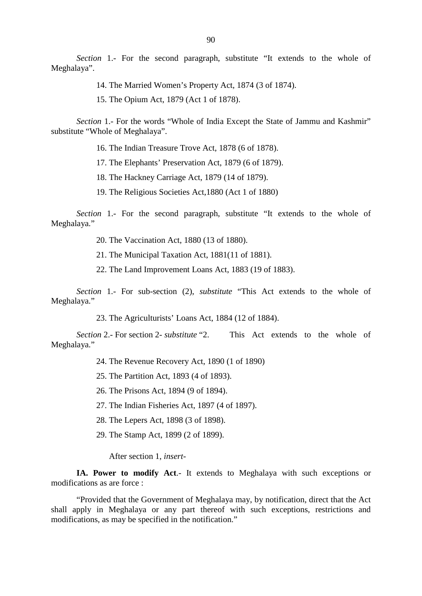*Section* 1.- For t he s econd pa ragraph, s ubstitute "It extends t o t he w hole o f Meghalaya".

14. The Married Women's Property Act, 1874 (3 of 1874).

15. The Opium Act, 1879 (Act 1 of 1878).

*Section* 1.- For the words "Whole of India Except the State of Jammu and Kashmir" substitute "Whole of Meghalaya".

16. The Indian Treasure Trove Act, 1878 (6 of 1878).

17. The Elephants' Preservation Act, 1879 (6 of 1879).

18. The Hackney Carriage Act, 1879 (14 of 1879).

19. The Religious Societies Act,1880 (Act 1 of 1880)

*Section* 1.- For t he second pa ragraph, s ubstitute "It extends t o t he w hole o f Meghalaya."

20. The Vaccination Act, 1880 (13 of 1880).

21. The Municipal Taxation Act, 1881(11 of 1881).

22. The Land Improvement Loans Act, 1883 (19 of 1883).

*Section* 1.- For sub-section ( 2), *substitute* "This A ct ext ends to t he w hole of Meghalaya."

23. The Agriculturists' Loans Act, 1884 (12 of 1884).

*Section* 2.- For section 2- *substitute* "2. This A ct e xtends t o t he w hole o f Meghalaya."

24. The Revenue Recovery Act, 1890 (1 of 1890)

25. The Partition Act, 1893 (4 of 1893).

26. The Prisons Act, 1894 (9 of 1894).

27. The Indian Fisheries Act, 1897 (4 of 1897).

28. The Lepers Act, 1898 (3 of 1898).

29. The Stamp Act, 1899 (2 of 1899).

After section 1, *insert*-

**IA. Power to modify Act**.- It extends t o Meghalaya w ith s uch exceptions or modifications as are force :

"Provided that the Government of Meghalaya may, by notification, direct that the Act shall a pply i n M eghalaya or a ny p art t hereof w ith s uch exceptions, r estrictions a nd modifications, as may be specified in the notification."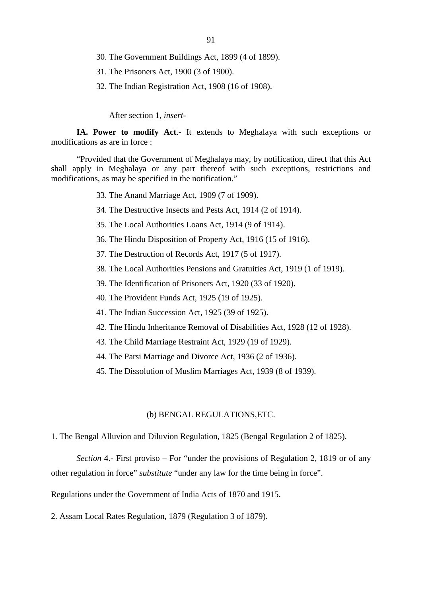- 30. The Government Buildings Act, 1899 (4 of 1899).
- 31. The Prisoners Act, 1900 (3 of 1900).
- 32. The Indian Registration Act, 1908 (16 of 1908).

After section 1, *insert*-

**IA. Power to modify Act**.- It extends t o Meghalaya w ith s uch exceptions or modifications as are in force :

"Provided that the Government of Meghalaya may, by notification, direct that this Act shall a pply i n M eghalaya or a ny p art t hereof w ith s uch exceptions, r estrictions a nd modifications, as may be specified in the notification."

- 33. The Anand Marriage Act, 1909 (7 of 1909).
- 34. The Destructive Insects and Pests Act, 1914 (2 of 1914).
- 35. The Local Authorities Loans Act, 1914 (9 of 1914).
- 36. The Hindu Disposition of Property Act, 1916 (15 of 1916).
- 37. The Destruction of Records Act, 1917 (5 of 1917).
- 38. The Local Authorities Pensions and Gratuities Act, 1919 (1 of 1919).
- 39. The Identification of Prisoners Act, 1920 (33 of 1920).
- 40. The Provident Funds Act, 1925 (19 of 1925).
- 41. The Indian Succession Act, 1925 (39 of 1925).
- 42. The Hindu Inheritance Removal of Disabilities Act, 1928 (12 of 1928).
- 43. The Child Marriage Restraint Act, 1929 (19 of 1929).
- 44. The Parsi Marriage and Divorce Act, 1936 (2 of 1936).
- 45. The Dissolution of Muslim Marriages Act, 1939 (8 of 1939).

#### (b) BENGAL REGULATIONS,ETC.

1. The Bengal Alluvion and Diluvion Regulation, 1825 (Bengal Regulation 2 of 1825).

*Section* 4.- First proviso – For "under the provisions of Regulation 2, 1819 or of any other regulation in force" *substitute* "under any law for the time being in force".

Regulations under the Government of India Acts of 1870 and 1915.

2. Assam Local Rates Regulation, 1879 (Regulation 3 of 1879).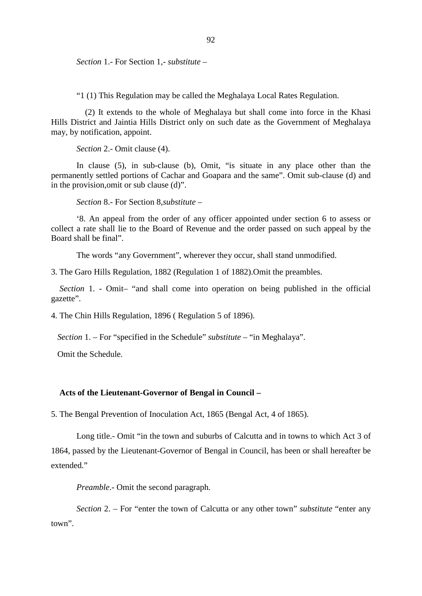*Section* 1.- For Section 1,- *substitute* –

"1 (1) This Regulation may be called the Meghalaya Local Rates Regulation.

(2) It extends to the whole of M eghalaya but shall come into force in the K hasi Hills District and Jaintia Hills District only on such date as the Government of Meghalaya may, by notification, appoint.

*Section* 2.- Omit clause (4).

In c lause (5), i n s ub-clause (b), O mit, " is s ituate i n a ny pl ace ot her t han t he permanently settled portions of Cachar and Goapara and the same". Omit sub-clause (d) and in the provision,omit or sub clause (d)".

*Section* 8.- For Section 8,*substitute –* 

'8. An appeal from the order of any officer appointed under section  $6$  t o assess or collect a rate shall lie to the Board of Revenue and the order passed on s uch appeal by the Board shall be final".

The words "any Government", wherever they occur, shall stand unmodified.

3. The Garo Hills Regulation, 1882 (Regulation 1 of 1882).Omit the preambles.

 *Section* 1. - Omit– "and s hall c ome i nto ope ration on b eing publ ished i n t he of ficial gazette".

4. The Chin Hills Regulation, 1896 ( Regulation 5 of 1896).

*Section* 1. – For "specified in the Schedule" *substitute* – "in Meghalaya".

Omit the Schedule.

#### **Acts of the Lieutenant-Governor of Bengal in Council –**

5. The Bengal Prevention of Inoculation Act, 1865 (Bengal Act, 4 of 1865).

 Long title.- Omit "in the town and suburbs of Calcutta and in towns to which Act 3 of 1864, passed by the Lieutenant-Governor of Bengal in Council, has been or shall hereafter be extended."

*Preamble*.- Omit the second paragraph.

*Section* 2. – For "enter the town of Calcutta or any other town" *substitute* "enter any town".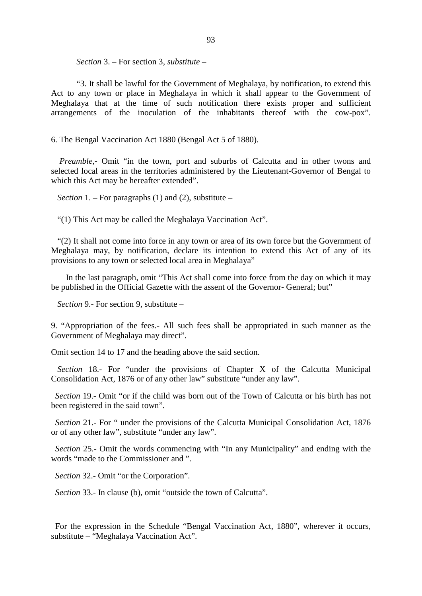*Section* 3. – For section 3, *substitute* –

"3. It shall be lawful for the Government of Meghalaya, by notification, to extend this Act t o a ny t own or pl ace i n M eghalaya i n w hich i t s hall a ppear t o t he G overnment of Meghalaya tha t a t the time of s uch not ification there e xists pr oper a nd s ufficient arrangements of t he inoculation of t he i nhabitants t hereof with t he c ow-pox".

6. The Bengal Vaccination Act 1880 (Bengal Act 5 of 1880).

*Preamble*,- Omit " in the town, por t and s uburbs of C alcutta and in ot her t wons and selected local areas in the territories administered by the Lieutenant-Governor of Bengal to which this Act may be hereafter extended".

*Section* 1. – For paragraphs (1) and (2), substitute –

"(1) This Act may be called the Meghalaya Vaccination Act".

 "(2) It shall not come into force in any town or area of its own force but the Government of Meghalaya ma y, by notification, declare its int ention to extend this Act of a ny of its provisions to any town or selected local area in Meghalaya"

 In the last paragraph, omit "This Act shall come into force from the day on which it may be published in the Official Gazette with the assent of the Governor- General; but"

*Section* 9.- For section 9, substitute –

9. " Appropriation of t he f ees.- All s uch f ees s hall be a ppropriated i n s uch m anner a s t he Government of Meghalaya may direct".

Omit section 14 to 17 and the heading above the said section.

*Section* 18.- For " under t he pr ovisions of C hapter X of t he C alcutta M unicipal Consolidation Act, 1876 or of any other law" substitute "under any law".

 *Section* 19.- Omit "or if the child was born out of the Town of Calcutta or his birth has not been registered in the said town".

 *Section* 21.- For " under the provisions of the Calcutta Municipal Consolidation Act, 1876 or of any other law", substitute "under any law".

 *Section* 25.- Omit the words commencing with "In any Municipality" and ending with the words "made to the Commissioner and ".

*Section* 32.- Omit "or the Corporation".

 *Section* 33.- In clause (b), omit "outside the town of Calcutta".

For the expression in the S chedule "Bengal V accination Act, 1880", wherever it oc curs, substitute – "Meghalaya Vaccination Act".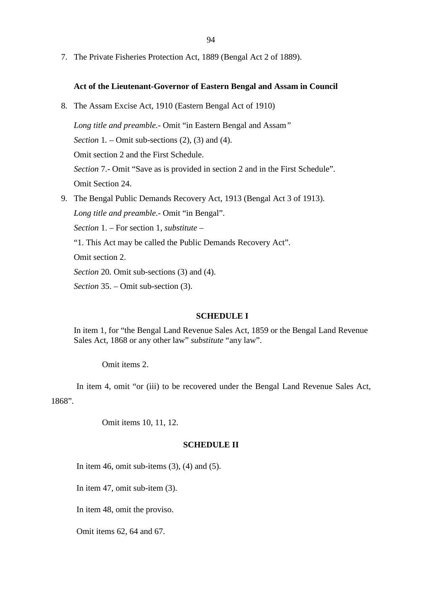7. The Private Fisheries Protection Act, 1889 (Bengal Act 2 of 1889).

#### **Act of the Lieutenant-Governor of Eastern Bengal and Assam in Council**

8. The Assam Excise Act, 1910 (Eastern Bengal Act of 1910)

*Long title and preamble.-* Omit "in Eastern Bengal and Assam*"* 

*Section 1. – Omit sub-sections (2), (3) and (4).* 

Omit section 2 and the First Schedule.

*Section* 7.- Omit "Save as is provided in section 2 and in the First Schedule".

Omit Section 24.

9. The Bengal Public Demands Recovery Act, 1913 (Bengal Act 3 of 1913).

*Long title and preamble*.- Omit "in Bengal".

*Section* 1. – For section 1, *substitute* –

"1. This Act may be called the Public Demands Recovery Act".

Omit section 2.

*Section* 20*.* Omit sub-sections (3) and (4).

*Section* 35. – Omit sub-section (3).

#### **SCHEDULE I**

In item 1, for "the Bengal Land Revenue Sales Act, 1859 or the Bengal Land Revenue Sales Act, 1868 or any other law" *substitute* "any law".

Omit items 2.

In item 4, om it "or (iii) to be recovered under the Bengal Land Revenue Sales Act, 1868".

Omit items 10, 11, 12.

#### **SCHEDULE II**

In item 46, omit sub-items  $(3)$ ,  $(4)$  and  $(5)$ .

In item 47, omit sub-item (3).

In item 48, omit the proviso.

Omit items 62, 64 and 67.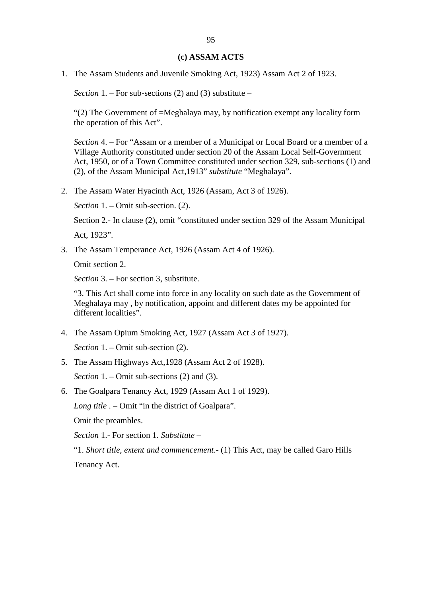#### **(c) ASSAM ACTS**

1. The Assam Students and Juvenile Smoking Act, 1923) Assam Act 2 of 1923.

*Section* 1. – For sub-sections (2) and (3) substitute –

"(2) The Government of =Meghalaya may, by notification exempt any locality form the operation of this Act".

*Section* 4. – For "Assam or a member of a Municipal or Local Board or a member of a Village Authority constituted under section 20 of the Assam Local Self-Government Act, 1950, or of a Town Committee constituted under section 329, sub-sections (1) and (2), of the Assam Municipal Act,1913" *substitute* "Meghalaya".

2. The Assam Water Hyacinth Act, 1926 (Assam, Act 3 of 1926).

*Section* 1. – Omit sub-section. (2).

Section 2.- In clause (2), omit "constituted under section 329 of the Assam Municipal

Act, 1923".

3. The Assam Temperance Act, 1926 (Assam Act 4 of 1926).

Omit section 2.

*Section* 3. – For section 3, substitute.

"3. This Act shall come into force in any locality on such date as the Government of Meghalaya may , by notification, appoint and different dates my be appointed for different localities".

4. The Assam Opium Smoking Act, 1927 (Assam Act 3 of 1927).

*Section* 1. – Omit sub-section (2).

5. The Assam Highways Act,1928 (Assam Act 2 of 1928).

*Section* 1. – Omit sub-sections (2) and (3).

6. The Goalpara Tenancy Act, 1929 (Assam Act 1 of 1929).

*Long title* . – Omit "in the district of Goalpara".

Omit the preambles.

*Section* 1.- For section 1. *Substitute* –

"1. *Short title, extent and commencement*.- (1) This Act, may be called Garo Hills

Tenancy Act.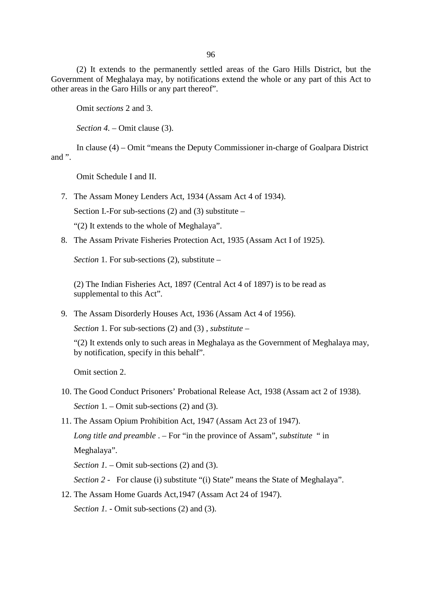96

(2) It e xtends to the pe rmanently settled areas of the Garo H ills D istrict, but the Government of Meghalaya may, by notifications extend the whole or any part of this Act to other areas in the Garo Hills or any part thereof".

Omit *sections* 2 and 3.

*Section 4.* – Omit clause (3).

In clause (4) – Omit "means the Deputy Commissioner in-charge of Goalpara District and ".

Omit Schedule I and II.

7. The Assam Money Lenders Act, 1934 (Assam Act 4 of 1934).

Section I.-For sub-sections  $(2)$  and  $(3)$  substitute –

"(2) It extends to the whole of Meghalaya".

8. The Assam Private Fisheries Protection Act, 1935 (Assam Act I of 1925).

*Section* 1. For sub-sections (2), substitute –

(2) The Indian Fisheries Act, 1897 (Central Act 4 of 1897) is to be read as supplemental to this Act".

9. The Assam Disorderly Houses Act, 1936 (Assam Act 4 of 1956).

*Section* 1. For sub-sections (2) and (3) , *substitute* –

"(2) It extends only to such areas in Meghalaya as the Government of Meghalaya may, by notification, specify in this behalf".

Omit section 2.

- 10. The Good Conduct Prisoners' Probational Release Act, 1938 (Assam act 2 of 1938). *Section* 1. – Omit sub-sections (2) and (3).
- 11. The Assam Opium Prohibition Act, 1947 (Assam Act 23 of 1947).

*Long title and preamble* . – For "in the province of Assam", *substitute* " in Meghalaya".

*Section 1. – Omit sub-sections (2) and (3).* 

*Section 2* - For clause (i) substitute "(i) State" means the State of Meghalaya".

12. The Assam Home Guards Act,1947 (Assam Act 24 of 1947).

*Section 1.* - Omit sub-sections (2) and (3).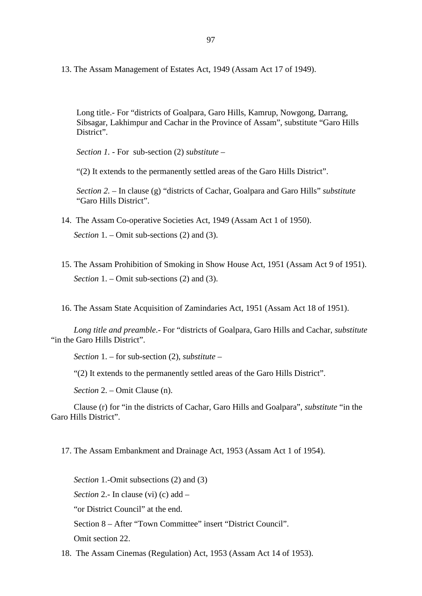13. The Assam Management of Estates Act, 1949 (Assam Act 17 of 1949).

Long title.- For "districts of Goalpara, Garo Hills, Kamrup, Nowgong, Darrang, Sibsagar, Lakhimpur and Cachar in the Province of Assam", substitute "Garo Hills District".

*Section 1.* - For sub-section (2) *substitute –* 

"(2) It extends to the permanently settled areas of the Garo Hills District".

*Section 2. –* In clause (g) "districts of Cachar, Goalpara and Garo Hills" *substitute* "Garo Hills District".

- 14. The Assam Co-operative Societies Act, 1949 (Assam Act 1 of 1950). *Section* 1. – Omit sub-sections (2) and (3).
- 15. The Assam Prohibition of Smoking in Show House Act, 1951 (Assam Act 9 of 1951). *Section* 1. – Omit sub-sections (2) and (3).

16. The Assam State Acquisition of Zamindaries Act, 1951 (Assam Act 18 of 1951).

*Long title and preamble*.- For "districts of Goalpara, Garo Hills and Cachar, *substitute* "in the Garo Hills District".

*Section* 1. – for sub-section (2), *substitute* –

"(2) It extends to the permanently settled areas of the Garo Hills District".

*Section* 2. – Omit Clause (n).

Clause (r) for "in the districts of Cachar, Garo Hills and Goalpara", *substitute* "in the Garo Hills District".

17. The Assam Embankment and Drainage Act, 1953 (Assam Act 1 of 1954).

*Section* 1.-Omit subsections (2) and (3) *Section* 2.- In clause (vi) (c) add – "or District Council" at the end. Section 8 – After "Town Committee" insert "District Council". Omit section 22.

18. The Assam Cinemas (Regulation) Act, 1953 (Assam Act 14 of 1953).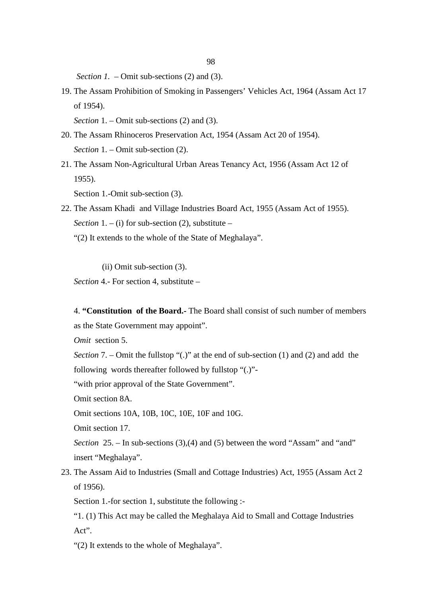*Section 1. – Omit sub-sections (2) and (3).* 

19. The Assam Prohibition of Smoking in Passengers' Vehicles Act, 1964 (Assam Act 17 of 1954).

*Section* 1. – Omit sub-sections (2) and (3).

- 20. The Assam Rhinoceros Preservation Act, 1954 (Assam Act 20 of 1954). *Section* 1. – Omit sub-section (2).
- 21. The Assam Non-Agricultural Urban Areas Tenancy Act, 1956 (Assam Act 12 of 1955).

Section 1.-Omit sub-section (3).

- 22. The Assam Khadi and Village Industries Board Act, 1955 (Assam Act of 1955). *Section*  $1 - (i)$  for sub-section (2), substitute –
	- "(2) It extends to the whole of the State of Meghalaya".

(ii) Omit sub-section (3).

*Section* 4.- For section 4, substitute –

4. **"Constitution of the Board.-** The Board shall consist of such number of members as the State Government may appoint".

*Omit* section 5.

*Section* 7. – Omit the fullstop "(.)" at the end of sub-section (1) and (2) and add the following words thereafter followed by fullstop "(.)"-

"with prior approval of the State Government".

Omit section 8A.

Omit sections 10A, 10B, 10C, 10E, 10F and 10G.

Omit section 17.

*Section* 25. – In sub-sections (3),(4) and (5) between the word "Assam" and "and" insert "Meghalaya".

23. The Assam Aid to Industries (Small and Cottage Industries) Act, 1955 (Assam Act 2 of 1956).

Section 1.-for section 1, substitute the following :-

"1. (1) This Act may be called the Meghalaya Aid to Small and Cottage Industries Act".

"(2) It extends to the whole of Meghalaya".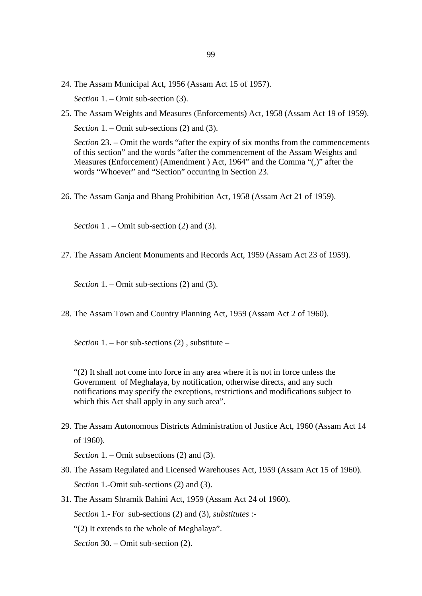- 24. The Assam Municipal Act, 1956 (Assam Act 15 of 1957). *Section* 1. – Omit sub-section (3).
- 25. The Assam Weights and Measures (Enforcements) Act, 1958 (Assam Act 19 of 1959). *Section* 1. – Omit sub-sections (2) and (3).

*Section* 23. – Omit the words "after the expiry of six months from the commencements of this section" and the words "after the commencement of the Assam Weights and Measures (Enforcement) (Amendment ) Act, 1964" and the Comma "(,)" after the words "Whoever" and "Section" occurring in Section 23.

26. The Assam Ganja and Bhang Prohibition Act, 1958 (Assam Act 21 of 1959).

*Section* 1. – Omit sub-section (2) and (3).

27. The Assam Ancient Monuments and Records Act, 1959 (Assam Act 23 of 1959).

*Section* 1. – Omit sub-sections (2) and (3).

28. The Assam Town and Country Planning Act, 1959 (Assam Act 2 of 1960).

*Section* 1. – For sub-sections (2) , substitute –

"(2) It shall not come into force in any area where it is not in force unless the Government of Meghalaya, by notification, otherwise directs, and any such notifications may specify the exceptions, restrictions and modifications subject to which this Act shall apply in any such area".

29. The Assam Autonomous Districts Administration of Justice Act, 1960 (Assam Act 14 of 1960).

*Section* 1. – Omit subsections (2) and (3).

- 30. The Assam Regulated and Licensed Warehouses Act, 1959 (Assam Act 15 of 1960). *Section* 1.-Omit sub-sections (2) and (3).
- 31. The Assam Shramik Bahini Act, 1959 (Assam Act 24 of 1960). *Section* 1.- For sub-sections (2) and (3), *substitutes* :- "(2) It extends to the whole of Meghalaya". *Section* 30. – Omit sub-section (2).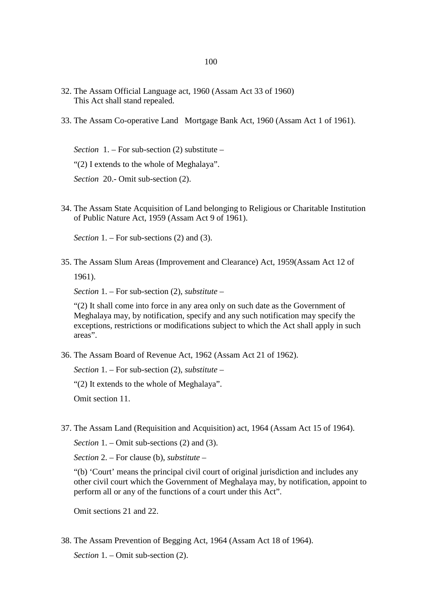- 32. The Assam Official Language act, 1960 (Assam Act 33 of 1960) This Act shall stand repealed.
- 33. The Assam Co-operative Land Mortgage Bank Act, 1960 (Assam Act 1 of 1961).

*Section* 1. – For sub-section (2) substitute – "(2) I extends to the whole of Meghalaya". *Section* 20.- Omit sub-section (2).

34. The Assam State Acquisition of Land belonging to Religious or Charitable Institution of Public Nature Act, 1959 (Assam Act 9 of 1961).

*Section* 1. – For sub-sections (2) and (3).

35. The Assam Slum Areas (Improvement and Clearance) Act, 1959(Assam Act 12 of 1961).

*Section* 1. – For sub-section (2), *substitute* –

"(2) It shall come into force in any area only on such date as the Government of Meghalaya may, by notification, specify and any such notification may specify the exceptions, restrictions or modifications subject to which the Act shall apply in such areas".

36. The Assam Board of Revenue Act, 1962 (Assam Act 21 of 1962).

*Section* 1. – For sub-section (2), *substitute* –

"(2) It extends to the whole of Meghalaya".

Omit section 11.

37. The Assam Land (Requisition and Acquisition) act, 1964 (Assam Act 15 of 1964).

*Section* 1. – Omit sub-sections (2) and (3).

*Section* 2. – For clause (b), *substitute* –

"(b) 'Court' means the principal civil court of original jurisdiction and includes any other civil court which the Government of Meghalaya may, by notification, appoint to perform all or any of the functions of a court under this Act".

Omit sections 21 and 22.

38. The Assam Prevention of Begging Act, 1964 (Assam Act 18 of 1964). *Section* 1. – Omit sub-section (2).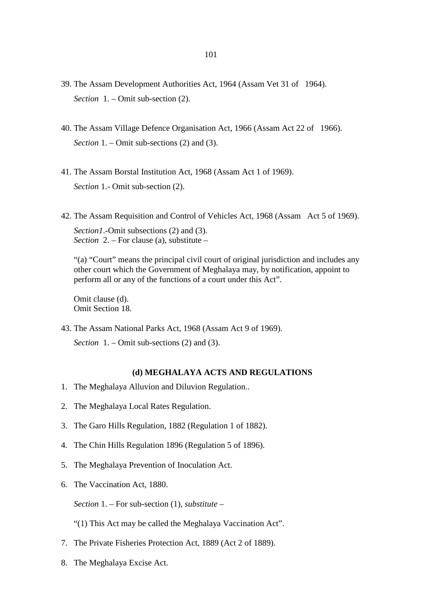- 39. The Assam Development Authorities Act, 1964 (Assam Vet 31 of 1964). *Section* 1. – Omit sub-section (2).
- 40. The Assam Village Defence Organisation Act, 1966 (Assam Act 22 of 1966). *Section* 1. – Omit sub-sections (2) and (3).
- 41. The Assam Borstal Institution Act, 1968 (Assam Act 1 of 1969). *Section* 1.- Omit sub-section (2).
- 42. The Assam Requisition and Control of Vehicles Act, 1968 (Assam Act 5 of 1969).

*Section1*.-Omit subsections (2) and (3). *Section* 2. – For clause (a), substitute –

"(a) "Court" means the principal civil court of original jurisdiction and includes any other court which the Government of Meghalaya may, by notification, appoint to perform all or any of the functions of a court under this Act".

Omit clause (d). Omit Section 18.

43. The Assam National Parks Act, 1968 (Assam Act 9 of 1969). *Section* 1. – Omit sub-sections (2) and (3).

#### **(d) MEGHALAYA ACTS AND REGULATIONS**

- 1. The Meghalaya Alluvion and Diluvion Regulation..
- 2. The Meghalaya Local Rates Regulation.
- 3. The Garo Hills Regulation, 1882 (Regulation 1 of 1882).
- 4. The Chin Hills Regulation 1896 (Regulation 5 of 1896).
- 5. The Meghalaya Prevention of Inoculation Act.
- 6. The Vaccination Act, 1880.

*Section* 1. – For sub-section (1), *substitute* –

- "(1) This Act may be called the Meghalaya Vaccination Act".
- 7. The Private Fisheries Protection Act, 1889 (Act 2 of 1889).
- 8. The Meghalaya Excise Act.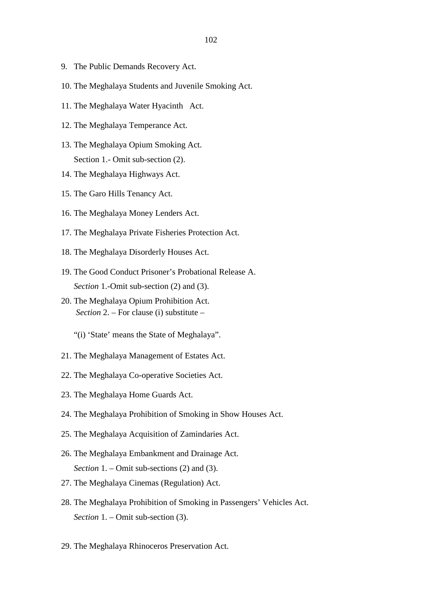- 9. The Public Demands Recovery Act.
- 10. The Meghalaya Students and Juvenile Smoking Act.
- 11. The Meghalaya Water Hyacinth Act.
- 12. The Meghalaya Temperance Act.
- 13. The Meghalaya Opium Smoking Act. Section 1.- Omit sub-section (2).
- 14. The Meghalaya Highways Act.
- 15. The Garo Hills Tenancy Act.
- 16. The Meghalaya Money Lenders Act.
- 17. The Meghalaya Private Fisheries Protection Act.
- 18. The Meghalaya Disorderly Houses Act.
- 19. The Good Conduct Prisoner's Probational Release A. *Section* 1.-Omit sub-section (2) and (3).
- 20. The Meghalaya Opium Prohibition Act. *Section* 2. – For clause (i) substitute –
	- "(i) 'State' means the State of Meghalaya".
- 21. The Meghalaya Management of Estates Act.
- 22. The Meghalaya Co-operative Societies Act.
- 23. The Meghalaya Home Guards Act.
- 24. The Meghalaya Prohibition of Smoking in Show Houses Act.
- 25. The Meghalaya Acquisition of Zamindaries Act.
- 26. The Meghalaya Embankment and Drainage Act. *Section* 1. – Omit sub-sections (2) and (3).
- 27. The Meghalaya Cinemas (Regulation) Act.
- 28. The Meghalaya Prohibition of Smoking in Passengers' Vehicles Act. *Section* 1. – Omit sub-section (3).
- 29. The Meghalaya Rhinoceros Preservation Act.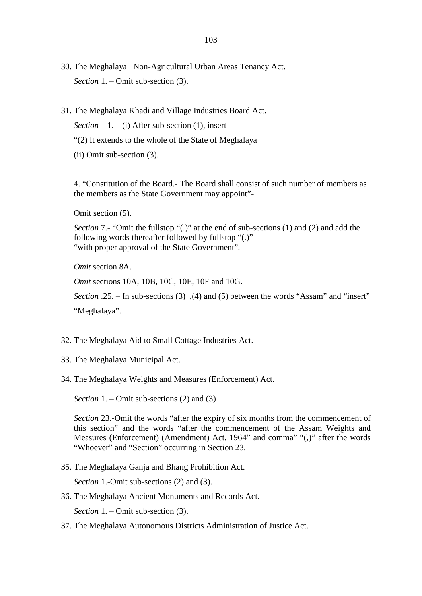- 30. The Meghalaya Non-Agricultural Urban Areas Tenancy Act. *Section* 1. – Omit sub-section (3).
- 31. The Meghalaya Khadi and Village Industries Board Act.

*Section*  $1. - (i)$  After sub-section (1), insert –

- "(2) It extends to the whole of the State of Meghalaya
- (ii) Omit sub-section (3).

4. "Constitution of the Board.- The Board shall consist of such number of members as the members as the State Government may appoint"-

Omit section (5).

*Section* 7.- "Omit the fullstop "(.)" at the end of sub-sections (1) and (2) and add the following words thereafter followed by fullstop " $(.)$ " – "with proper approval of the State Government".

*Omit* section 8A.

*Omit* sections 10A, 10B, 10C, 10E, 10F and 10G.

*Section* .25. – In sub-sections (3) ,(4) and (5) between the words "Assam" and "insert" "Meghalaya".

- 32. The Meghalaya Aid to Small Cottage Industries Act.
- 33. The Meghalaya Municipal Act.
- 34. The Meghalaya Weights and Measures (Enforcement) Act.

*Section* 1. – Omit sub-sections (2) and (3)

*Section* 23.-Omit the words "after the expiry of six months from the commencement of this s ection" and the w ords "af ter t he com mencement of t he A ssam W eights and Measures (Enforcement) (Amendment) Act, 1964" and comma" "(,)" after the words "Whoever" and "Section" occurring in Section 23.

35. The Meghalaya Ganja and Bhang Prohibition Act.

*Section* 1.-Omit sub-sections (2) and (3).

36. The Meghalaya Ancient Monuments and Records Act.

*Section* 1. – Omit sub-section (3).

37. The Meghalaya Autonomous Districts Administration of Justice Act.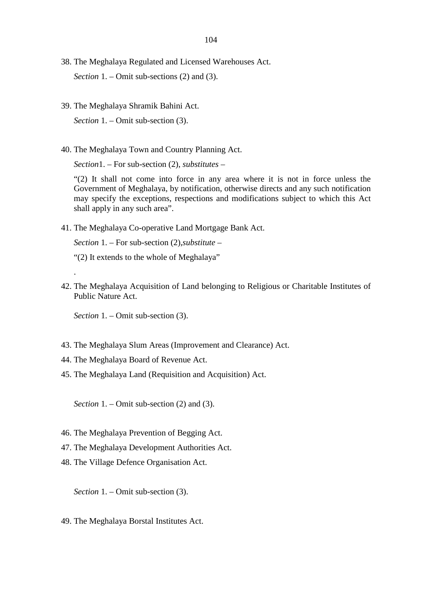- 38. The Meghalaya Regulated and Licensed Warehouses Act. *Section* 1. – Omit sub-sections (2) and (3).
- 39. The Meghalaya Shramik Bahini Act. *Section* 1. – Omit sub-section (3).
- 40. The Meghalaya Town and Country Planning Act.

*Section*1. – For sub-section (2), *substitutes* –

"(2) It s hall not c ome into f orce in a ny area where it is not in f orce unl ess the Government of Meghalaya, by notification, otherwise directs and any such notification may s pecify t he exceptions, r espections a nd m odifications s ubject to which this A ct shall apply in any such area".

41. The Meghalaya Co-operative Land Mortgage Bank Act.

*Section* 1. – For sub-section (2),*substitute* –

- "(2) It extends to the whole of Meghalaya"
- 42. The Meghalaya Acquisition of Land belonging to Religious or Charitable Institutes of Public Nature Act.

*Section* 1. – Omit sub-section (3).

.

- 43. The Meghalaya Slum Areas (Improvement and Clearance) Act.
- 44. The Meghalaya Board of Revenue Act.
- 45. The Meghalaya Land (Requisition and Acquisition) Act.

*Section* 1. – Omit sub-section (2) and (3).

- 46. The Meghalaya Prevention of Begging Act.
- 47. The Meghalaya Development Authorities Act.
- 48. The Village Defence Organisation Act.

*Section* 1. – Omit sub-section (3).

49. The Meghalaya Borstal Institutes Act.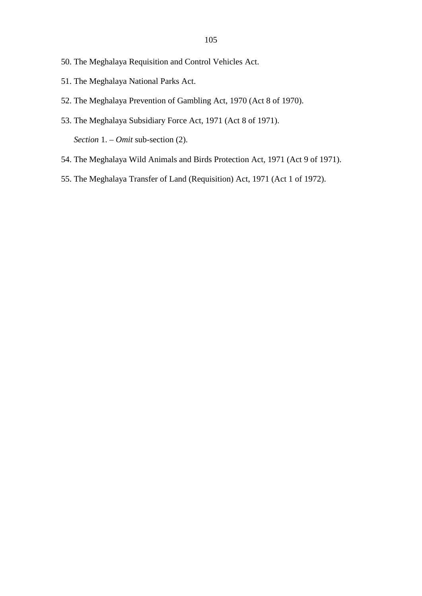- 50. The Meghalaya Requisition and Control Vehicles Act.
- 51. The Meghalaya National Parks Act.
- 52. The Meghalaya Prevention of Gambling Act, 1970 (Act 8 of 1970).
- 53. The Meghalaya Subsidiary Force Act, 1971 (Act 8 of 1971). *Section* 1. – *Omit* sub-section (2).
- 54. The Meghalaya Wild Animals and Birds Protection Act, 1971 (Act 9 of 1971).
- 55. The Meghalaya Transfer of Land (Requisition) Act, 1971 (Act 1 of 1972).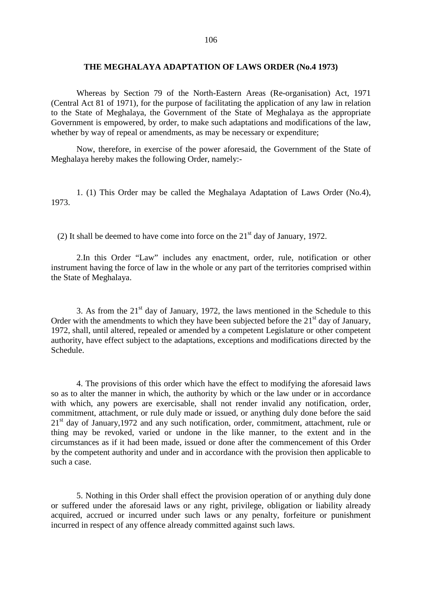## **THE MEGHALAYA ADAPTATION OF LAWS ORDER (No.4 1973)**

Whereas b y S ection 79 of t he N orth-Eastern A reas (Re-organisation) A ct, 1971 (Central Act 81 of 1971), for the purpose of facilitating the application of any law in relation to the S tate of M eghalaya, t he G overnment o f t he S tate of M eghalaya as t he appropriate Government is empowered, by order, to make such adaptations and modifications of the law, whether by way of repeal or amendments, as may be necessary or expenditure;

Now, therefore, in exercise of the pow er a foresaid, the G overnment of the State of Meghalaya hereby makes the following Order, namely:-

1. ( 1) T his O rder m ay be c alled t he M eghalaya A daptation of Laws Order ( No.4), 1973.

(2) It shall be deemed to have come into force on the  $21<sup>st</sup>$  day of January, 1972.

2.In t his O rder " Law" includes a ny e nactment, or der, r ule, not ification or ot her instrument having the force of law in the whole or any part of the territories comprised within the State of Meghalaya.

3. As from the  $21<sup>st</sup>$  day of January, 1972, the laws mentioned in the Schedule to this Order with the amendments to which they have been subjected before the  $21<sup>st</sup>$  day of January, 1972, shall, until altered, repealed or amended by a competent Legislature or other competent authority, have effect subject to the adaptations, exceptions and modifications directed by the Schedule.

4. The provisions of this order which have the effect to modifying the aforesaid laws so as to alter the manner in which, the authority by which or the law under or in accordance with which, any powers are ex ercisable, s hall not r ender invalid any notification, or der, commitment, attachment, or rule duly made or issued, or anything duly done before the said  $21<sup>st</sup>$  day of January, 1972 and any such notification, order, commitment, attachment, rule or thing m ay b e r evoked, va ried o r undone i n t he l ike m anner, t o t he e xtent a nd i n t he circumstances as if it had been made, issued or done after the commencement of this Order by the competent authority and under and in accordance with the provision then applicable to such a case.

5. Nothing in this Order shall effect the provision operation of or anything duly done or s uffered und er t he aforesaid l aws o r a ny right, pr ivilege, obl igation or l iability a lready acquired, a ccrued or i ncurred unde r s uch l aws or a ny pe nalty, f orfeiture or puni shment incurred in respect of any offence already committed against such laws.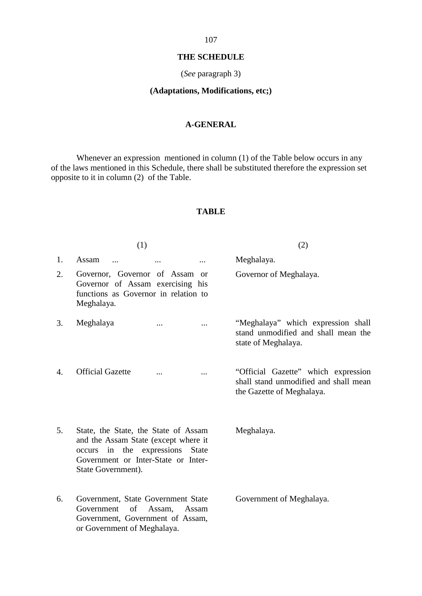## **THE SCHEDULE**

## (*See* paragraph 3)

## **(Adaptations, Modifications, etc;)**

## **A-GENERAL**

Whenever an expression mentioned in column (1) of the Table below occurs in any of the laws mentioned in this Schedule, there shall be substituted therefore the expression set opposite to it in column (2) of the Table.

## **TABLE**

|    | (1)                                                                                                                                                                              | (2)                                                                                                         |
|----|----------------------------------------------------------------------------------------------------------------------------------------------------------------------------------|-------------------------------------------------------------------------------------------------------------|
| 1. | Assam                                                                                                                                                                            | Meghalaya.                                                                                                  |
| 2. | Governor, G overnor o f A ssam or<br>Governor of A ssam e xercising hi s<br>functions a s Governor i n r elation t o<br>Meghalaya.                                               | Governor of Meghalaya.                                                                                      |
| 3. | Meghalaya                                                                                                                                                                        | "Meghalaya" w hich expression shall<br>stand unm odified a nd s hall m ean t he<br>state of Meghalaya.      |
| 4. | <b>Official Gazette</b>                                                                                                                                                          | "Official G azette" w hich expression<br>shall stand unmodified and shall mean<br>the Gazette of Meghalaya. |
| 5. | State, the State, the State of Assam<br>and the Assam State (except where it<br>occurs i n t he e xpressions S tate<br>Government or Inter-State or Inter-<br>State Government). | Meghalaya.                                                                                                  |
| 6. | Government, S tate G overnment S tate<br>Government of A ssam, A ssam<br>Government, Government of A ssam,<br>or Government of Meghalaya.                                        | Government of Meghalaya.                                                                                    |

#### 107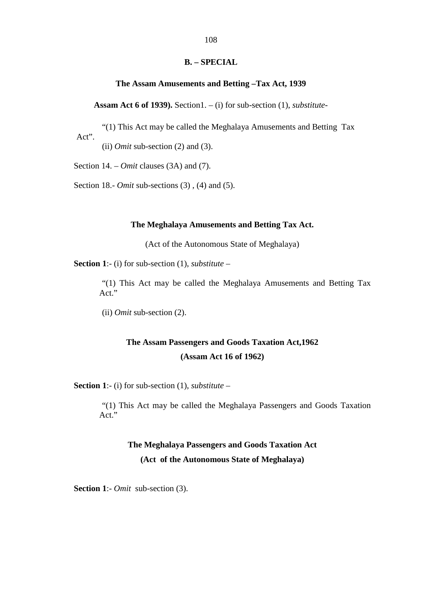#### **B. – SPECIAL**

#### **The Assam Amusements and Betting –Tax Act, 1939**

**Assam Act 6 of 1939).** Section1. – (i) for sub-section (1), *substitute-*

"(1) This Act may be called the Meghalaya Amusements and Betting Tax Act".

(ii) *Omit* sub-section (2) and (3).

Section 14. – *Omit* clauses (3A) and (7).

Section 18.- *Omit* sub-sections (3) , (4) and (5).

#### **The Meghalaya Amusements and Betting Tax Act.**

(Act of the Autonomous State of Meghalaya)

**Section 1**:- (i) for sub-section (1), *substitute* –

"(1) T his A ct m ay b e c alled the M eghalaya Amusements and Betting T ax Act<sup>"</sup>

(ii) *Omit* sub-section (2).

## **The Assam Passengers and Goods Taxation Act,1962 (Assam Act 16 of 1962)**

**Section 1**:- (i) for sub-section (1), *substitute* –

"(1) This Act m ay b e ca lled the M eghalaya P assengers and Goods Taxation Act."

# **The Meghalaya Passengers and Goods Taxation Act (Act of the Autonomous State of Meghalaya)**

**Section 1**:- *Omit* sub-section (3).